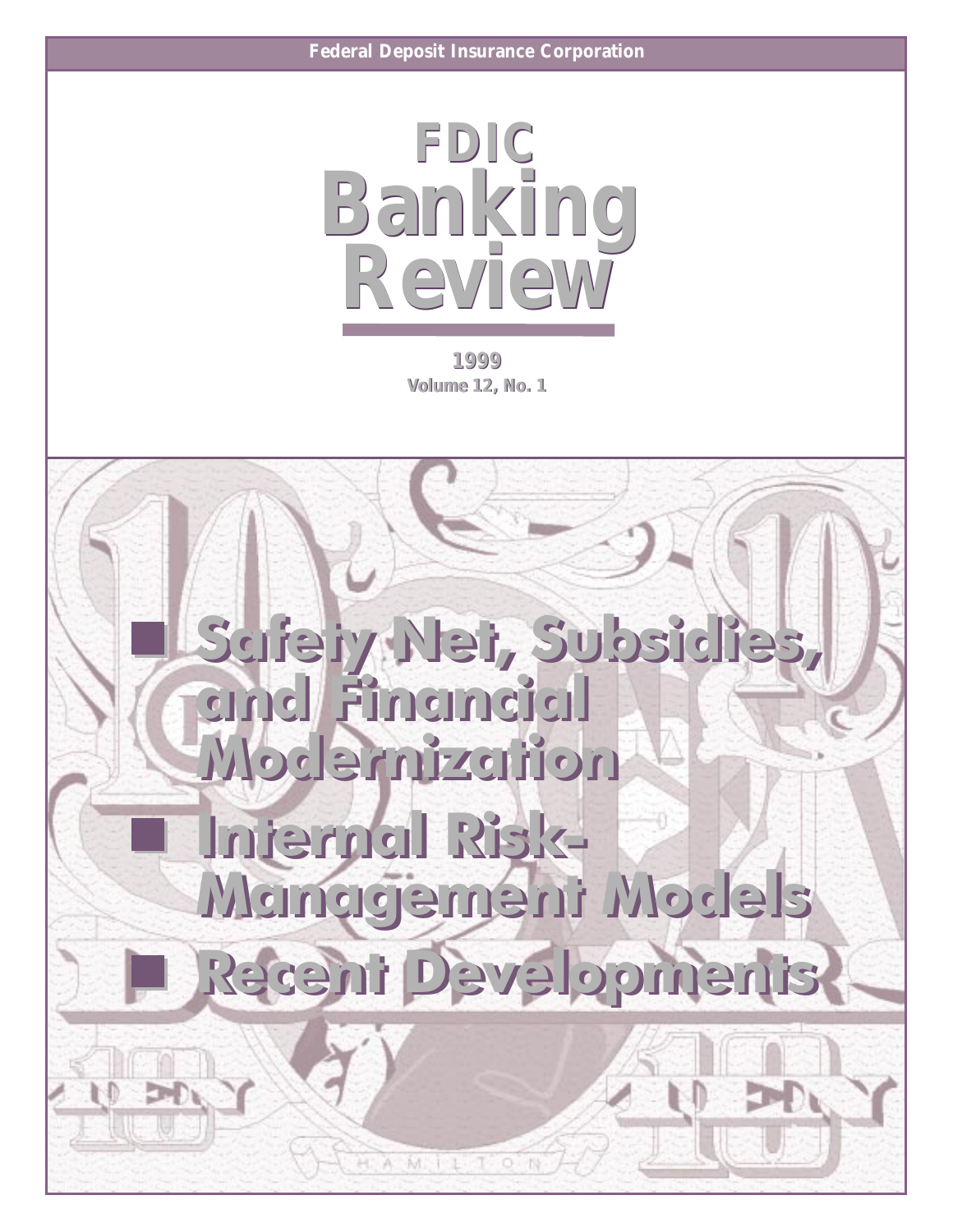

1999 **Volume 12, No. 1** 

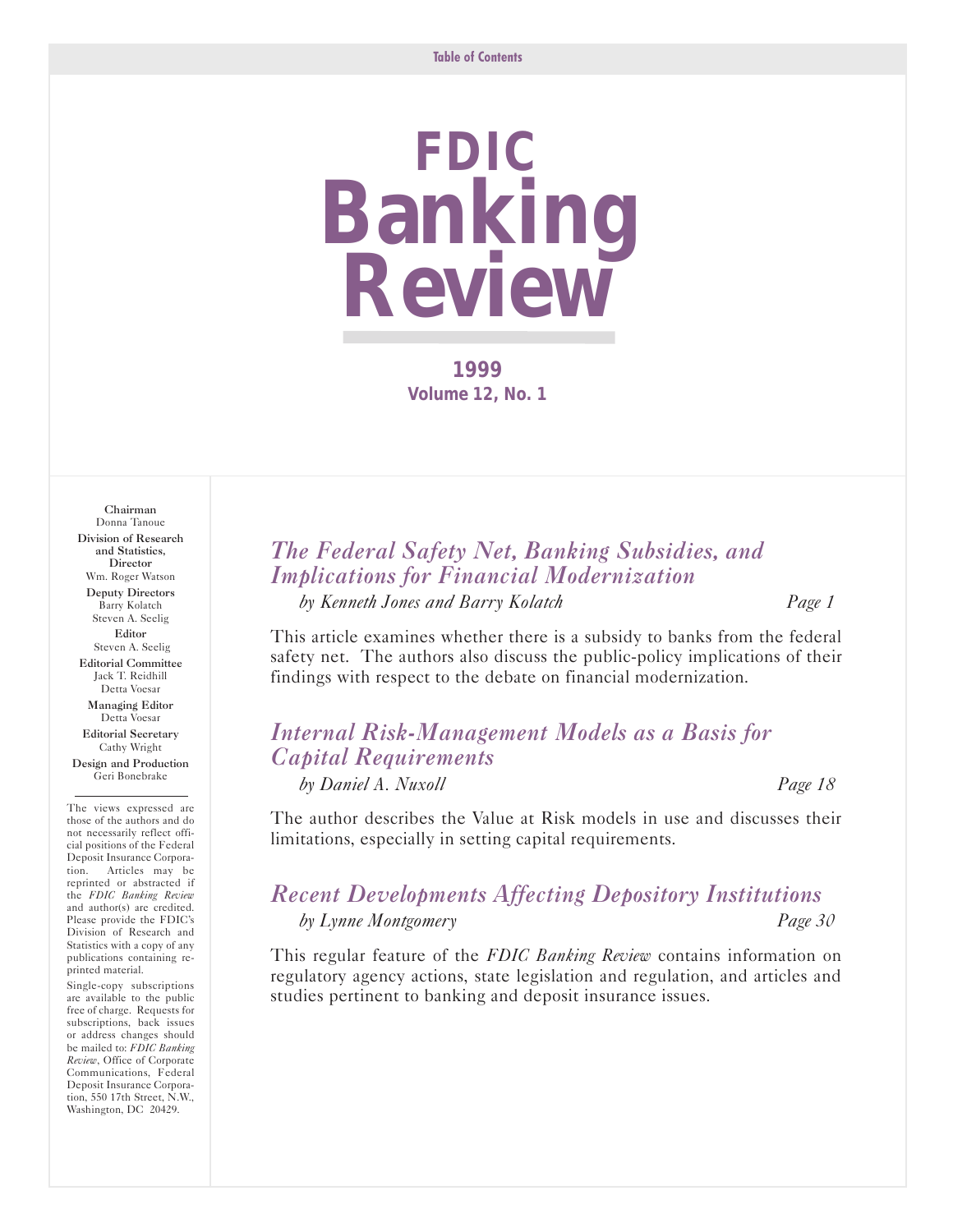# **FDIC Banking Review**

**1999 Volume 12, No. 1** 

Chairman Donna Tanoue Division of Research and Statistics, **Director** Wm. Roger Watson Deputy Directors Barry Kolatch Steven A. Seelig Editor Steven A. Seelig Editorial Committee Jack T. Reidhill Detta Voesar Managing Editor Detta Voesar Editorial Secretary

Cathy Wright Design and Production Geri Bonebrake

The views expressed are those of the authors and do not necessarily reflect official positions of the Federal Deposit Insurance Corporation. Articles may be reprinted or abstracted if the *FDIC Banking Review* and author(s) are credited. Please provide the FDIC's Division of Research and Statistics with a copy of any publications containing reprinted material.

Single-copy subscriptions are available to the public free of charge. Requests for subscriptions, back issues or address changes should be mailed to: *FDIC Banking Review*, Office of Corporate Communications, Federal Deposit Insurance Corporation, 550 17th Street, N.W., Washington, DC 20429.

## *The Federal Safety Net, Banking Subsidies, and Implications for Financial Modernization*

*by Kenneth Jones and Barry Kolatch Page 1*

This article examines whether there is a subsidy to banks from the federal safety net. The authors also discuss the public-policy implications of their findings with respect to the debate on financial modernization.

## *Internal Risk-Management Models as a Basis for Capital Requirements*

*by Daniel A. Nuxoll Page 18*

The author describes the Value at Risk models in use and discusses their limitations, especially in setting capital requirements.

## *Recent Developments Affecting Depository Institutions by Lynne Montgomery Page JO*

This regular feature of the *FDIC Banking Review* contains information on regulatory agency actions, state legislation and regulation, and articles and studies pertinent to banking and deposit insurance issues.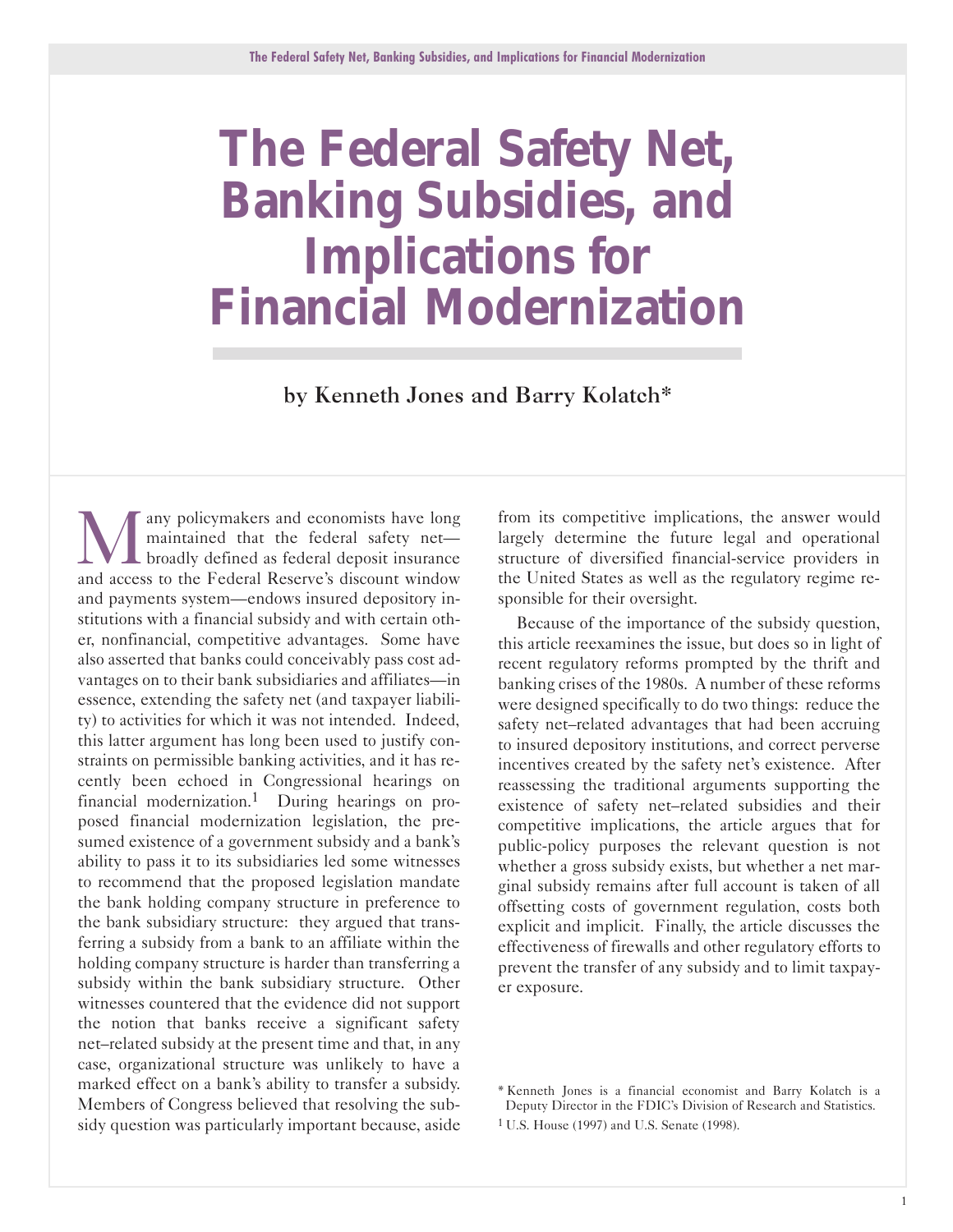## <span id="page-2-0"></span>**The Federal Safety Net, Banking Subsidies, and Implications for Financial Modernization**

by Kenneth Jones and Barry Kolatch\*

any policymakers and economists have long maintained that the federal safety net-**L** broadly defined as federal deposit insurance and access to the Federal Reserve's discount window and payments system-endows insured depository institutions with a financial subsidy and with certain other, nonfinancial, competitive advantages. Some have also asserted that banks could conceivably pass cost advantages on to their bank subsidiaries and affiliates-in essence, extending the safety net (and taxpayer liability) to activities for which it was not intended. Indeed, this latter argument has long been used to justify constraints on permissible banking activities, and it has recently been echoed in Congressional hearings on financial modernization.<sup>1</sup> During hearings on proposed financial modernization legislation, the presumed existence of a government subsidy and a bank's ability to pass it to its subsidiaries led some witnesses to recommend that the proposed legislation mandate the bank holding company structure in preference to the bank subsidiary structure: they argued that transferring a subsidy from a bank to an affiliate within the holding company structure is harder than transferring a subsidy within the bank subsidiary structure. Other witnesses countered that the evidence did not support the notion that banks receive a significant safety net-related subsidy at the present time and that, in any case, organizational structure was unlikely to have a marked effect on a bank's ability to transfer a subsidy. Members of Congress believed that resolving the subsidy question was particularly important because, aside

from its competitive implications, the answer would largely determine the future legal and operational structure of diversified financial-service providers in the United States as well as the regulatory regime responsible for their oversight.

Because of the importance of the subsidy question, this article reexamines the issue, but does so in light of recent regulatory reforms prompted by the thrift and banking crises of the 1980s. A number of these reforms were designed specifically to do two things: reduce the safety net-related advantages that had been accruing to insured depository institutions, and correct perverse incentives created by the safety net's existence. After reassessing the traditional arguments supporting the existence of safety net-related subsidies and their competitive implications, the article argues that for public-policy purposes the relevant question is not whether a gross subsidy exists, but whether a net marginal subsidy remains after full account is taken of all offsetting costs of government regulation, costs both explicit and implicit. Finally, the article discusses the effectiveness of firewalls and other regulatory efforts to prevent the transfer of any subsidy and to limit taxpayer exposure.

<sup>\*</sup> Kenneth Jones is a financial economist and Barry Kolatch is a Deputy Director in the FDIC's Division of Research and Statistics.

<sup>1</sup> U.S. House (1997) and U.S. Senate (1998).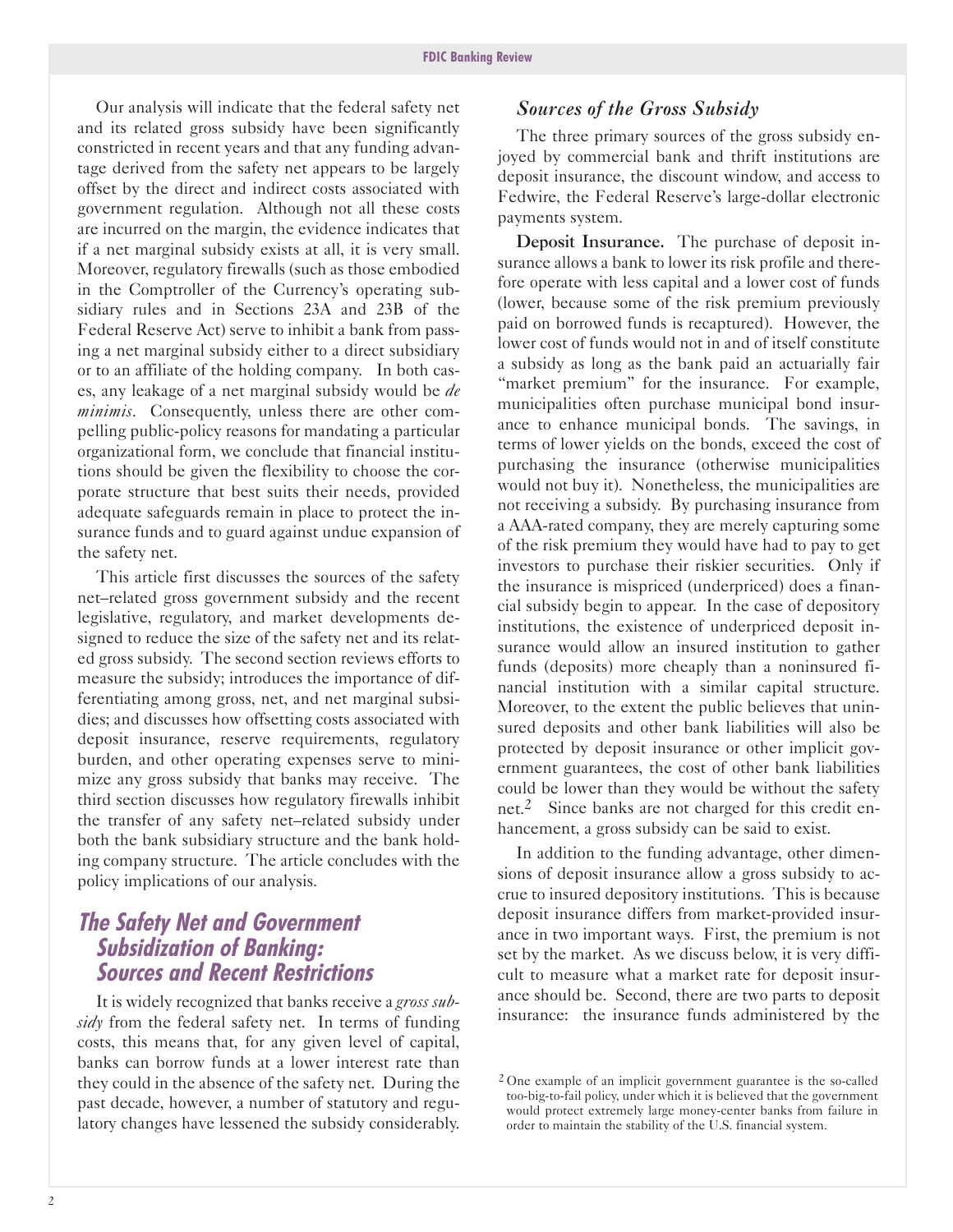Our analysis will indicate that the federal safety net and its related gross subsidy have been significantly constricted in recent years and that any funding advantage derived from the safety net appears to be largely offset by the direct and indirect costs associated with government regulation. Although not all these costs are incurred on the margin, the evidence indicates that if a net marginal subsidy exists at all, it is very small. Moreover, regulatory firewalls (such as those embodied in the Comptroller of the Currency's operating subsidiary rules and in Sections 23A and 23B of the Federal Reserve Act) serve to inhibit a bank from passing a net marginal subsidy either to a direct subsidiary or to an affiliate of the holding company. In both cases, any leakage of a net marginal subsidy would be *de minimis*. Consequently, unless there are other compelling public-policy reasons for mandating a particular organizational form, we conclude that financial institutions should be given the flexibility to choose the corporate structure that best suits their needs, provided adequate safeguards remain in place to protect the insurance funds and to guard against undue expansion of the safety net.

This article first discusses the sources of the safety net-related gross government subsidy and the recent legislative, regulatory, and market developments designed to reduce the size of the safety net and its related gross subsidy. The second section reviews efforts to measure the subsidy; introduces the importance of differentiating among gross, net, and net marginal subsidies; and discusses how offsetting costs associated with deposit insurance, reserve requirements, regulatory burden, and other operating expenses serve to minimize any gross subsidy that banks may receive. The third section discusses how regulatory firewalls inhibit the transfer of any safety net-related subsidy under both the bank subsidiary structure and the bank holding company structure. The article concludes with the policy implications of our analysis.

## **The Safety Net and Government Subsidization of Banking: Sources and Recent Restrictions**

It is widely recognized that banks receive a *gross subsidy* from the federal safety net. In terms of funding costs, this means that, for any given level of capital, banks can borrow funds at a lower interest rate than they could in the absence of the safety net. During the past decade, however, a number of statutory and regulatory changes have lessened the subsidy considerably.

#### *Sources of the Gross Subsidy*

The three primary sources of the gross subsidy enjoyed by commercial bank and thrift institutions are deposit insurance, the discount window, and access to Fedwire, the Federal Reserve's large-dollar electronic payments system.

Deposit Insurance. The purchase of deposit insurance allows a bank to lower its risk profile and therefore operate with less capital and a lower cost of funds (lower, because some of the risk premium previously paid on borrowed funds is recaptured). However, the lower cost of funds would not in and of itself constitute a subsidy as long as the bank paid an actuarially fair "market premium" for the insurance. For example, municipalities often purchase municipal bond insurance to enhance municipal bonds. The savings, in terms of lower yields on the bonds, exceed the cost of purchasing the insurance (otherwise municipalities would not buy it). Nonetheless, the municipalities are not receiving a subsidy. By purchasing insurance from a AAArated company, they are merely capturing some of the risk premium they would have had to pay to get investors to purchase their riskier securities. Only if the insurance is mispriced (underpriced) does a financial subsidy begin to appear. In the case of depository institutions, the existence of underpriced deposit insurance would allow an insured institution to gather funds (deposits) more cheaply than a noninsured financial institution with a similar capital structure. Moreover, to the extent the public believes that uninsured deposits and other bank liabilities will also be protected by deposit insurance or other implicit government guarantees, the cost of other bank liabilities could be lower than they would be without the safety net.<sup>2</sup> Since banks are not charged for this credit enhancement, a gross subsidy can be said to exist.

In addition to the funding advantage, other dimensions of deposit insurance allow a gross subsidy to accrue to insured depository institutions. This is because deposit insurance differs from market-provided insurance in two important ways. First, the premium is not set by the market. As we discuss below, it is very difficult to measure what a market rate for deposit insurance should be. Second, there are two parts to deposit insurance: the insurance funds administered by the

<sup>2</sup> One example of an implicit government guarantee is the socalled too-big-to-fail policy, under which it is believed that the government would protect extremely large money-center banks from failure in order to maintain the stability of the U.S. financial system.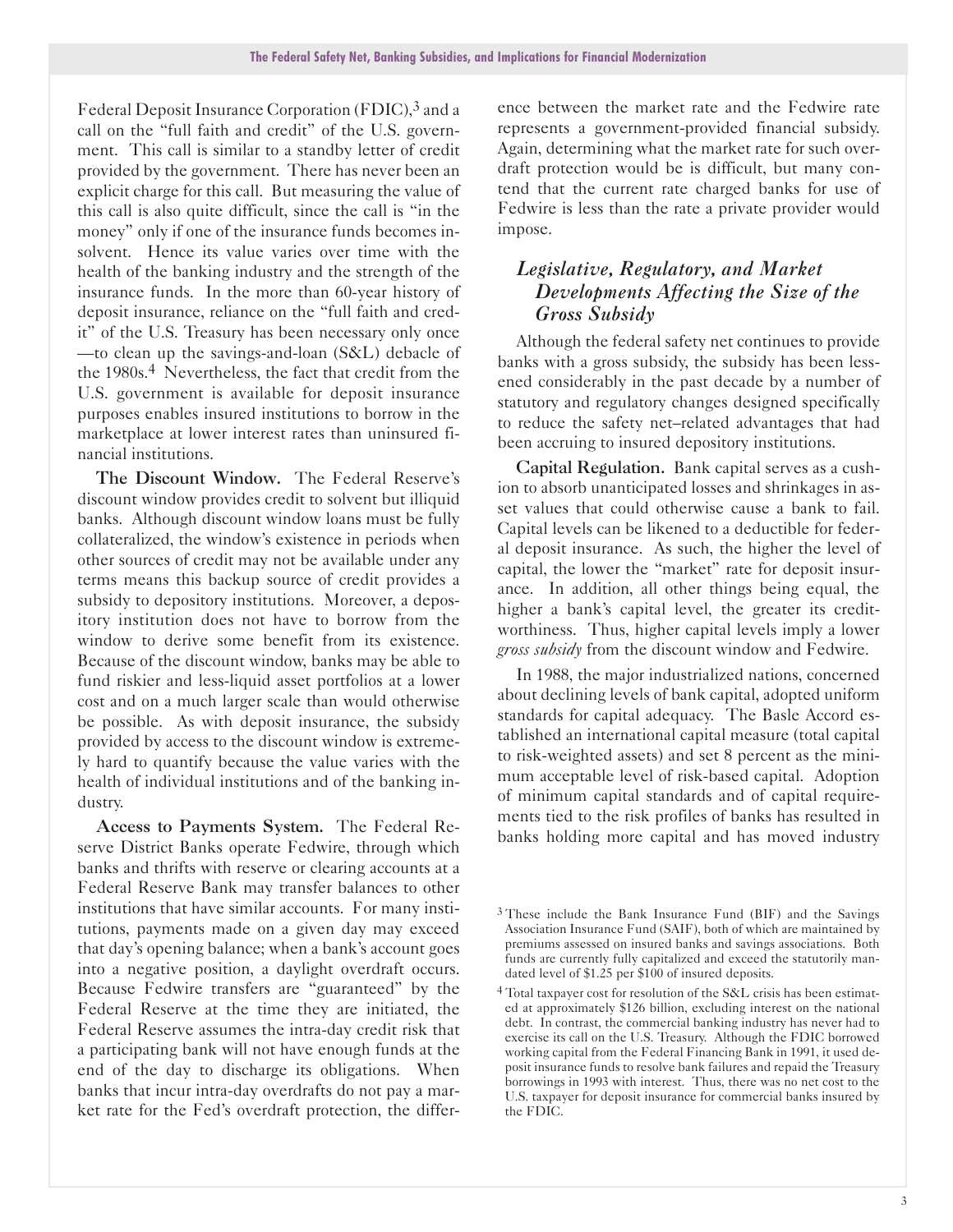Federal Deposit Insurance Corporation (FDIC),<sup>3</sup> and a call on the "full faith and credit" of the U.S. government. This call is similar to a standby letter of credit provided by the government. There has never been an explicit charge for this call. But measuring the value of this call is also quite difficult, since the call is "in the money" only if one of the insurance funds becomes insolvent. Hence its value varies over time with the health of the banking industry and the strength of the insurance funds. In the more than 60-year history of deposit insurance, reliance on the "full faith and credit" of the U.S. Treasury has been necessary only once  $-$ to clean up the savings-and-loan (S&L) debacle of the 1980s.<sup>4</sup> Nevertheless, the fact that credit from the U.S. government is available for deposit insurance purposes enables insured institutions to borrow in the marketplace at lower interest rates than uninsured financial institutions.

The Discount Window. The Federal Reserve's discount window provides credit to solvent but illiquid banks. Although discount window loans must be fully collateralized, the window's existence in periods when other sources of credit may not be available under any terms means this backup source of credit provides a subsidy to depository institutions. Moreover, a depository institution does not have to borrow from the window to derive some benefit from its existence. Because of the discount window, banks may be able to fund riskier and less-liquid asset portfolios at a lower cost and on a much larger scale than would otherwise be possible. As with deposit insurance, the subsidy provided by access to the discount window is extremely hard to quantify because the value varies with the health of individual institutions and of the banking industry.

Access to Payments System. The Federal Reserve District Banks operate Fedwire, through which banks and thrifts with reserve or clearing accounts at a Federal Reserve Bank may transfer balances to other institutions that have similar accounts. For many institutions, payments made on a given day may exceed that day's opening balance; when a bank's account goes into a negative position, a daylight overdraft occurs. Because Fedwire transfers are "guaranteed" by the Federal Reserve at the time they are initiated, the Federal Reserve assumes the intra-day credit risk that a participating bank will not have enough funds at the end of the day to discharge its obligations. When banks that incur intra-day overdrafts do not pay a market rate for the Fed's overdraft protection, the difference between the market rate and the Fedwire rate represents a government-provided financial subsidy. Again, determining what the market rate for such overdraft protection would be is difficult, but many contend that the current rate charged banks for use of Fedwire is less than the rate a private provider would impose.

#### *Legislative, Regulatory, and Market Developments Affecting the Size of the Gross Subsidy*

Although the federal safety net continues to provide banks with a gross subsidy, the subsidy has been lessened considerably in the past decade by a number of statutory and regulatory changes designed specifically to reduce the safety net-related advantages that had been accruing to insured depository institutions.

Capital Regulation. Bank capital serves as a cushion to absorb unanticipated losses and shrinkages in asset values that could otherwise cause a bank to fail. Capital levels can be likened to a deductible for federal deposit insurance. As such, the higher the level of capital, the lower the "market" rate for deposit insurance. In addition, all other things being equal, the higher a bank's capital level, the greater its creditworthiness. Thus, higher capital levels imply a lower *gross subsidy* from the discount window and Fedwire.

In 1988, the major industrialized nations, concerned about declining levels of bank capital, adopted uniform standards for capital adequacy. The Basle Accord established an international capital measure (total capital to riskweighted assets) and set 8 percent as the minimum acceptable level of risk-based capital. Adoption of minimum capital standards and of capital requirements tied to the risk profiles of banks has resulted in banks holding more capital and has moved industry

<sup>3</sup> These include the Bank Insurance Fund (BIF) and the Savings Association Insurance Fund (SAIF), both of which are maintained by premiums assessed on insured banks and savings associations. Both funds are currently fully capitalized and exceed the statutorily mandated level of \$1.25 per \$100 of insured deposits.

<sup>4</sup> Total taxpayer cost for resolution of the S&L crisis has been estimated at approximately \$126 billion, excluding interest on the national debt. In contrast, the commercial banking industry has never had to exercise its call on the U.S. Treasury. Although the FDIC borrowed working capital from the Federal Financing Bank in 1991, it used deposit insurance funds to resolve bank failures and repaid the Treasury borrowings in 1993 with interest. Thus, there was no net cost to the U.S. taxpayer for deposit insurance for commercial banks insured by the FDIC.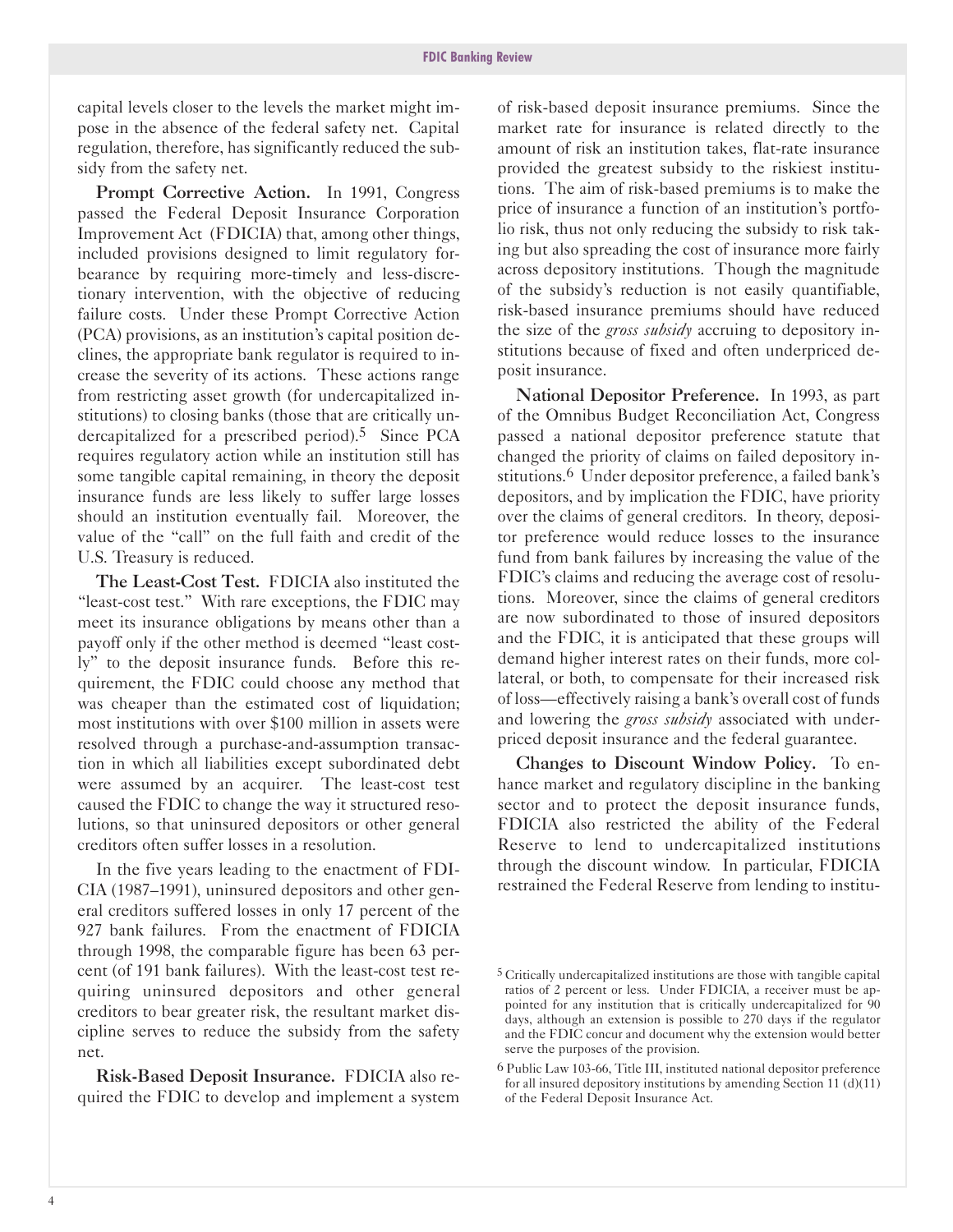capital levels closer to the levels the market might impose in the absence of the federal safety net. Capital regulation, therefore, has significantly reduced the subsidy from the safety net.

Prompt Corrective Action. In 1991, Congress passed the Federal Deposit Insurance Corporation Improvement Act (FDICIA) that, among other things, included provisions designed to limit regulatory forbearance by requiring more-timely and less-discretionary intervention, with the objective of reducing failure costs. Under these Prompt Corrective Action (PCA) provisions, as an institution's capital position declines, the appropriate bank regulator is required to increase the severity of its actions. These actions range from restricting asset growth (for undercapitalized institutions) to closing banks (those that are critically undercapitalized for a prescribed period).<sup>5</sup> Since PCA requires regulatory action while an institution still has some tangible capital remaining, in theory the deposit insurance funds are less likely to suffer large losses should an institution eventually fail. Moreover, the value of the "call" on the full faith and credit of the U.S. Treasury is reduced.

The Least-Cost Test. FDICIA also instituted the "least-cost test." With rare exceptions, the FDIC may meet its insurance obligations by means other than a payoff only if the other method is deemed "least costly" to the deposit insurance funds. Before this requirement, the FDIC could choose any method that was cheaper than the estimated cost of liquidation; most institutions with over \$100 million in assets were resolved through a purchase-and-assumption transaction in which all liabilities except subordinated debt were assumed by an acquirer. The least-cost test caused the FDIC to change the way it structured resolutions, so that uninsured depositors or other general creditors often suffer losses in a resolution.

In the five years leading to the enactment of FDI-CIA (1987-1991), uninsured depositors and other general creditors suffered losses in only 17 percent of the 927 bank failures. From the enactment of FDICIA through 1998, the comparable figure has been 63 percent (of 191 bank failures). With the least-cost test requiring uninsured depositors and other general creditors to bear greater risk, the resultant market discipline serves to reduce the subsidy from the safety net.

Risk-Based Deposit Insurance. FDICIA also required the FDIC to develop and implement a system of risk-based deposit insurance premiums. Since the market rate for insurance is related directly to the amount of risk an institution takes, flat-rate insurance provided the greatest subsidy to the riskiest institutions. The aim of risk-based premiums is to make the price of insurance a function of an institution's portfolio risk, thus not only reducing the subsidy to risk taking but also spreading the cost of insurance more fairly across depository institutions. Though the magnitude of the subsidy's reduction is not easily quantifiable, risk-based insurance premiums should have reduced the size of the *gross subsidy* accruing to depository institutions because of fixed and often underpriced deposit insurance.

National Depositor Preference. In 1993, as part of the Omnibus Budget Reconciliation Act, Congress passed a national depositor preference statute that changed the priority of claims on failed depository institutions.<sup>6</sup> Under depositor preference, a failed bank's depositors, and by implication the FDIC, have priority over the claims of general creditors. In theory, depositor preference would reduce losses to the insurance fund from bank failures by increasing the value of the FDIC's claims and reducing the average cost of resolutions. Moreover, since the claims of general creditors are now subordinated to those of insured depositors and the FDIC, it is anticipated that these groups will demand higher interest rates on their funds, more collateral, or both, to compensate for their increased risk of loss-effectively raising a bank's overall cost of funds and lowering the *gross subsidy* associated with underpriced deposit insurance and the federal guarantee.

Changes to Discount Window Policy. To enhance market and regulatory discipline in the banking sector and to protect the deposit insurance funds, FDICIA also restricted the ability of the Federal Reserve to lend to undercapitalized institutions through the discount window. In particular, FDICIA restrained the Federal Reserve from lending to institu-

<sup>5</sup> Critically undercapitalized institutions are those with tangible capital ratios of 2 percent or less. Under FDICIA, a receiver must be appointed for any institution that is critically undercapitalized for 90 days, although an extension is possible to 270 days if the regulator and the FDIC concur and document why the extension would better serve the purposes of the provision.

<sup>6</sup> Public Law 10366, Title III, instituted national depositor preference for all insured depository institutions by amending Section 11 (d)(11) of the Federal Deposit Insurance Act.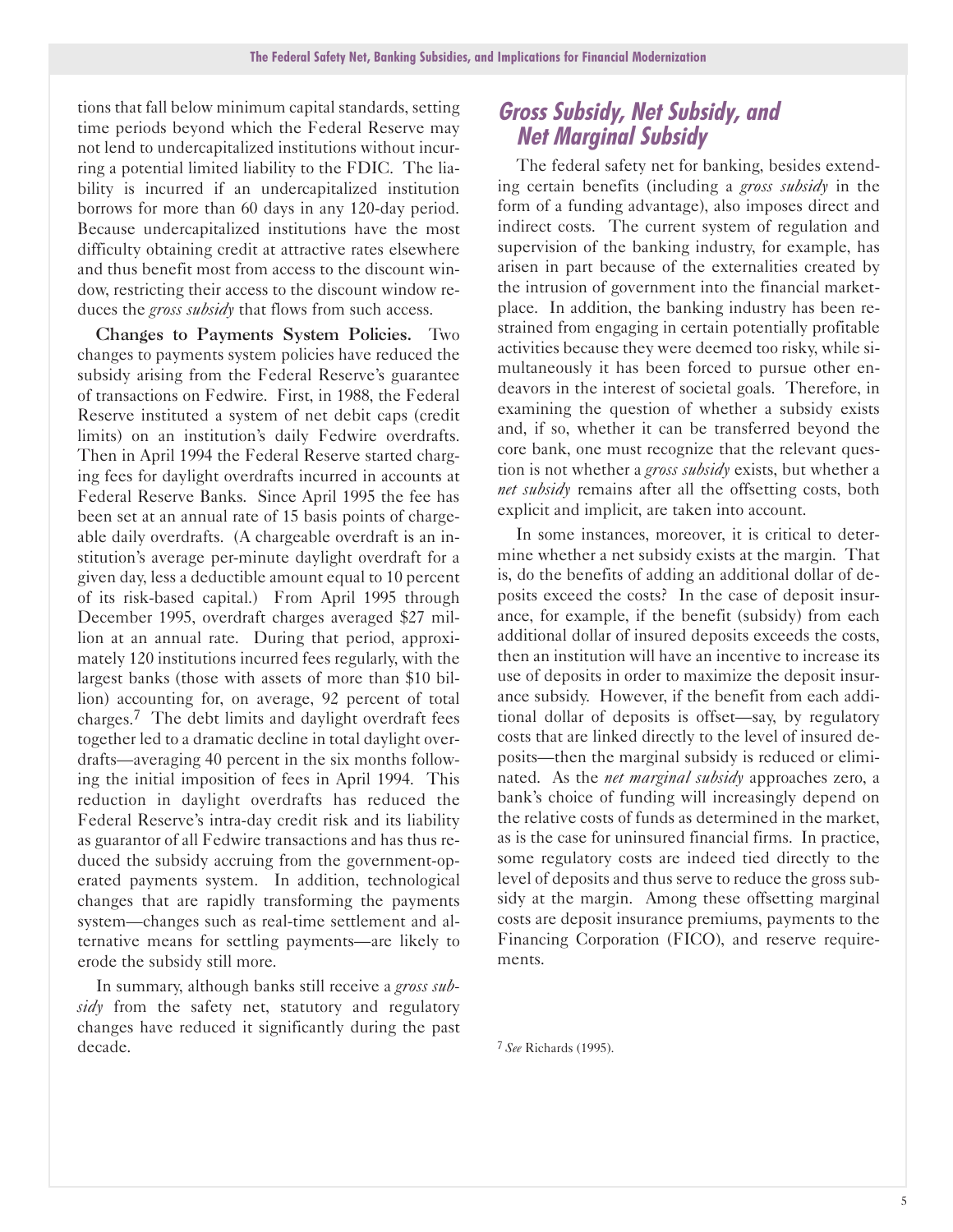tions that fall below minimum capital standards, setting time periods beyond which the Federal Reserve may not lend to undercapitalized institutions without incurring a potential limited liability to the FDIC. The liability is incurred if an undercapitalized institution borrows for more than 60 days in any 120-day period. Because undercapitalized institutions have the most difficulty obtaining credit at attractive rates elsewhere and thus benefit most from access to the discount window, restricting their access to the discount window reduces the *gross subsidy* that flows from such access.

Changes to Payments System Policies. Two changes to payments system policies have reduced the subsidy arising from the Federal Reserve's guarantee of transactions on Fedwire. First, in 1988, the Federal Reserve instituted a system of net debit caps (credit limits) on an institution's daily Fedwire overdrafts. Then in April 1994 the Federal Reserve started charging fees for daylight overdrafts incurred in accounts at Federal Reserve Banks. Since April 1995 the fee has been set at an annual rate of 15 basis points of chargeable daily overdrafts. (A chargeable overdraft is an institution's average per-minute daylight overdraft for a given day, less a deductible amount equal to 10 percent of its risk-based capital.) From April 1995 through December 1995, overdraft charges averaged \$27 million at an annual rate. During that period, approximately 120 institutions incurred fees regularly, with the largest banks (those with assets of more than \$10 billion) accounting for, on average, 92 percent of total charges.7 The debt limits and daylight overdraft fees together led to a dramatic decline in total daylight overdrafts-averaging 40 percent in the six months following the initial imposition of fees in April 1994. This reduction in daylight overdrafts has reduced the Federal Reserve's intra-day credit risk and its liability as guarantor of all Fedwire transactions and has thus reduced the subsidy accruing from the government-operated payments system. In addition, technological changes that are rapidly transforming the payments system-changes such as real-time settlement and alternative means for settling payments—are likely to erode the subsidy still more.

In summary, although banks still receive a *gross subsidy* from the safety net, statutory and regulatory changes have reduced it significantly during the past decade.

## **Gross Subsidy, Net Subsidy, and Net Marginal Subsidy**

The federal safety net for banking, besides extending certain benefits (including a *gross subsidy* in the form of a funding advantage), also imposes direct and indirect costs. The current system of regulation and supervision of the banking industry, for example, has arisen in part because of the externalities created by the intrusion of government into the financial marketplace. In addition, the banking industry has been restrained from engaging in certain potentially profitable activities because they were deemed too risky, while simultaneously it has been forced to pursue other endeavors in the interest of societal goals. Therefore, in examining the question of whether a subsidy exists and, if so, whether it can be transferred beyond the core bank, one must recognize that the relevant question is not whether a *gross subsidy* exists, but whether a *net subsidy* remains after all the offsetting costs, both explicit and implicit, are taken into account.

In some instances, moreover, it is critical to determine whether a net subsidy exists at the margin. That is, do the benefits of adding an additional dollar of deposits exceed the costs? In the case of deposit insurance, for example, if the benefit (subsidy) from each additional dollar of insured deposits exceeds the costs, then an institution will have an incentive to increase its use of deposits in order to maximize the deposit insurance subsidy. However, if the benefit from each additional dollar of deposits is offset-say, by regulatory costs that are linked directly to the level of insured deposits—then the marginal subsidy is reduced or eliminated. As the *net marginal subsidy* approaches zero, a bank's choice of funding will increasingly depend on the relative costs of funds as determined in the market, as is the case for uninsured financial firms. In practice, some regulatory costs are indeed tied directly to the level of deposits and thus serve to reduce the gross subsidy at the margin. Among these offsetting marginal costs are deposit insurance premiums, payments to the Financing Corporation (FICO), and reserve requirements.

<sup>7</sup> *See* Richards (1995).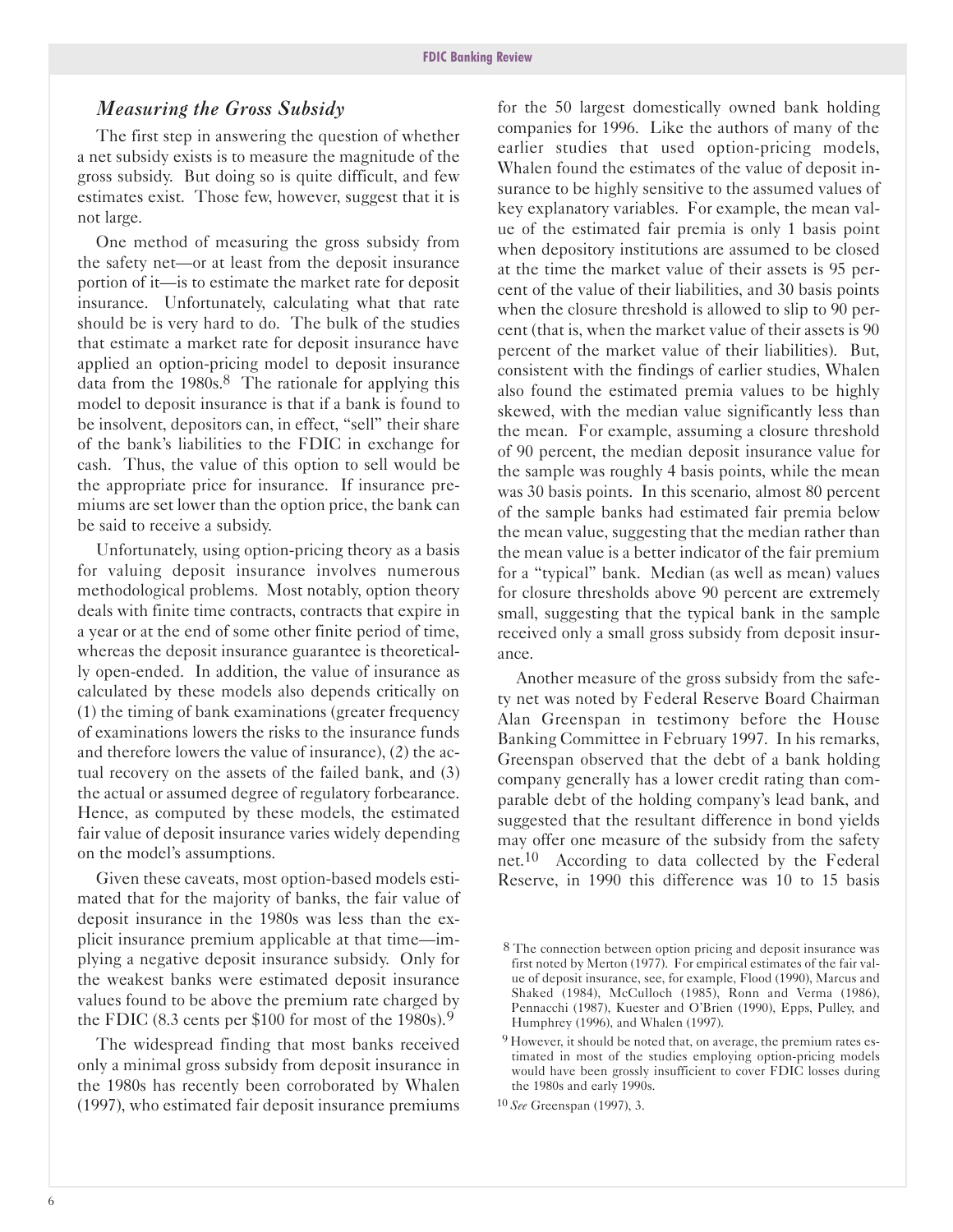#### *Measuring the Gross Subsidy*

The first step in answering the question of whether a net subsidy exists is to measure the magnitude of the gross subsidy. But doing so is quite difficult, and few estimates exist. Those few, however, suggest that it is not large.

One method of measuring the gross subsidy from the safety net-or at least from the deposit insurance portion of it-is to estimate the market rate for deposit insurance. Unfortunately, calculating what that rate should be is very hard to do. The bulk of the studies that estimate a market rate for deposit insurance have applied an option-pricing model to deposit insurance data from the  $1980s$ .<sup>8</sup> The rationale for applying this model to deposit insurance is that if a bank is found to be insolvent, depositors can, in effect, "sell" their share of the bank's liabilities to the FDIC in exchange for cash. Thus, the value of this option to sell would be the appropriate price for insurance. If insurance premiums are set lower than the option price, the bank can be said to receive a subsidy.

Unfortunately, using option-pricing theory as a basis for valuing deposit insurance involves numerous methodological problems. Most notably, option theory deals with finite time contracts, contracts that expire in a year or at the end of some other finite period of time, whereas the deposit insurance guarantee is theoretically openended. In addition, the value of insurance as calculated by these models also depends critically on (1) the timing of bank examinations (greater frequency of examinations lowers the risks to the insurance funds and therefore lowers the value of insurance), (2) the actual recovery on the assets of the failed bank, and (3) the actual or assumed degree of regulatory forbearance. Hence, as computed by these models, the estimated fair value of deposit insurance varies widely depending on the model's assumptions.

Given these caveats, most option-based models estimated that for the majority of banks, the fair value of deposit insurance in the 1980s was less than the explicit insurance premium applicable at that time—implying a negative deposit insurance subsidy. Only for the weakest banks were estimated deposit insurance values found to be above the premium rate charged by the FDIC (8.3 cents per \$100 for most of the 1980s).<sup>9</sup>

The widespread finding that most banks received only a minimal gross subsidy from deposit insurance in the 1980s has recently been corroborated by Whalen (1997), who estimated fair deposit insurance premiums

for the 50 largest domestically owned bank holding companies for 1996. Like the authors of many of the earlier studies that used option-pricing models, Whalen found the estimates of the value of deposit insurance to be highly sensitive to the assumed values of key explanatory variables. For example, the mean value of the estimated fair premia is only 1 basis point when depository institutions are assumed to be closed at the time the market value of their assets is 95 percent of the value of their liabilities, and 30 basis points when the closure threshold is allowed to slip to 90 percent (that is, when the market value of their assets is 90 percent of the market value of their liabilities). But, consistent with the findings of earlier studies, Whalen also found the estimated premia values to be highly skewed, with the median value significantly less than the mean. For example, assuming a closure threshold of 90 percent, the median deposit insurance value for the sample was roughly 4 basis points, while the mean was 30 basis points. In this scenario, almost 80 percent of the sample banks had estimated fair premia below the mean value, suggesting that the median rather than the mean value is a better indicator of the fair premium for a "typical" bank. Median (as well as mean) values for closure thresholds above 90 percent are extremely small, suggesting that the typical bank in the sample received only a small gross subsidy from deposit insurance.

Another measure of the gross subsidy from the safety net was noted by Federal Reserve Board Chairman Alan Greenspan in testimony before the House Banking Committee in February 1997. In his remarks, Greenspan observed that the debt of a bank holding company generally has a lower credit rating than comparable debt of the holding company's lead bank, and suggested that the resultant difference in bond yields may offer one measure of the subsidy from the safety net.<sup>10</sup> According to data collected by the Federal Reserve, in 1990 this difference was 10 to 15 basis

<sup>8</sup> The connection between option pricing and deposit insurance was first noted by Merton (1977). For empirical estimates of the fair value of deposit insurance, see, for example, Flood (1990), Marcus and Shaked (1984), McCulloch (1985), Ronn and Verma (1986), Pennacchi (1987), Kuester and O'Brien (1990), Epps, Pulley, and Humphrey (1996), and Whalen (1997).

<sup>&</sup>lt;sup>9</sup> However, it should be noted that, on average, the premium rates estimated in most of the studies employing option-pricing models would have been grossly insufficient to cover FDIC losses during the 1980s and early 1990s.

<sup>10</sup> *See* Greenspan (1997), 3.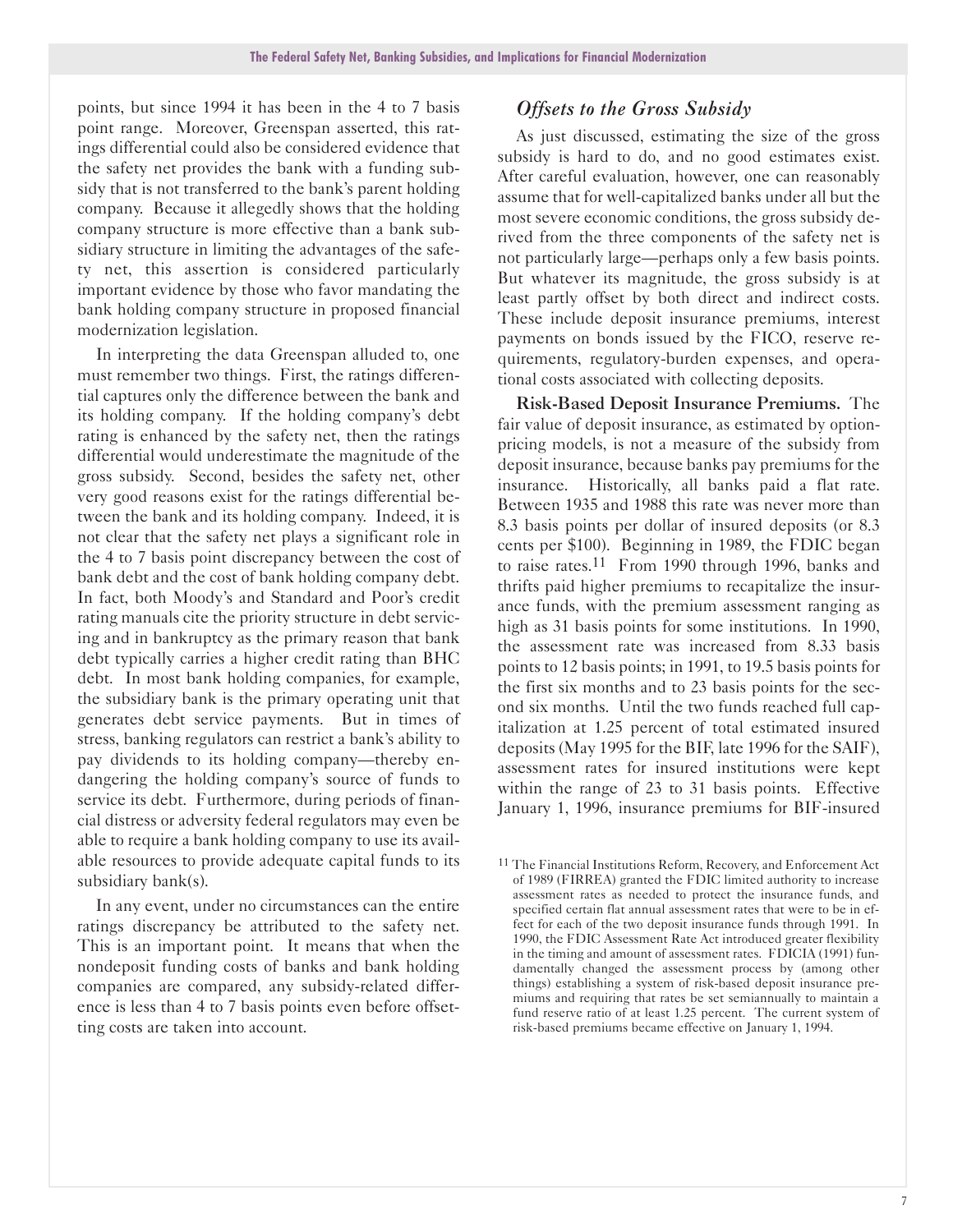points, but since 1994 it has been in the 4 to 7 basis point range. Moreover, Greenspan asserted, this ratings differential could also be considered evidence that the safety net provides the bank with a funding subsidy that is not transferred to the bank's parent holding company. Because it allegedly shows that the holding company structure is more effective than a bank subsidiary structure in limiting the advantages of the safety net, this assertion is considered particularly important evidence by those who favor mandating the bank holding company structure in proposed financial modernization legislation.

In interpreting the data Greenspan alluded to, one must remember two things. First, the ratings differential captures only the difference between the bank and its holding company. If the holding company's debt rating is enhanced by the safety net, then the ratings differential would underestimate the magnitude of the gross subsidy. Second, besides the safety net, other very good reasons exist for the ratings differential between the bank and its holding company. Indeed, it is not clear that the safety net plays a significant role in the 4 to 7 basis point discrepancy between the cost of bank debt and the cost of bank holding company debt. In fact, both Moody's and Standard and Poor's credit rating manuals cite the priority structure in debt servicing and in bankruptcy as the primary reason that bank debt typically carries a higher credit rating than BHC debt. In most bank holding companies, for example, the subsidiary bank is the primary operating unit that generates debt service payments. But in times of stress, banking regulators can restrict a bank's ability to pay dividends to its holding company—thereby endangering the holding company's source of funds to service its debt. Furthermore, during periods of financial distress or adversity federal regulators may even be able to require a bank holding company to use its available resources to provide adequate capital funds to its subsidiary bank(s).

In any event, under no circumstances can the entire ratings discrepancy be attributed to the safety net. This is an important point. It means that when the nondeposit funding costs of banks and bank holding companies are compared, any subsidy-related difference is less than 4 to 7 basis points even before offsetting costs are taken into account.

#### *Offsets to the Gross Subsidy*

As just discussed, estimating the size of the gross subsidy is hard to do, and no good estimates exist. After careful evaluation, however, one can reasonably assume that for well-capitalized banks under all but the most severe economic conditions, the gross subsidy derived from the three components of the safety net is not particularly large—perhaps only a few basis points. But whatever its magnitude, the gross subsidy is at least partly offset by both direct and indirect costs. These include deposit insurance premiums, interest payments on bonds issued by the FICO, reserve requirements, regulatory-burden expenses, and operational costs associated with collecting deposits.

Risk-Based Deposit Insurance Premiums. The fair value of deposit insurance, as estimated by optionpricing models, is not a measure of the subsidy from deposit insurance, because banks pay premiums for the insurance. Historically, all banks paid a flat rate. Between 1935 and 1988 this rate was never more than 8.3 basis points per dollar of insured deposits (or 8.3 cents per \$100). Beginning in 1989, the FDIC began to raise rates.11 From 1990 through 1996, banks and thrifts paid higher premiums to recapitalize the insurance funds, with the premium assessment ranging as high as 31 basis points for some institutions. In 1990, the assessment rate was increased from 8.33 basis points to 12 basis points; in 1991, to 19.5 basis points for the first six months and to 23 basis points for the second six months. Until the two funds reached full capitalization at 1.25 percent of total estimated insured deposits (May 1995 for the BIF, late 1996 for the SAIF), assessment rates for insured institutions were kept within the range of 23 to 31 basis points. Effective January 1, 1996, insurance premiums for BIF-insured

<sup>11</sup> The Financial Institutions Reform, Recovery, and Enforcement Act of 1989 (FIRREA) granted the FDIC limited authority to increase assessment rates as needed to protect the insurance funds, and specified certain flat annual assessment rates that were to be in effect for each of the two deposit insurance funds through 1991. In 1990, the FDIC Assessment Rate Act introduced greater flexibility in the timing and amount of assessment rates. FDICIA (1991) fundamentally changed the assessment process by (among other things) establishing a system of risk-based deposit insurance premiums and requiring that rates be set semiannually to maintain a fund reserve ratio of at least 1.25 percent. The current system of risk-based premiums became effective on January 1, 1994.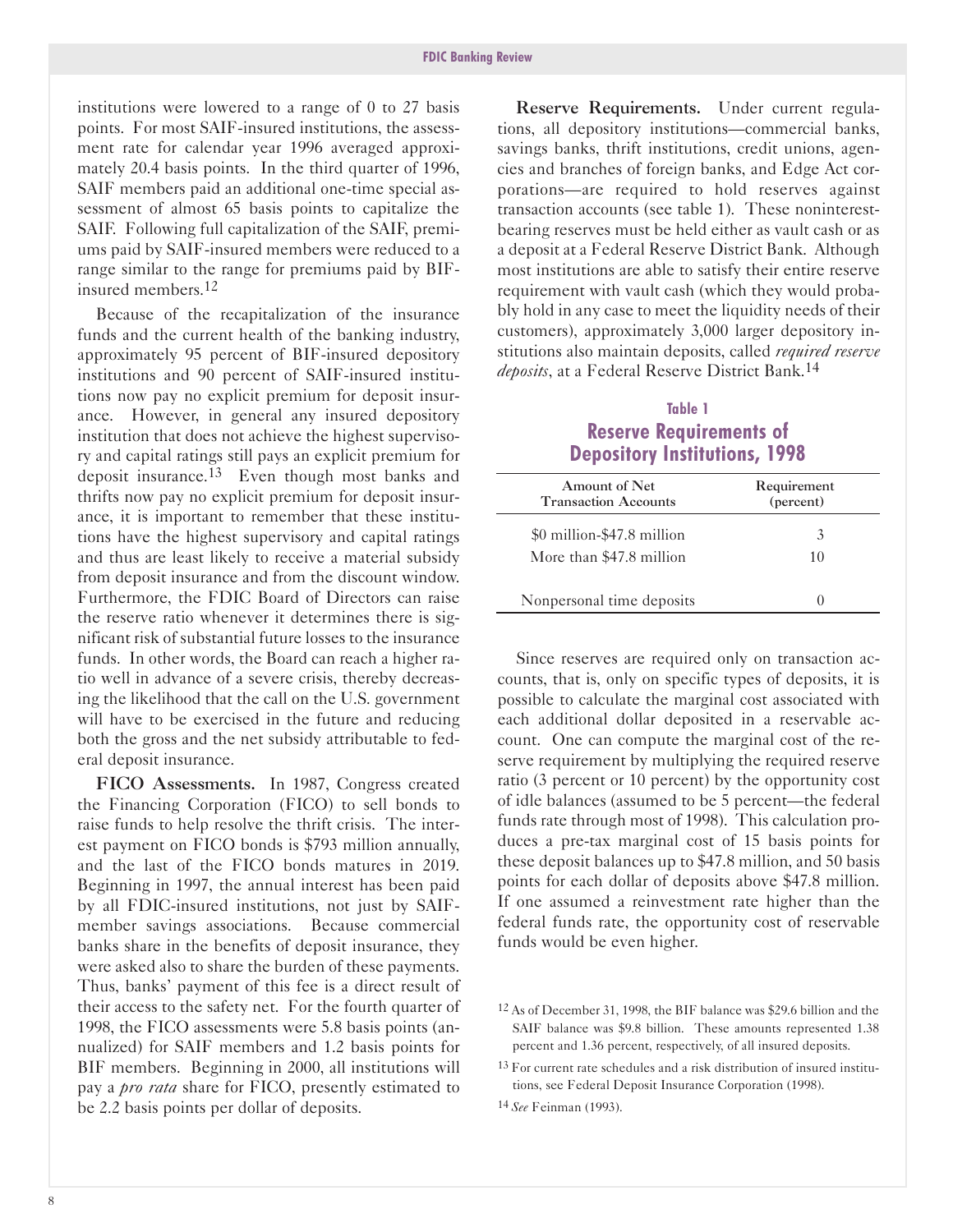institutions were lowered to a range of 0 to 27 basis points. For most SAIF-insured institutions, the assessment rate for calendar year 1996 averaged approximately 20.4 basis points. In the third quarter of 1996, SAIF members paid an additional one-time special assessment of almost 65 basis points to capitalize the SAIF. Following full capitalization of the SAIF, premiums paid by SAIF-insured members were reduced to a range similar to the range for premiums paid by BIFinsured members.12

Because of the recapitalization of the insurance funds and the current health of the banking industry, approximately 95 percent of BIF-insured depository institutions and 90 percent of SAIF-insured institutions now pay no explicit premium for deposit insurance. However, in general any insured depository institution that does not achieve the highest supervisory and capital ratings still pays an explicit premium for deposit insurance.13 Even though most banks and thrifts now pay no explicit premium for deposit insurance, it is important to remember that these institutions have the highest supervisory and capital ratings and thus are least likely to receive a material subsidy from deposit insurance and from the discount window. Furthermore, the FDIC Board of Directors can raise the reserve ratio whenever it determines there is significant risk of substantial future losses to the insurance funds. In other words, the Board can reach a higher ratio well in advance of a severe crisis, thereby decreasing the likelihood that the call on the U.S. government will have to be exercised in the future and reducing both the gross and the net subsidy attributable to federal deposit insurance.

FICO Assessments. In 1987, Congress created the Financing Corporation (FICO) to sell bonds to raise funds to help resolve the thrift crisis. The interest payment on FICO bonds is \$793 million annually, and the last of the FICO bonds matures in 2019. Beginning in 1997, the annual interest has been paid by all FDIC-insured institutions, not just by SAIFmember savings associations. Because commercial banks share in the benefits of deposit insurance, they were asked also to share the burden of these payments. Thus, banks' payment of this fee is a direct result of their access to the safety net. For the fourth quarter of 1998, the FICO assessments were 5.8 basis points (annualized) for SAIF members and 1.2 basis points for BIF members. Beginning in 2000, all institutions will pay a *pro rata* share for FICO, presently estimated to be 2.2 basis points per dollar of deposits.

Reserve Requirements. Under current regulations, all depository institutions-commercial banks, savings banks, thrift institutions, credit unions, agencies and branches of foreign banks, and Edge Act corporations-are required to hold reserves against transaction accounts (see table 1). These noninterestbearing reserves must be held either as vault cash or as a deposit at a Federal Reserve District Bank. Although most institutions are able to satisfy their entire reserve requirement with vault cash (which they would probably hold in any case to meet the liquidity needs of their customers), approximately 3,000 larger depository institutions also maintain deposits, called *required reserve deposits*, at a Federal Reserve District Bank.14

#### **Table 1 Reserve Requirements of Depository Institutions, 1998**

| Amount of Net<br><b>Transaction Accounts</b>           | Requirement<br>(percent) |
|--------------------------------------------------------|--------------------------|
| \$0 million-\$47.8 million<br>More than \$47.8 million | 10                       |
| Nonpersonal time deposits                              |                          |

Since reserves are required only on transaction accounts, that is, only on specific types of deposits, it is possible to calculate the marginal cost associated with each additional dollar deposited in a reservable account. One can compute the marginal cost of the reserve requirement by multiplying the required reserve ratio (3 percent or 10 percent) by the opportunity cost of idle balances (assumed to be 5 percent—the federal funds rate through most of 1998). This calculation produces a pre-tax marginal cost of 15 basis points for these deposit balances up to \$47.8 million, and 50 basis points for each dollar of deposits above \$47.8 million. If one assumed a reinvestment rate higher than the federal funds rate, the opportunity cost of reservable funds would be even higher.

13 For current rate schedules and a risk distribution of insured institutions, see Federal Deposit Insurance Corporation (1998).

14 *See* Feinman (1993).

<sup>12</sup> As of December 31, 1998, the BIF balance was \$29.6 billion and the SAIF balance was \$9.8 billion. These amounts represented 1.38 percent and 1.36 percent, respectively, of all insured deposits.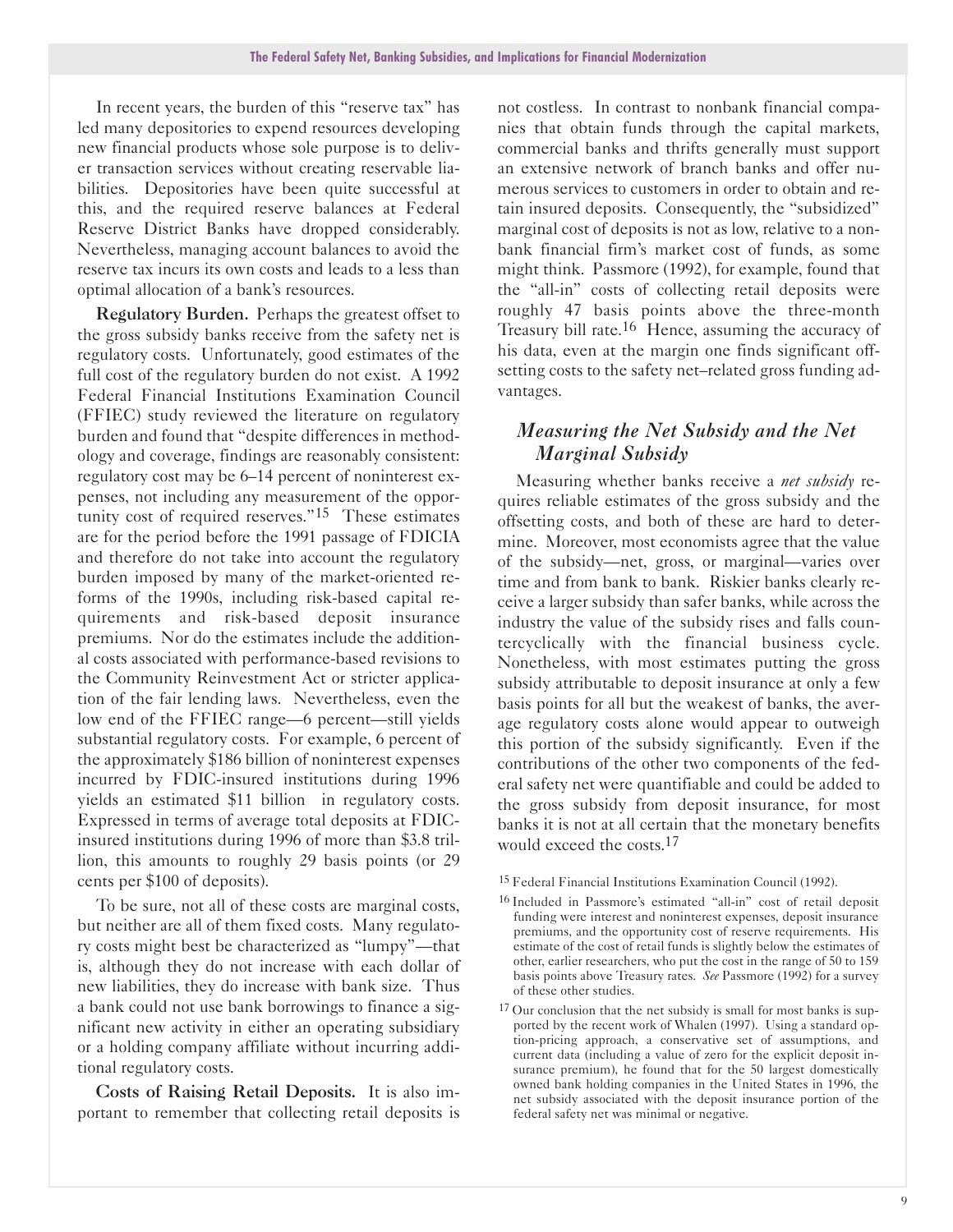In recent years, the burden of this "reserve tax" has led many depositories to expend resources developing new financial products whose sole purpose is to deliver transaction services without creating reservable liabilities. Depositories have been quite successful at this, and the required reserve balances at Federal Reserve District Banks have dropped considerably. Nevertheless, managing account balances to avoid the reserve tax incurs its own costs and leads to a less than optimal allocation of a bank's resources.

Regulatory Burden. Perhaps the greatest offset to the gross subsidy banks receive from the safety net is regulatory costs. Unfortunately, good estimates of the full cost of the regulatory burden do not exist. A 1992 Federal Financial Institutions Examination Council (FFIEC) study reviewed the literature on regulatory burden and found that "despite differences in methodology and coverage, findings are reasonably consistent: regulatory cost may be 6-14 percent of noninterest expenses, not including any measurement of the opportunity cost of required reserves."15 These estimates are for the period before the 1991 passage of FDICIA and therefore do not take into account the regulatory burden imposed by many of the market-oriented reforms of the 1990s, including risk-based capital requirements and risk-based deposit insurance premiums. Nor do the estimates include the additional costs associated with performance-based revisions to the Community Reinvestment Act or stricter application of the fair lending laws. Nevertheless, even the low end of the FFIEC range—6 percent—still yields substantial regulatory costs. For example, 6 percent of the approximately \$186 billion of noninterest expenses incurred by FDIC-insured institutions during 1996 yields an estimated \$11 billion in regulatory costs. Expressed in terms of average total deposits at FDICinsured institutions during 1996 of more than \$3.8 trillion, this amounts to roughly 29 basis points (or 29 cents per \$100 of deposits).

To be sure, not all of these costs are marginal costs, but neither are all of them fixed costs. Many regulatory costs might best be characterized as "lumpy"-that is, although they do not increase with each dollar of new liabilities, they do increase with bank size. Thus a bank could not use bank borrowings to finance a significant new activity in either an operating subsidiary or a holding company affiliate without incurring additional regulatory costs.

Costs of Raising Retail Deposits. It is also important to remember that collecting retail deposits is

not costless. In contrast to nonbank financial companies that obtain funds through the capital markets, commercial banks and thrifts generally must support an extensive network of branch banks and offer numerous services to customers in order to obtain and retain insured deposits. Consequently, the "subsidized" marginal cost of deposits is not as low, relative to a nonbank financial firm's market cost of funds, as some might think. Passmore (1992), for example, found that the "all-in" costs of collecting retail deposits were roughly 47 basis points above the three-month Treasury bill rate.16 Hence, assuming the accuracy of his data, even at the margin one finds significant offsetting costs to the safety net-related gross funding advantages.

#### *Measuring the Net Subsidy and the Net Marginal Subsidy*

Measuring whether banks receive a *net subsidy* requires reliable estimates of the gross subsidy and the offsetting costs, and both of these are hard to determine. Moreover, most economists agree that the value of the subsidy—net, gross, or marginal—varies over time and from bank to bank. Riskier banks clearly receive a larger subsidy than safer banks, while across the industry the value of the subsidy rises and falls countercyclically with the financial business cycle. Nonetheless, with most estimates putting the gross subsidy attributable to deposit insurance at only a few basis points for all but the weakest of banks, the average regulatory costs alone would appear to outweigh this portion of the subsidy significantly. Even if the contributions of the other two components of the federal safety net were quantifiable and could be added to the gross subsidy from deposit insurance, for most banks it is not at all certain that the monetary benefits would exceed the costs.<sup>17</sup>

<sup>15</sup> Federal Financial Institutions Examination Council (1992).

<sup>&</sup>lt;sup>16</sup> Included in Passmore's estimated "all-in" cost of retail deposit funding were interest and noninterest expenses, deposit insurance premiums, and the opportunity cost of reserve requirements. His estimate of the cost of retail funds is slightly below the estimates of other, earlier researchers, who put the cost in the range of 50 to 159 basis points above Treasury rates. *See* Passmore (1992) for a survey of these other studies.

<sup>&</sup>lt;sup>17</sup> Our conclusion that the net subsidy is small for most banks is supported by the recent work of Whalen (1997). Using a standard option-pricing approach, a conservative set of assumptions, and current data (including a value of zero for the explicit deposit insurance premium), he found that for the 50 largest domestically owned bank holding companies in the United States in 1996, the net subsidy associated with the deposit insurance portion of the federal safety net was minimal or negative.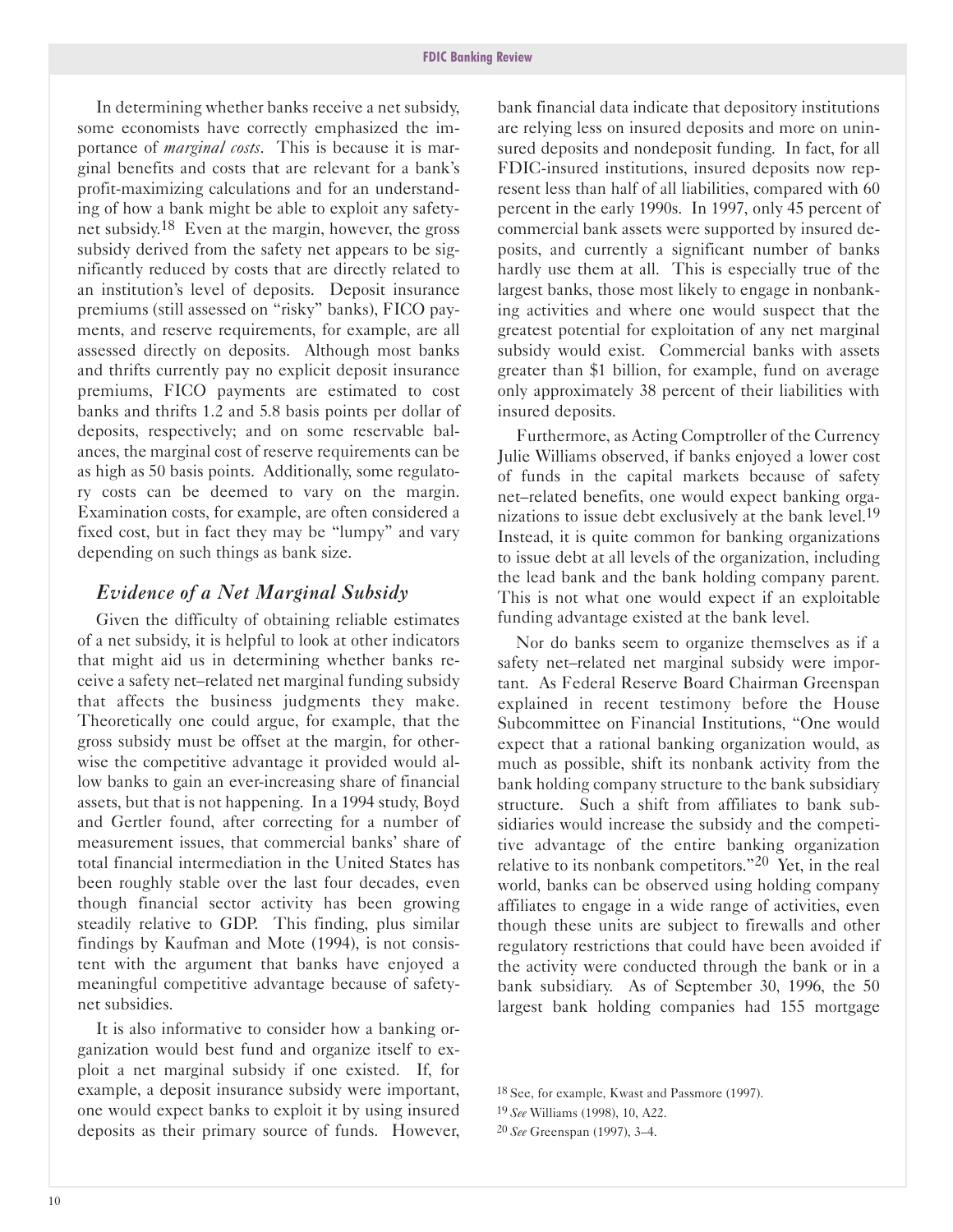In determining whether banks receive a net subsidy, some economists have correctly emphasized the importance of *marginal costs*. This is because it is marginal benefits and costs that are relevant for a bank's profit-maximizing calculations and for an understanding of how a bank might be able to exploit any safetynet subsidy.18 Even at the margin, however, the gross subsidy derived from the safety net appears to be significantly reduced by costs that are directly related to an institution's level of deposits. Deposit insurance premiums (still assessed on "risky" banks), FICO payments, and reserve requirements, for example, are all assessed directly on deposits. Although most banks and thrifts currently pay no explicit deposit insurance premiums, FICO payments are estimated to cost banks and thrifts 1.2 and 5.8 basis points per dollar of deposits, respectively; and on some reservable balances, the marginal cost of reserve requirements can be as high as 50 basis points. Additionally, some regulatory costs can be deemed to vary on the margin. Examination costs, for example, are often considered a fixed cost, but in fact they may be "lumpy" and vary depending on such things as bank size.

#### *Evidence of a Net Marginal Subsidy*

Given the difficulty of obtaining reliable estimates of a net subsidy, it is helpful to look at other indicators that might aid us in determining whether banks receive a safety net-related net marginal funding subsidy that affects the business judgments they make. Theoretically one could argue, for example, that the gross subsidy must be offset at the margin, for otherwise the competitive advantage it provided would allow banks to gain an ever-increasing share of financial assets, but that is not happening. In a 1994 study, Boyd and Gertler found, after correcting for a number of measurement issues, that commercial banks' share of total financial intermediation in the United States has been roughly stable over the last four decades, even though financial sector activity has been growing steadily relative to GDP. This finding, plus similar findings by Kaufman and Mote (1994), is not consistent with the argument that banks have enjoyed a meaningful competitive advantage because of safetynet subsidies.

It is also informative to consider how a banking organization would best fund and organize itself to exploit a net marginal subsidy if one existed. If, for example, a deposit insurance subsidy were important, one would expect banks to exploit it by using insured deposits as their primary source of funds. However,

bank financial data indicate that depository institutions are relying less on insured deposits and more on uninsured deposits and nondeposit funding. In fact, for all FDIC-insured institutions, insured deposits now represent less than half of all liabilities, compared with 60 percent in the early 1990s. In 1997, only 45 percent of commercial bank assets were supported by insured deposits, and currently a significant number of banks hardly use them at all. This is especially true of the largest banks, those most likely to engage in nonbanking activities and where one would suspect that the greatest potential for exploitation of any net marginal subsidy would exist. Commercial banks with assets greater than \$1 billion, for example, fund on average only approximately 38 percent of their liabilities with insured deposits.

Furthermore, as Acting Comptroller of the Currency Julie Williams observed, if banks enjoyed a lower cost of funds in the capital markets because of safety net-related benefits, one would expect banking organizations to issue debt exclusively at the bank level.<sup>19</sup> Instead, it is quite common for banking organizations to issue debt at all levels of the organization, including the lead bank and the bank holding company parent. This is not what one would expect if an exploitable funding advantage existed at the bank level.

Nor do banks seem to organize themselves as if a safety net-related net marginal subsidy were important. As Federal Reserve Board Chairman Greenspan explained in recent testimony before the House Subcommittee on Financial Institutions, "One would expect that a rational banking organization would, as much as possible, shift its nonbank activity from the bank holding company structure to the bank subsidiary structure. Such a shift from affiliates to bank subsidiaries would increase the subsidy and the competitive advantage of the entire banking organization relative to its nonbank competitors."20 Yet, in the real world, banks can be observed using holding company affiliates to engage in a wide range of activities, even though these units are subject to firewalls and other regulatory restrictions that could have been avoided if the activity were conducted through the bank or in a bank subsidiary. As of September 30, 1996, the 50 largest bank holding companies had 155 mortgage

<sup>18</sup> See, for example, Kwast and Passmore (1997).

<sup>19</sup> *See* Williams (1998), 10, A22.

<sup>20</sup> *See* Greenspan (1997), 3-4.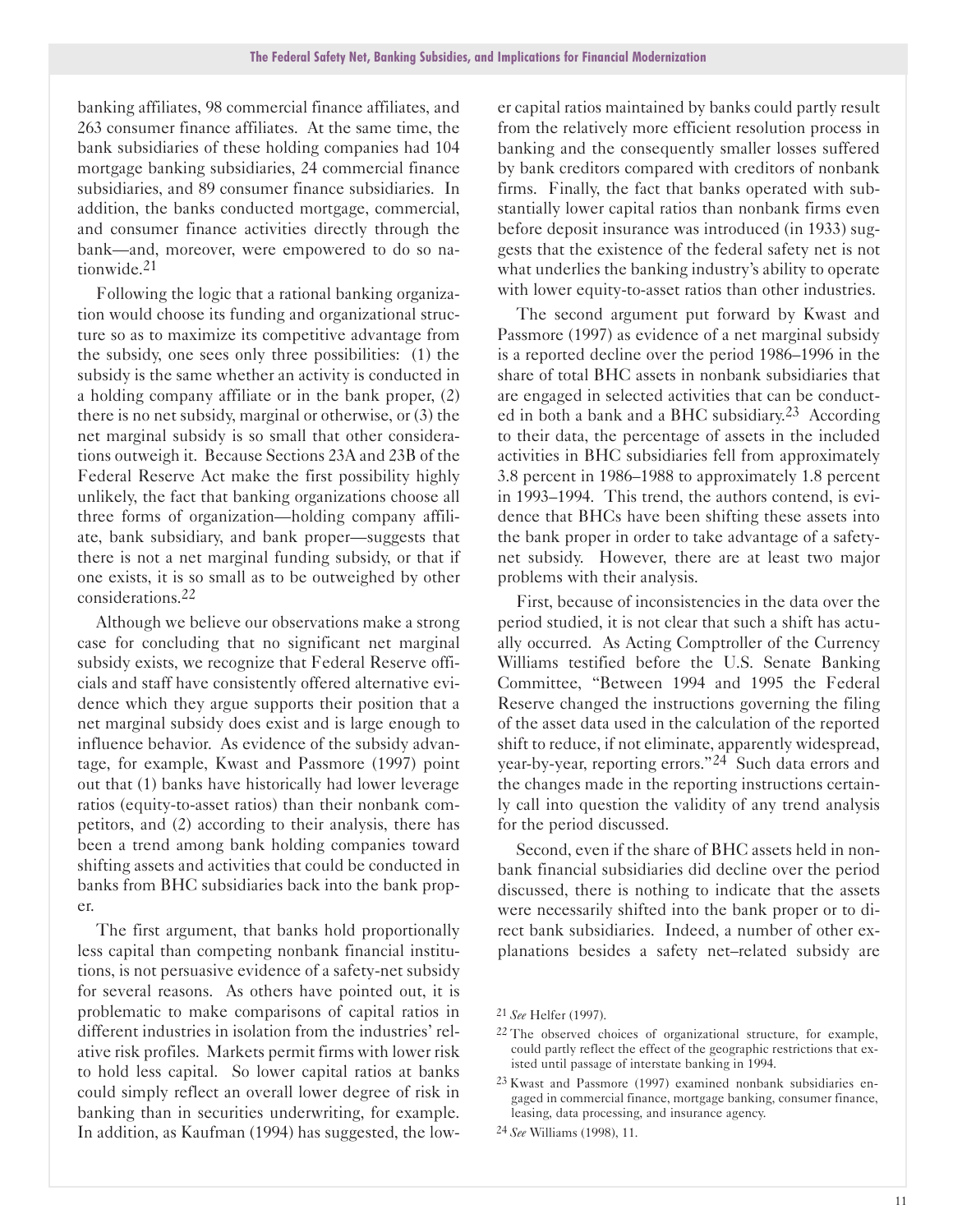banking affiliates, 98 commercial finance affiliates, and 263 consumer finance affiliates. At the same time, the bank subsidiaries of these holding companies had 104 mortgage banking subsidiaries, 24 commercial finance subsidiaries, and 89 consumer finance subsidiaries. In addition, the banks conducted mortgage, commercial, and consumer finance activities directly through the bank-and, moreover, were empowered to do so nationwide.21

Following the logic that a rational banking organization would choose its funding and organizational structure so as to maximize its competitive advantage from the subsidy, one sees only three possibilities: (1) the subsidy is the same whether an activity is conducted in a holding company affiliate or in the bank proper, (2) there is no net subsidy, marginal or otherwise, or (3) the net marginal subsidy is so small that other considerations outweigh it. Because Sections 23A and 23B of the Federal Reserve Act make the first possibility highly unlikely, the fact that banking organizations choose all three forms of organization-holding company affiliate, bank subsidiary, and bank proper-suggests that there is not a net marginal funding subsidy, or that if one exists, it is so small as to be outweighed by other considerations.22

Although we believe our observations make a strong case for concluding that no significant net marginal subsidy exists, we recognize that Federal Reserve officials and staff have consistently offered alternative evidence which they argue supports their position that a net marginal subsidy does exist and is large enough to influence behavior. As evidence of the subsidy advantage, for example, Kwast and Passmore (1997) point out that (1) banks have historically had lower leverage ratios (equity-to-asset ratios) than their nonbank competitors, and (2) according to their analysis, there has been a trend among bank holding companies toward shifting assets and activities that could be conducted in banks from BHC subsidiaries back into the bank proper.

The first argument, that banks hold proportionally less capital than competing nonbank financial institutions, is not persuasive evidence of a safety-net subsidy for several reasons. As others have pointed out, it is problematic to make comparisons of capital ratios in different industries in isolation from the industries' relative risk profiles. Markets permit firms with lower risk to hold less capital. So lower capital ratios at banks could simply reflect an overall lower degree of risk in banking than in securities underwriting, for example. In addition, as Kaufman (1994) has suggested, the low-

er capital ratios maintained by banks could partly result from the relatively more efficient resolution process in banking and the consequently smaller losses suffered by bank creditors compared with creditors of nonbank firms. Finally, the fact that banks operated with substantially lower capital ratios than nonbank firms even before deposit insurance was introduced (in 1933) suggests that the existence of the federal safety net is not what underlies the banking industry's ability to operate with lower equity-to-asset ratios than other industries.

The second argument put forward by Kwast and Passmore (1997) as evidence of a net marginal subsidy is a reported decline over the period 1986-1996 in the share of total BHC assets in nonbank subsidiaries that are engaged in selected activities that can be conducted in both a bank and a BHC subsidiary.<sup>23</sup> According to their data, the percentage of assets in the included activities in BHC subsidiaries fell from approximately 3.8 percent in 1986-1988 to approximately 1.8 percent in 1993-1994. This trend, the authors contend, is evidence that BHCs have been shifting these assets into the bank proper in order to take advantage of a safetynet subsidy. However, there are at least two major problems with their analysis.

First, because of inconsistencies in the data over the period studied, it is not clear that such a shift has actually occurred. As Acting Comptroller of the Currency Williams testified before the U.S. Senate Banking Committee, "Between 1994 and 1995 the Federal Reserve changed the instructions governing the filing of the asset data used in the calculation of the reported shift to reduce, if not eliminate, apparently widespread, year-by-year, reporting errors."<sup>24</sup> Such data errors and the changes made in the reporting instructions certainly call into question the validity of any trend analysis for the period discussed.

Second, even if the share of BHC assets held in nonbank financial subsidiaries did decline over the period discussed, there is nothing to indicate that the assets were necessarily shifted into the bank proper or to direct bank subsidiaries. Indeed, a number of other explanations besides a safety net-related subsidy are

<sup>21</sup> *See* Helfer (1997).

<sup>22</sup> The observed choices of organizational structure, for example, could partly reflect the effect of the geographic restrictions that existed until passage of interstate banking in 1994.

<sup>23</sup> Kwast and Passmore (1997) examined nonbank subsidiaries engaged in commercial finance, mortgage banking, consumer finance, leasing, data processing, and insurance agency.

<sup>24</sup> *See* Williams (1998), 11.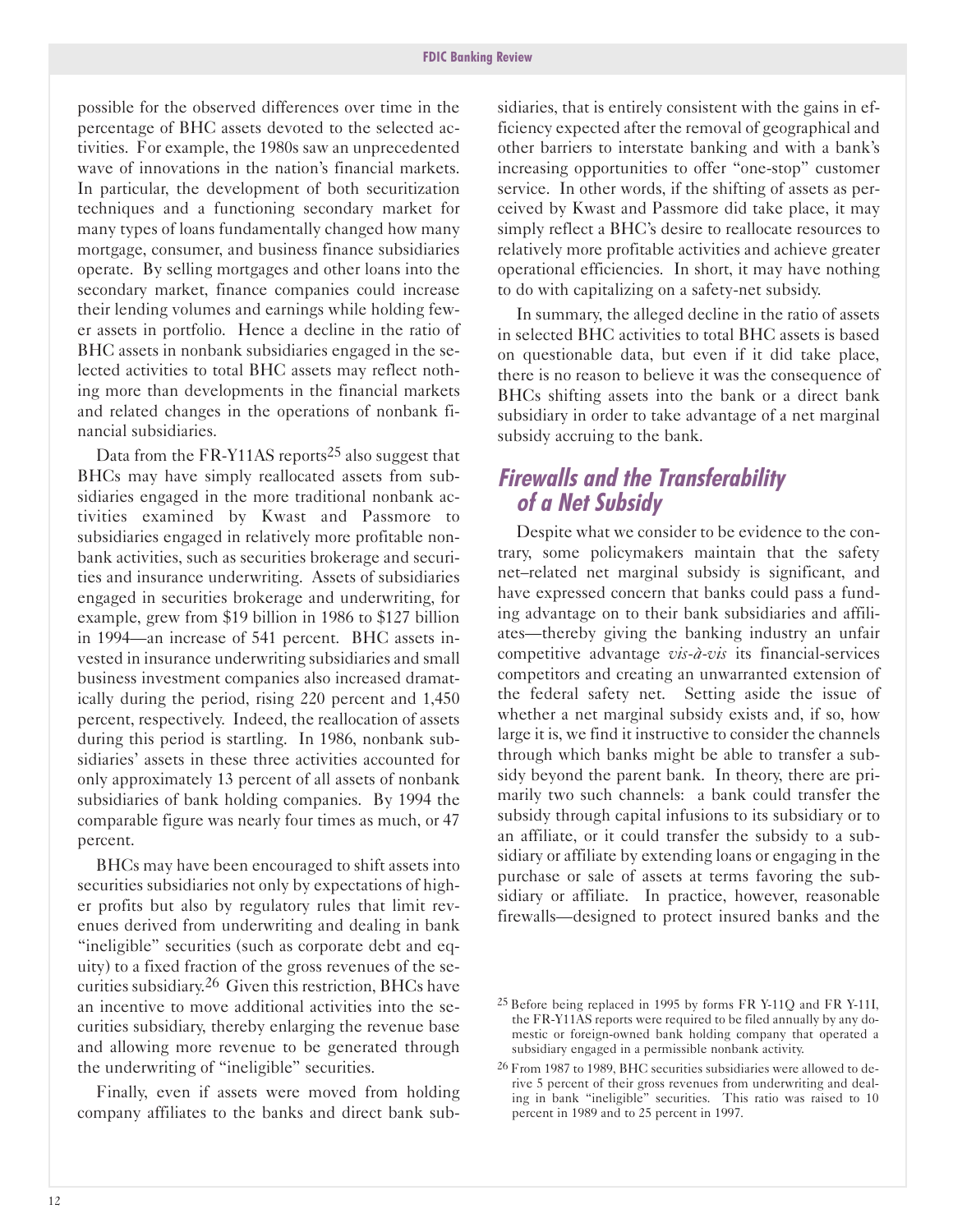possible for the observed differences over time in the percentage of BHC assets devoted to the selected activities. For example, the 1980s saw an unprecedented wave of innovations in the nation's financial markets. In particular, the development of both securitization techniques and a functioning secondary market for many types of loans fundamentally changed how many mortgage, consumer, and business finance subsidiaries operate. By selling mortgages and other loans into the secondary market, finance companies could increase their lending volumes and earnings while holding fewer assets in portfolio. Hence a decline in the ratio of BHC assets in nonbank subsidiaries engaged in the selected activities to total BHC assets may reflect nothing more than developments in the financial markets and related changes in the operations of nonbank financial subsidiaries.

Data from the FR-Y11AS reports<sup>25</sup> also suggest that BHCs may have simply reallocated assets from subsidiaries engaged in the more traditional nonbank activities examined by Kwast and Passmore to subsidiaries engaged in relatively more profitable nonbank activities, such as securities brokerage and securities and insurance underwriting. Assets of subsidiaries engaged in securities brokerage and underwriting, for example, grew from \$19 billion in 1986 to \$127 billion in 1994—an increase of 541 percent. BHC assets invested in insurance underwriting subsidiaries and small business investment companies also increased dramatically during the period, rising 220 percent and 1,450 percent, respectively. Indeed, the reallocation of assets during this period is startling. In 1986, nonbank subsidiaries' assets in these three activities accounted for only approximately 13 percent of all assets of nonbank subsidiaries of bank holding companies. By 1994 the comparable figure was nearly four times as much, or 47 percent.

BHCs may have been encouraged to shift assets into securities subsidiaries not only by expectations of higher profits but also by regulatory rules that limit revenues derived from underwriting and dealing in bank "ineligible" securities (such as corporate debt and equity) to a fixed fraction of the gross revenues of the securities subsidiary.26 Given this restriction, BHCs have an incentive to move additional activities into the securities subsidiary, thereby enlarging the revenue base and allowing more revenue to be generated through the underwriting of "ineligible" securities.

Finally, even if assets were moved from holding company affiliates to the banks and direct bank sub-

sidiaries, that is entirely consistent with the gains in efficiency expected after the removal of geographical and other barriers to interstate banking and with a bank's increasing opportunities to offer "one-stop" customer service. In other words, if the shifting of assets as perceived by Kwast and Passmore did take place, it may simply reflect a BHC's desire to reallocate resources to relatively more profitable activities and achieve greater operational efficiencies. In short, it may have nothing to do with capitalizing on a safety-net subsidy.

In summary, the alleged decline in the ratio of assets in selected BHC activities to total BHC assets is based on questionable data, but even if it did take place, there is no reason to believe it was the consequence of BHCs shifting assets into the bank or a direct bank subsidiary in order to take advantage of a net marginal subsidy accruing to the bank.

## **Firewalls and the Transferability of a Net Subsidy**

Despite what we consider to be evidence to the contrary, some policymakers maintain that the safety net-related net marginal subsidy is significant, and have expressed concern that banks could pass a funding advantage on to their bank subsidiaries and affiliates—thereby giving the banking industry an unfair competitive advantage *vis-à-vis* its financial-services competitors and creating an unwarranted extension of the federal safety net. Setting aside the issue of whether a net marginal subsidy exists and, if so, how large it is, we find it instructive to consider the channels through which banks might be able to transfer a subsidy beyond the parent bank. In theory, there are primarily two such channels: a bank could transfer the subsidy through capital infusions to its subsidiary or to an affiliate, or it could transfer the subsidy to a subsidiary or affiliate by extending loans or engaging in the purchase or sale of assets at terms favoring the subsidiary or affiliate. In practice, however, reasonable firewalls-designed to protect insured banks and the

 $25$  Before being replaced in 1995 by forms FR Y-11Q and FR Y-11I, the FRY11AS reports were required to be filed annually by any domestic or foreign-owned bank holding company that operated a subsidiary engaged in a permissible nonbank activity.

<sup>26</sup> From 1987 to 1989, BHC securities subsidiaries were allowed to derive 5 percent of their gross revenues from underwriting and dealing in bank "ineligible" securities. This ratio was raised to 10 percent in 1989 and to 25 percent in 1997.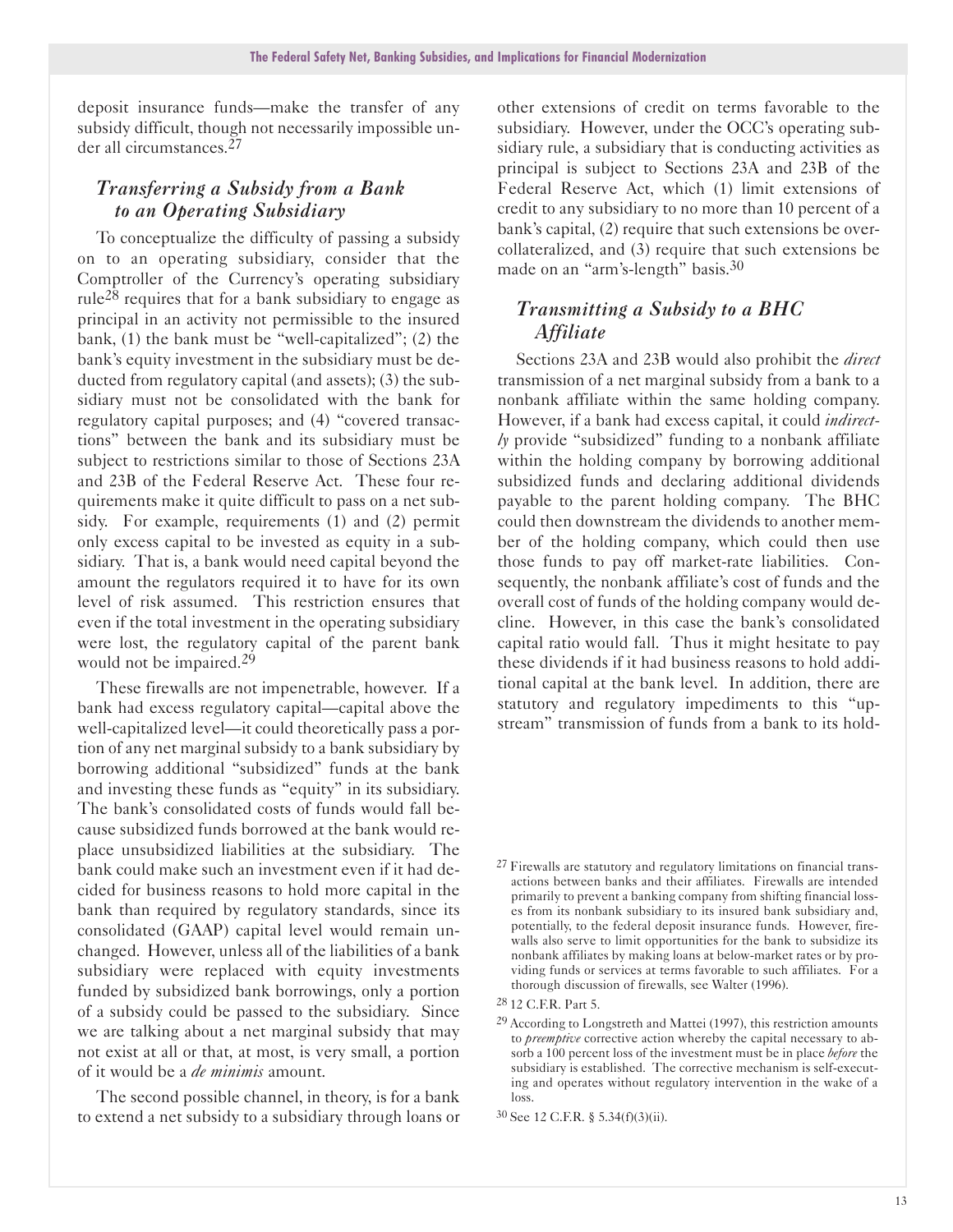deposit insurance funds-make the transfer of any subsidy difficult, though not necessarily impossible under all circumstances.27

#### *Transferring a Subsidy from a Bank to an Operating Subsidiary*

To conceptualize the difficulty of passing a subsidy on to an operating subsidiary, consider that the Comptroller of the Currency's operating subsidiary rule<sup>28</sup> requires that for a bank subsidiary to engage as principal in an activity not permissible to the insured bank,  $(1)$  the bank must be "well-capitalized";  $(2)$  the bank's equity investment in the subsidiary must be deducted from regulatory capital (and assets); (3) the subsidiary must not be consolidated with the bank for regulatory capital purposes; and (4) "covered transactions" between the bank and its subsidiary must be subject to restrictions similar to those of Sections 23A and 23B of the Federal Reserve Act. These four requirements make it quite difficult to pass on a net subsidy. For example, requirements (1) and (2) permit only excess capital to be invested as equity in a subsidiary. That is, a bank would need capital beyond the amount the regulators required it to have for its own level of risk assumed. This restriction ensures that even if the total investment in the operating subsidiary were lost, the regulatory capital of the parent bank would not be impaired.<sup>29</sup>

These firewalls are not impenetrable, however. If a bank had excess regulatory capital—capital above the well-capitalized level—it could theoretically pass a portion of any net marginal subsidy to a bank subsidiary by borrowing additional "subsidized" funds at the bank and investing these funds as "equity" in its subsidiary. The bank's consolidated costs of funds would fall because subsidized funds borrowed at the bank would replace unsubsidized liabilities at the subsidiary. The bank could make such an investment even if it had decided for business reasons to hold more capital in the bank than required by regulatory standards, since its consolidated (GAAP) capital level would remain unchanged. However, unless all of the liabilities of a bank subsidiary were replaced with equity investments funded by subsidized bank borrowings, only a portion of a subsidy could be passed to the subsidiary. Since we are talking about a net marginal subsidy that may not exist at all or that, at most, is very small, a portion of it would be a *de minimis* amount.

The second possible channel, in theory, is for a bank to extend a net subsidy to a subsidiary through loans or

other extensions of credit on terms favorable to the subsidiary. However, under the OCC's operating subsidiary rule, a subsidiary that is conducting activities as principal is subject to Sections 23A and 23B of the Federal Reserve Act, which (1) limit extensions of credit to any subsidiary to no more than 10 percent of a bank's capital, (2) require that such extensions be overcollateralized, and (3) require that such extensions be made on an "arm's-length" basis.<sup>30</sup>

#### *Transmitting a Subsidy to a BHC Affiliate*

Sections 23A and 23B would also prohibit the *direct* transmission of a net marginal subsidy from a bank to a nonbank affiliate within the same holding company. However, if a bank had excess capital, it could *indirectly* provide "subsidized" funding to a nonbank affiliate within the holding company by borrowing additional subsidized funds and declaring additional dividends payable to the parent holding company. The BHC could then downstream the dividends to another member of the holding company, which could then use those funds to pay off market-rate liabilities. Consequently, the nonbank affiliate's cost of funds and the overall cost of funds of the holding company would decline. However, in this case the bank's consolidated capital ratio would fall. Thus it might hesitate to pay these dividends if it had business reasons to hold additional capital at the bank level. In addition, there are statutory and regulatory impediments to this "upstream" transmission of funds from a bank to its hold-

<sup>&</sup>lt;sup>27</sup> Firewalls are statutory and regulatory limitations on financial transactions between banks and their affiliates. Firewalls are intended primarily to prevent a banking company from shifting financial losses from its nonbank subsidiary to its insured bank subsidiary and, potentially, to the federal deposit insurance funds. However, firewalls also serve to limit opportunities for the bank to subsidize its nonbank affiliates by making loans at below-market rates or by providing funds or services at terms favorable to such affiliates. For a thorough discussion of firewalls, see Walter (1996).

<sup>28</sup> 12 C.F.R. Part 5.

<sup>29</sup> According to Longstreth and Mattei (1997), this restriction amounts to *preemptive* corrective action whereby the capital necessary to absorb a 100 percent loss of the investment must be in place *before* the subsidiary is established. The corrective mechanism is self-executing and operates without regulatory intervention in the wake of a loss.

<sup>30</sup> See 12 C.F.R. § 5.34(f)(3)(ii).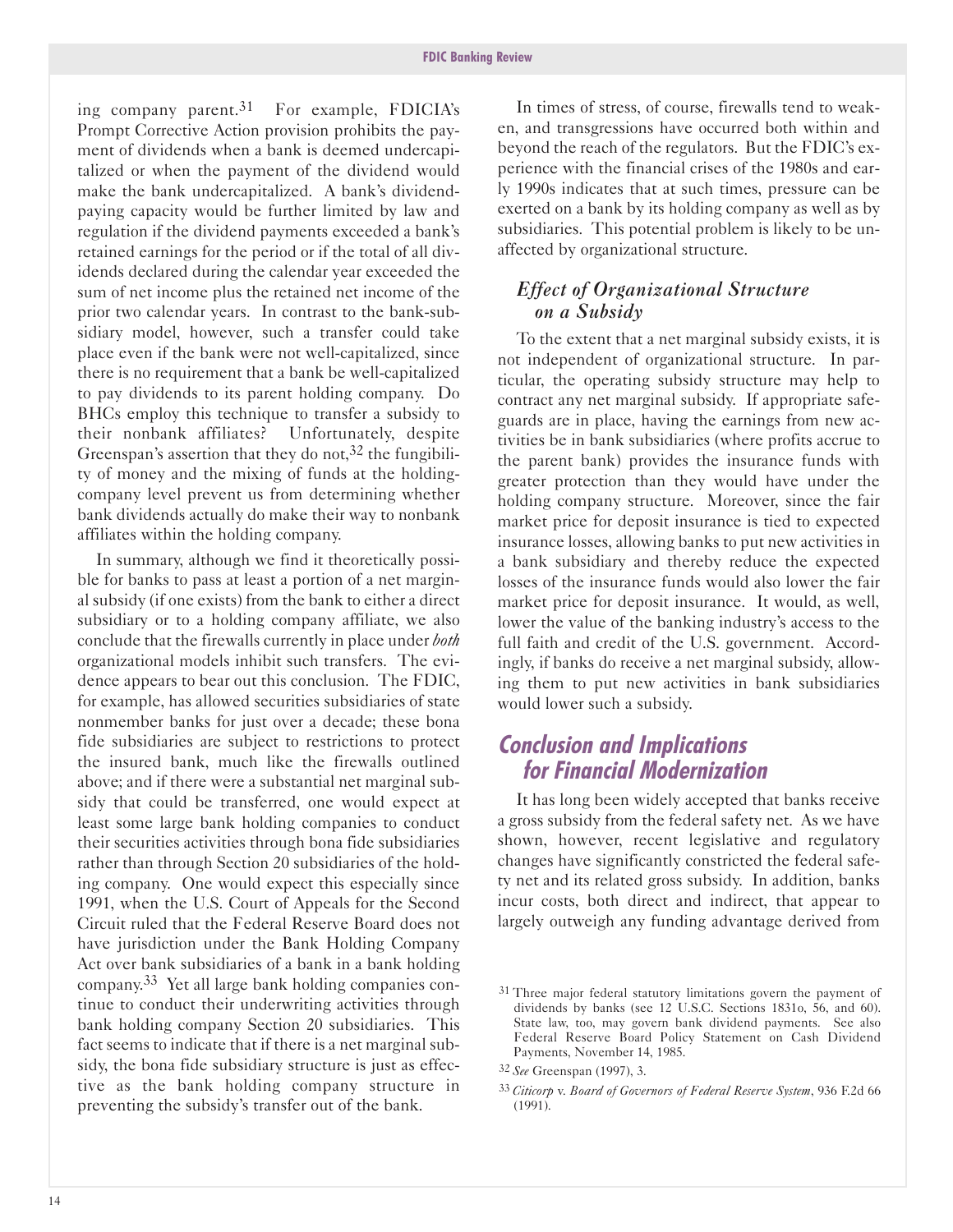ing company parent.31 For example, FDICIA's Prompt Corrective Action provision prohibits the payment of dividends when a bank is deemed undercapitalized or when the payment of the dividend would make the bank undercapitalized. A bank's dividendpaying capacity would be further limited by law and regulation if the dividend payments exceeded a bank's retained earnings for the period or if the total of all dividends declared during the calendar year exceeded the sum of net income plus the retained net income of the prior two calendar years. In contrast to the bank-subsidiary model, however, such a transfer could take place even if the bank were not well-capitalized, since there is no requirement that a bank be well-capitalized to pay dividends to its parent holding company. Do BHCs employ this technique to transfer a subsidy to their nonbank affiliates? Unfortunately, despite Greenspan's assertion that they do not,  $32$  the fungibility of money and the mixing of funds at the holdingcompany level prevent us from determining whether bank dividends actually do make their way to nonbank affiliates within the holding company.

In summary, although we find it theoretically possible for banks to pass at least a portion of a net marginal subsidy (if one exists) from the bank to either a direct subsidiary or to a holding company affiliate, we also conclude that the firewalls currently in place under *both* organizational models inhibit such transfers. The evidence appears to bear out this conclusion. The FDIC, for example, has allowed securities subsidiaries of state nonmember banks for just over a decade; these bona fide subsidiaries are subject to restrictions to protect the insured bank, much like the firewalls outlined above; and if there were a substantial net marginal subsidy that could be transferred, one would expect at least some large bank holding companies to conduct their securities activities through bona fide subsidiaries rather than through Section 20 subsidiaries of the holding company. One would expect this especially since 1991, when the U.S. Court of Appeals for the Second Circuit ruled that the Federal Reserve Board does not have jurisdiction under the Bank Holding Company Act over bank subsidiaries of a bank in a bank holding company.33 Yet all large bank holding companies continue to conduct their underwriting activities through bank holding company Section 20 subsidiaries. This fact seems to indicate that if there is a net marginal subsidy, the bona fide subsidiary structure is just as effective as the bank holding company structure in preventing the subsidy's transfer out of the bank.

In times of stress, of course, firewalls tend to weaken, and transgressions have occurred both within and beyond the reach of the regulators. But the FDIC's experience with the financial crises of the 1980s and early 1990s indicates that at such times, pressure can be exerted on a bank by its holding company as well as by subsidiaries. This potential problem is likely to be unaffected by organizational structure.

#### *Effect of Organizational Structure on a Subsidy*

To the extent that a net marginal subsidy exists, it is not independent of organizational structure. In particular, the operating subsidy structure may help to contract any net marginal subsidy. If appropriate safeguards are in place, having the earnings from new activities be in bank subsidiaries (where profits accrue to the parent bank) provides the insurance funds with greater protection than they would have under the holding company structure. Moreover, since the fair market price for deposit insurance is tied to expected insurance losses, allowing banks to put new activities in a bank subsidiary and thereby reduce the expected losses of the insurance funds would also lower the fair market price for deposit insurance. It would, as well, lower the value of the banking industry's access to the full faith and credit of the U.S. government. Accordingly, if banks do receive a net marginal subsidy, allowing them to put new activities in bank subsidiaries would lower such a subsidy.

## **Conclusion and Implications for Financial Modernization**

It has long been widely accepted that banks receive a gross subsidy from the federal safety net. As we have shown, however, recent legislative and regulatory changes have significantly constricted the federal safety net and its related gross subsidy. In addition, banks incur costs, both direct and indirect, that appear to largely outweigh any funding advantage derived from

<sup>31</sup> Three major federal statutory limitations govern the payment of dividends by banks (see 12 U.S.C. Sections 1831o, 56, and 60). State law, too, may govern bank dividend payments. See also Federal Reserve Board Policy Statement on Cash Dividend Payments, November 14, 1985.

<sup>32</sup> *See* Greenspan (1997), 3.

<sup>33</sup> *Citicorp* v. *Board of Governors of Federal Reserve System*, 936 F.2d 66 (1991).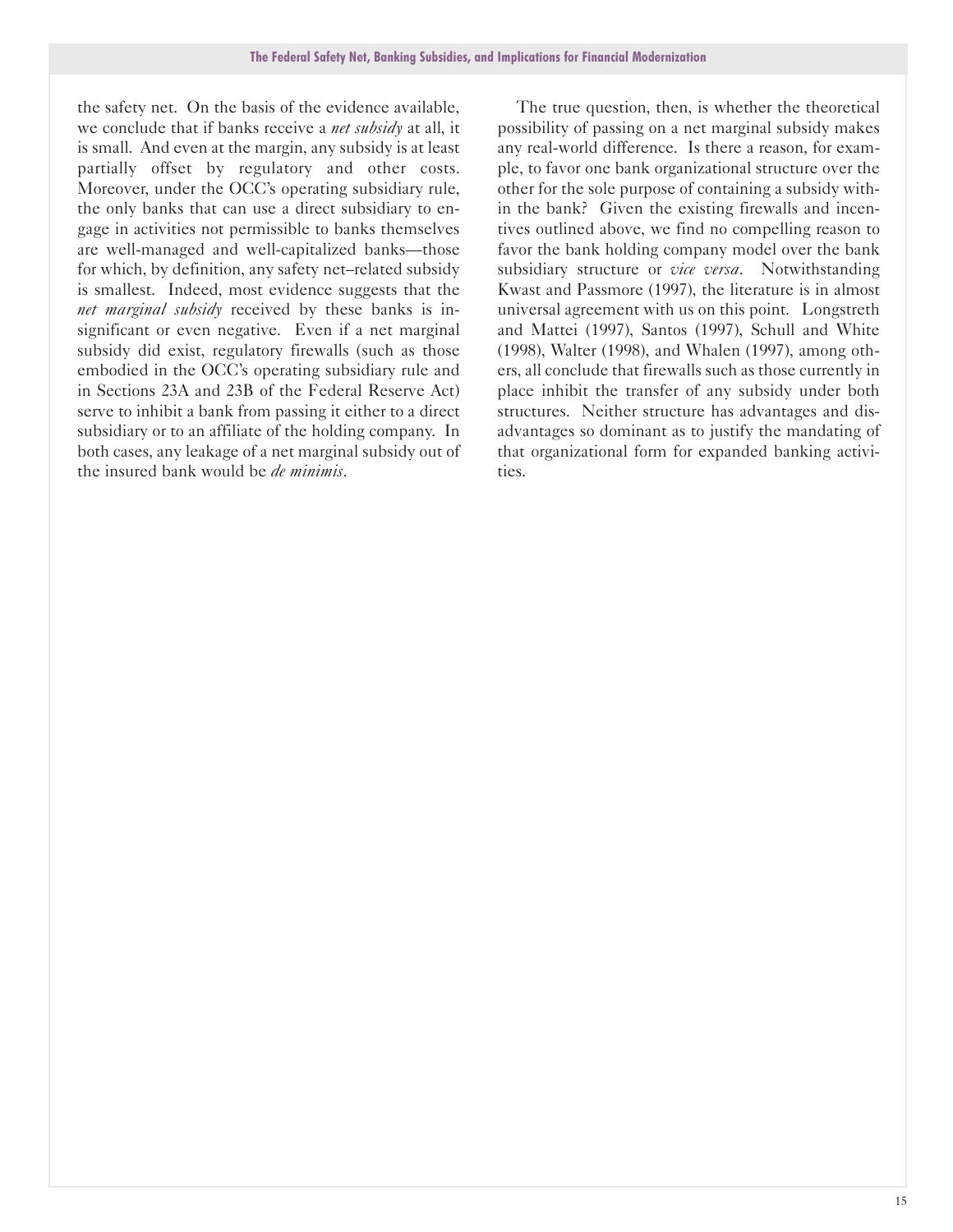the safety net. On the basis of the evidence available, we conclude that if banks receive a *net subsidy* at all, it is small. And even at the margin, any subsidy is at least partially offset by regulatory and other costs. Moreover, under the OCC's operating subsidiary rule, the only banks that can use a direct subsidiary to engage in activities not permissible to banks themselves are well-managed and well-capitalized banks-those for which, by definition, any safety net-related subsidy is smallest. Indeed, most evidence suggests that the *net marginal subsidy* received by these banks is insignificant or even negative. Even if a net marginal subsidy did exist, regulatory firewalls (such as those embodied in the OCC's operating subsidiary rule and in Sections 23A and 23B of the Federal Reserve Act) serve to inhibit a bank from passing it either to a direct subsidiary or to an affiliate of the holding company. In both cases, any leakage of a net marginal subsidy out of the insured bank would be *de minimis*.

The true question, then, is whether the theoretical possibility of passing on a net marginal subsidy makes any real-world difference. Is there a reason, for example, to favor one bank organizational structure over the other for the sole purpose of containing a subsidy within the bank? Given the existing firewalls and incentives outlined above, we find no compelling reason to favor the bank holding company model over the bank subsidiary structure or *vice versa*. Notwithstanding Kwast and Passmore (1997), the literature is in almost universal agreement with us on this point. Longstreth and Mattei (1997), Santos (1997), Schull and White (1998), Walter (1998), and Whalen (1997), among others, all conclude that firewalls such as those currently in place inhibit the transfer of any subsidy under both structures. Neither structure has advantages and disadvantages so dominant as to justify the mandating of that organizational form for expanded banking activities.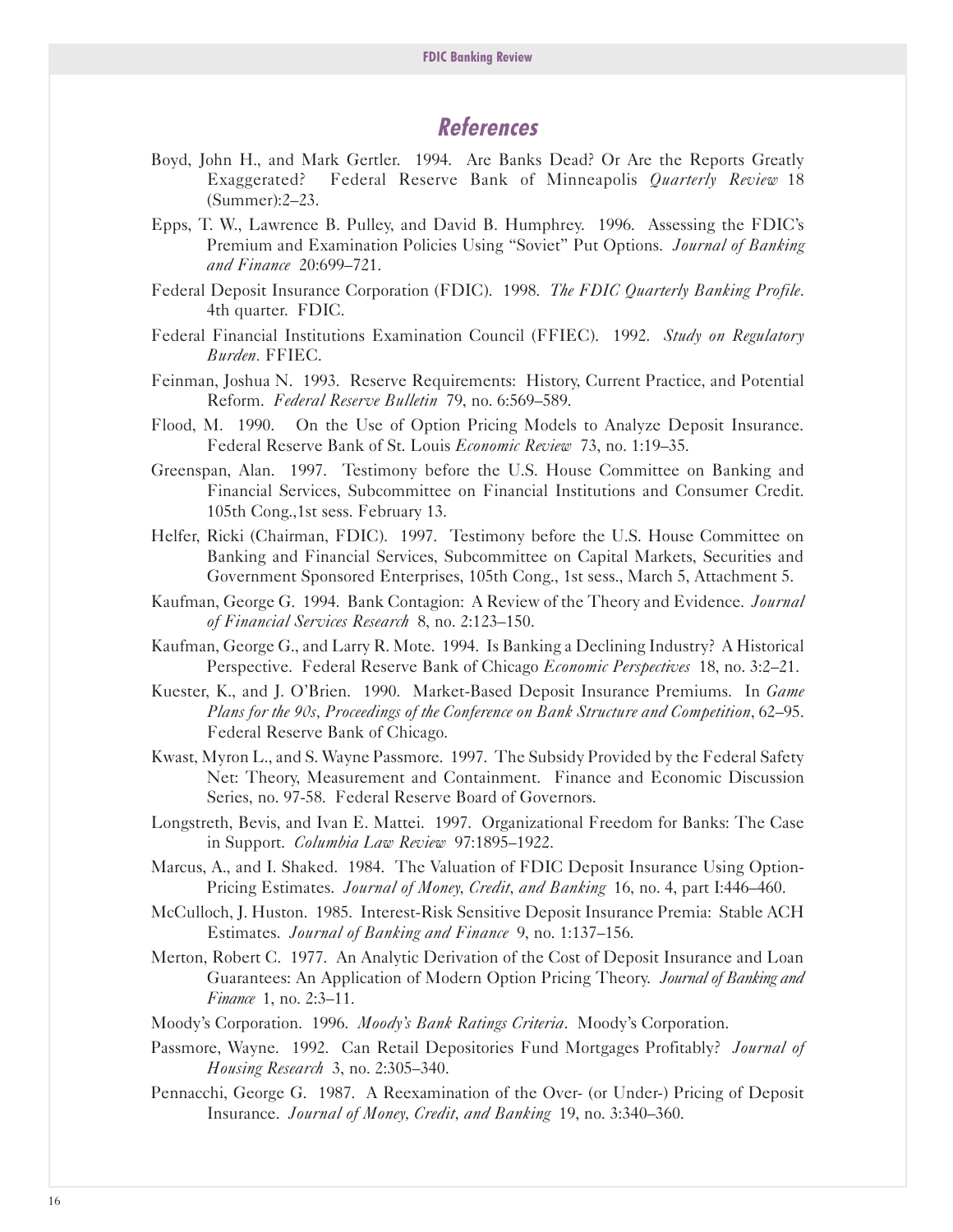## **References**

- Boyd, John H., and Mark Gertler. 1994. Are Banks Dead? Or Are the Reports Greatly Exaggerated? Federal Reserve Bank of Minneapolis *Quarterly Review* 18 (Summer):2-23.
- Epps, T. W., Lawrence B. Pulley, and David B. Humphrey. 1996. Assessing the FDIC's Premium and Examination Policies Using "Soviet" Put Options. *Journal of Banking and Finance* 20:699-721.
- Federal Deposit Insurance Corporation (FDIC). 1998. *The FDIC Quarterly Banking Profile*. 4th quarter. FDIC.
- Federal Financial Institutions Examination Council (FFIEC). 1992. *Study on Regulatory Burden.* FFIEC.
- Feinman, Joshua N. 1993. Reserve Requirements: History, Current Practice, and Potential Reform. *Federal Reserve Bulletin* 79, no. 6:569-589.
- Flood, M. 1990. On the Use of Option Pricing Models to Analyze Deposit Insurance. Federal Reserve Bank of St. Louis *Economic Review* 73, no. 1:19-35.
- Greenspan, Alan. 1997. Testimony before the U.S. House Committee on Banking and Financial Services, Subcommittee on Financial Institutions and Consumer Credit. 105th Cong.,1st sess. February 13.
- Helfer, Ricki (Chairman, FDIC). 1997. Testimony before the U.S. House Committee on Banking and Financial Services, Subcommittee on Capital Markets, Securities and Government Sponsored Enterprises, 105th Cong., 1st sess., March 5, Attachment 5.
- Kaufman, George G. 1994. Bank Contagion: A Review of the Theory and Evidence. *Journal of Financial Services Research* 8, no. 2:123-150.
- Kaufman, George G., and Larry R. Mote. 1994. Is Banking a Declining Industry? A Historical Perspective. Federal Reserve Bank of Chicago *Economic Perspectives* 18, no. 3:2-21.
- Kuester, K., and J. O'Brien. 1990. Market-Based Deposit Insurance Premiums. In *Game Plans for the 90s, Proceedings of the Conference on Bank Structure and Competition*, 62-95. Federal Reserve Bank of Chicago.
- Kwast, Myron L., and S. Wayne Passmore. 1997. The Subsidy Provided by the Federal Safety Net: Theory, Measurement and Containment. Finance and Economic Discussion Series, no. 97-58. Federal Reserve Board of Governors.
- Longstreth, Bevis, and Ivan E. Mattei. 1997. Organizational Freedom for Banks: The Case in Support. *Columbia Law Review* 97:1895-1922.
- Marcus, A., and I. Shaked. 1984. The Valuation of FDIC Deposit Insurance Using Option-Pricing Estimates. *Journal of Money, Credit, and Banking* 16, no. 4, part I:446-460.
- McCulloch, J. Huston. 1985. Interest-Risk Sensitive Deposit Insurance Premia: Stable ACH Estimates. *Journal of Banking and Finance* 9, no. 1:137-156.
- Merton, Robert C. 1977. An Analytic Derivation of the Cost of Deposit Insurance and Loan Guarantees: An Application of Modern Option Pricing Theory. *Journal of Banking and Finance* 1, no. 2:3–11.
- Moody's Corporation. 1996. *Moody's Bank Ratings Criteria*. Moody's Corporation.
- Passmore, Wayne. 1992. Can Retail Depositories Fund Mortgages Profitably? *Journal of Housing Research* 3, no. 2:305-340.
- Pennacchi, George G. 1987. A Reexamination of the Over (or Under) Pricing of Deposit Insurance. *Journal of Money, Credit, and Banking* 19, no. 3:340-360.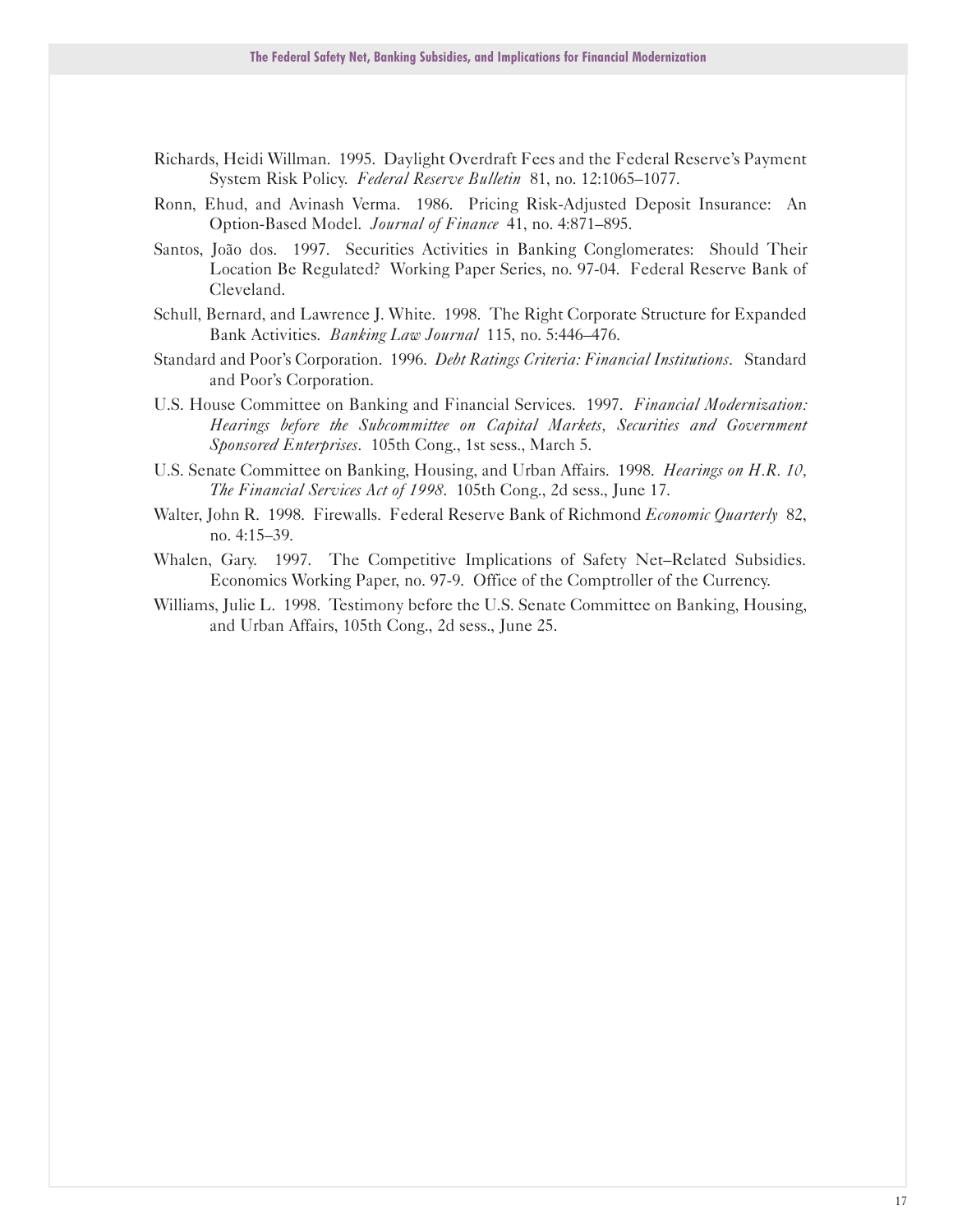- Richards, Heidi Willman. 1995. Daylight Overdraft Fees and the Federal Reserve's Payment System Risk Policy. *Federal Reserve Bulletin* 81, no. 12:1065-1077.
- Ronn, Ehud, and Avinash Verma. 1986. Pricing Risk-Adjusted Deposit Insurance: An Option-Based Model. *Journal of Finance* 41, no. 4:871-895.
- Santos, Joao dos. 1997. Securities Activities in Banking Conglomerates: Should Their Location Be Regulated? Working Paper Series, no. 97-04. Federal Reserve Bank of Cleveland.
- Schull, Bernard, and Lawrence J. White. 1998. The Right Corporate Structure for Expanded Bank Activities. *Banking Law Journal* 115, no. 5:446-476.
- Standard and Poor's Corporation. 1996. *Debt Ratings Criteria: Financial Institutions*. Standard and Poor's Corporation.
- U.S. House Committee on Banking and Financial Services. 1997. *Financial Modernization: Hearings before the Subcommittee on Capital Markets, Securities and Government Sponsored Enterprises*. 105th Cong., 1st sess., March 5.
- U.S. Senate Committee on Banking, Housing, and Urban Affairs. 1998. *Hearings on H.R. 10, The Financial Services Act of 1998*. 105th Cong., 2d sess., June 17.
- Walter, John R. 1998. Firewalls. Federal Reserve Bank of Richmond *Economic Quarterly* 82, no. 4:15-39.
- Whalen, Gary. 1997. The Competitive Implications of Safety Net-Related Subsidies. Economics Working Paper, no. 97-9. Office of the Comptroller of the Currency.
- Williams, Julie L. 1998. Testimony before the U.S. Senate Committee on Banking, Housing, and Urban Affairs, 105th Cong., 2d sess., June 25.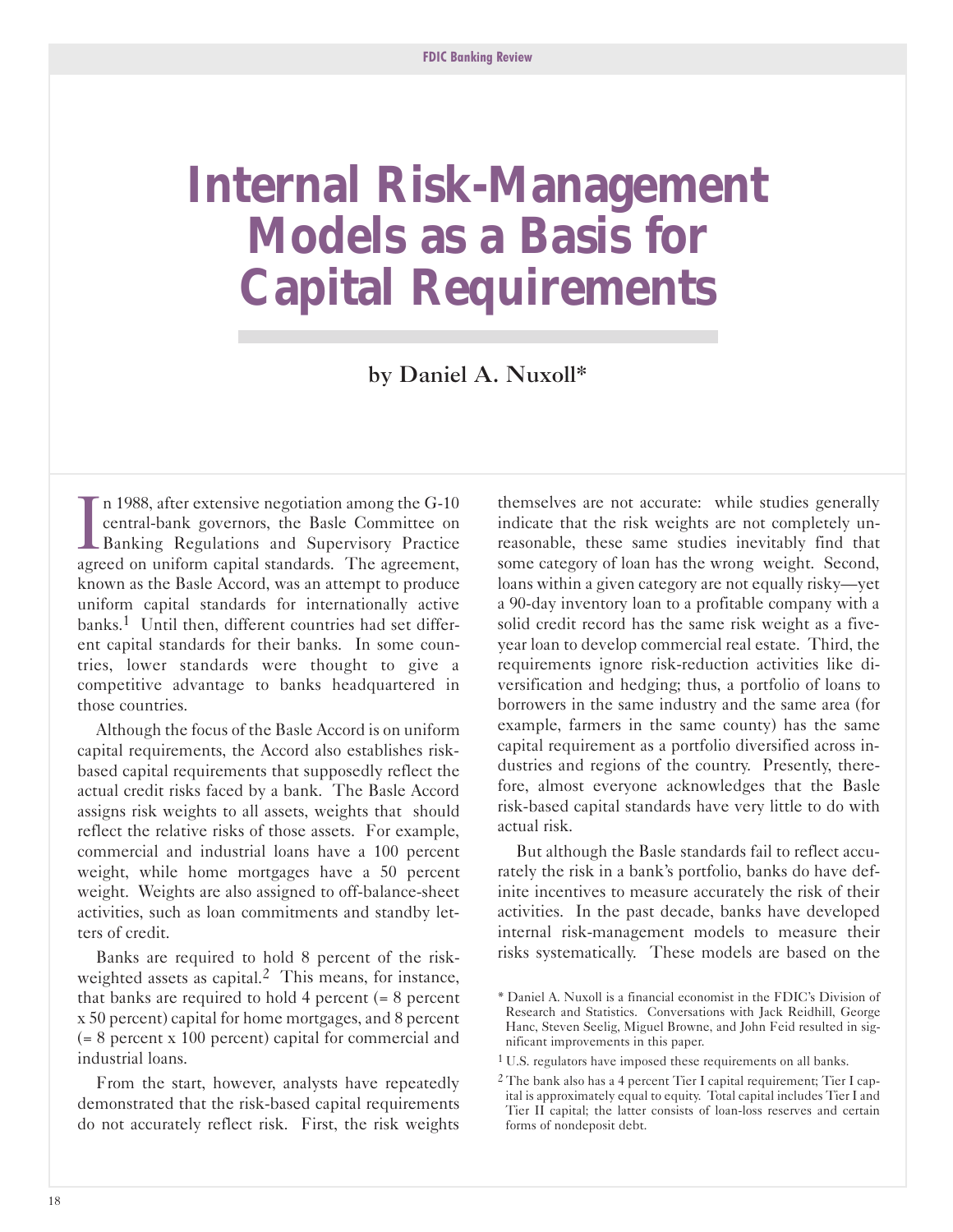## <span id="page-19-0"></span>**Internal Risk-Management Models as a Basis for Capital Requirements**

by Daniel A. Nuxoll\*

 $\prod_{\text{over }$  $\blacksquare$  n 1988, after extensive negotiation among the G-10 central-bank governors, the Basle Committee on Banking Regulations and Supervisory Practice agreed on uniform capital standards. The agreement, known as the Basle Accord, was an attempt to produce uniform capital standards for internationally active banks.1 Until then, different countries had set different capital standards for their banks. In some countries, lower standards were thought to give a competitive advantage to banks headquartered in those countries.

Although the focus of the Basle Accord is on uniform capital requirements, the Accord also establishes riskbased capital requirements that supposedly reflect the actual credit risks faced by a bank. The Basle Accord assigns risk weights to all assets, weights that should reflect the relative risks of those assets. For example, commercial and industrial loans have a 100 percent weight, while home mortgages have a 50 percent weight. Weights are also assigned to off-balance-sheet activities, such as loan commitments and standby letters of credit.

Banks are required to hold 8 percent of the riskweighted assets as capital.<sup>2</sup> This means, for instance, that banks are required to hold 4 percent  $(= 8 \text{ percent})$ x 50 percent) capital for home mortgages, and 8 percent (= 8 percent x 100 percent) capital for commercial and industrial loans.

From the start, however, analysts have repeatedly demonstrated that the risk-based capital requirements do not accurately reflect risk. First, the risk weights

themselves are not accurate: while studies generally indicate that the risk weights are not completely unreasonable, these same studies inevitably find that some category of loan has the wrong weight. Second, loans within a given category are not equally risky-yet a 90-day inventory loan to a profitable company with a solid credit record has the same risk weight as a fiveyear loan to develop commercial real estate. Third, the requirements ignore risk-reduction activities like diversification and hedging; thus, a portfolio of loans to borrowers in the same industry and the same area (for example, farmers in the same county) has the same capital requirement as a portfolio diversified across industries and regions of the country. Presently, therefore, almost everyone acknowledges that the Basle risk-based capital standards have very little to do with actual risk.

But although the Basle standards fail to reflect accurately the risk in a bank's portfolio, banks do have definite incentives to measure accurately the risk of their activities. In the past decade, banks have developed internal risk-management models to measure their risks systematically. These models are based on the

<sup>\*</sup> Daniel A. Nuxoll is a financial economist in the FDIC's Division of Research and Statistics. Conversations with Jack Reidhill, George Hanc, Steven Seelig, Miguel Browne, and John Feid resulted in significant improvements in this paper.

<sup>1</sup> U.S. regulators have imposed these requirements on all banks.

<sup>&</sup>lt;sup>2</sup> The bank also has a 4 percent Tier I capital requirement; Tier I capital is approximately equal to equity. Total capital includes Tier I and Tier II capital; the latter consists of loan-loss reserves and certain forms of nondeposit debt.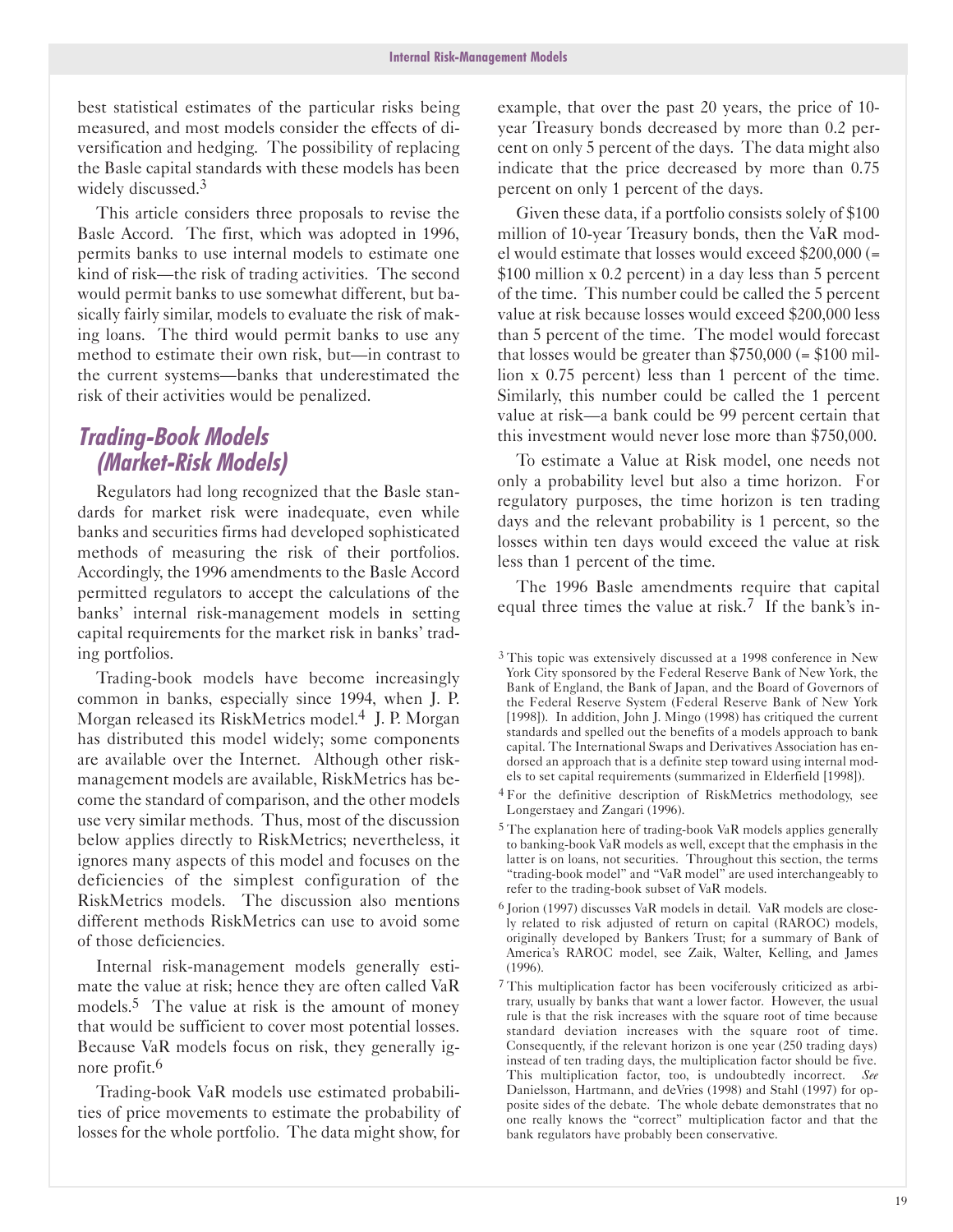best statistical estimates of the particular risks being measured, and most models consider the effects of diversification and hedging. The possibility of replacing the Basle capital standards with these models has been widely discussed.<sup>3</sup>

This article considers three proposals to revise the Basle Accord. The first, which was adopted in 1996, permits banks to use internal models to estimate one kind of risk—the risk of trading activities. The second would permit banks to use somewhat different, but basically fairly similar, models to evaluate the risk of making loans. The third would permit banks to use any method to estimate their own risk, but—in contrast to the current systems-banks that underestimated the risk of their activities would be penalized.

## **Trading-Book Models (Market-Risk Models)**

Regulators had long recognized that the Basle standards for market risk were inadequate, even while banks and securities firms had developed sophisticated methods of measuring the risk of their portfolios. Accordingly, the 1996 amendments to the Basle Accord permitted regulators to accept the calculations of the banks' internal risk-management models in setting capital requirements for the market risk in banks' trading portfolios.

Trading-book models have become increasingly common in banks, especially since 1994, when J. P. Morgan released its RiskMetrics model.<sup>4</sup> J. P. Morgan has distributed this model widely; some components are available over the Internet. Although other riskmanagement models are available, RiskMetrics has become the standard of comparison, and the other models use very similar methods. Thus, most of the discussion below applies directly to RiskMetrics; nevertheless, it ignores many aspects of this model and focuses on the deficiencies of the simplest configuration of the RiskMetrics models. The discussion also mentions different methods RiskMetrics can use to avoid some of those deficiencies.

Internal risk-management models generally estimate the value at risk; hence they are often called VaR models.<sup>5</sup> The value at risk is the amount of money that would be sufficient to cover most potential losses. Because VaR models focus on risk, they generally ignore profit.6

Trading-book VaR models use estimated probabilities of price movements to estimate the probability of losses for the whole portfolio. The data might show, for

example, that over the past 20 years, the price of 10year Treasury bonds decreased by more than 0.2 percent on only 5 percent of the days. The data might also indicate that the price decreased by more than 0.75 percent on only 1 percent of the days.

Given these data, if a portfolio consists solely of \$100 million of 10-year Treasury bonds, then the VaR model would estimate that losses would exceed \$200,000 (= \$100 million x 0.2 percent) in a day less than 5 percent of the time. This number could be called the 5 percent value at risk because losses would exceed \$200,000 less than 5 percent of the time. The model would forecast that losses would be greater than  $$750,000 (= $100$  million x 0.75 percent) less than 1 percent of the time. Similarly, this number could be called the 1 percent value at risk-a bank could be 99 percent certain that this investment would never lose more than \$750,000.

To estimate a Value at Risk model, one needs not only a probability level but also a time horizon. For regulatory purposes, the time horizon is ten trading days and the relevant probability is 1 percent, so the losses within ten days would exceed the value at risk less than 1 percent of the time.

The 1996 Basle amendments require that capital equal three times the value at risk.<sup>7</sup> If the bank's in-

<sup>3</sup> This topic was extensively discussed at a 1998 conference in New York City sponsored by the Federal Reserve Bank of New York, the Bank of England, the Bank of Japan, and the Board of Governors of the Federal Reserve System (Federal Reserve Bank of New York [1998]). In addition, John J. Mingo (1998) has critiqued the current standards and spelled out the benefits of a models approach to bank capital. The International Swaps and Derivatives Association has endorsed an approach that is a definite step toward using internal models to set capital requirements (summarized in Elderfield [1998]).

<sup>4</sup> For the definitive description of RiskMetrics methodology, see Longerstaey and Zangari (1996).

 $5$  The explanation here of trading-book VaR models applies generally to banking-book VaR models as well, except that the emphasis in the latter is on loans, not securities. Throughout this section, the terms "trading-book model" and "VaR model" are used interchangeably to refer to the trading-book subset of VaR models.

<sup>6</sup> Jorion (1997) discusses VaR models in detail. VaR models are closely related to risk adjusted of return on capital (RAROC) models, originally developed by Bankers Trust; for a summary of Bank of America's RAROC model, see Zaik, Walter, Kelling, and James (1996).

<sup>7</sup> This multiplication factor has been vociferously criticized as arbitrary, usually by banks that want a lower factor. However, the usual rule is that the risk increases with the square root of time because standard deviation increases with the square root of time. Consequently, if the relevant horizon is one year (250 trading days) instead of ten trading days, the multiplication factor should be five. This multiplication factor, too, is undoubtedly incorrect. *See* Danielsson, Hartmann, and deVries (1998) and Stahl (1997) for opposite sides of the debate. The whole debate demonstrates that no one really knows the "correct" multiplication factor and that the bank regulators have probably been conservative.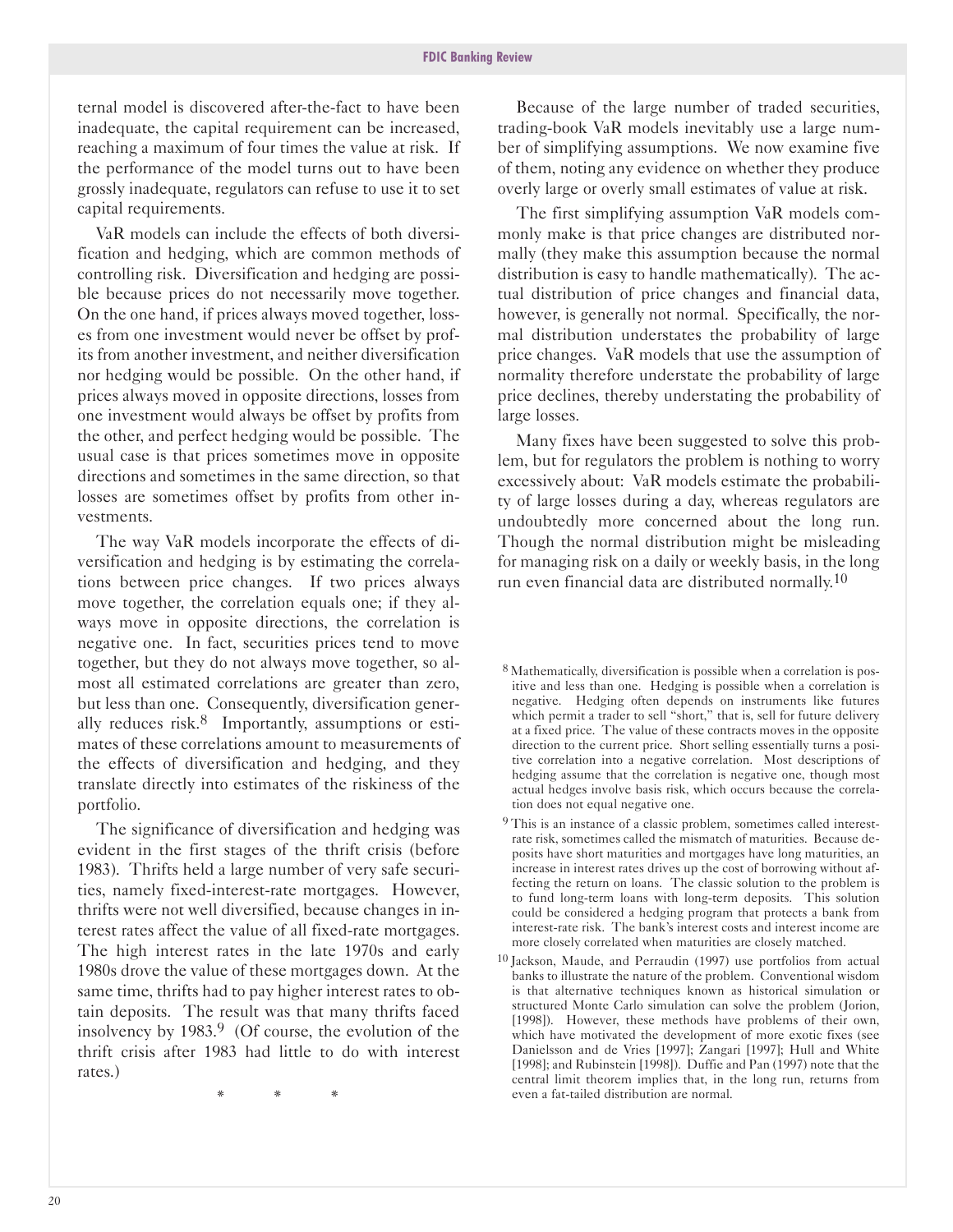ternal model is discovered after-the-fact to have been inadequate, the capital requirement can be increased, reaching a maximum of four times the value at risk. If the performance of the model turns out to have been grossly inadequate, regulators can refuse to use it to set capital requirements.

VaR models can include the effects of both diversification and hedging, which are common methods of controlling risk. Diversification and hedging are possible because prices do not necessarily move together. On the one hand, if prices always moved together, losses from one investment would never be offset by profits from another investment, and neither diversification nor hedging would be possible. On the other hand, if prices always moved in opposite directions, losses from one investment would always be offset by profits from the other, and perfect hedging would be possible. The usual case is that prices sometimes move in opposite directions and sometimes in the same direction, so that losses are sometimes offset by profits from other investments.

The way VaR models incorporate the effects of diversification and hedging is by estimating the correlations between price changes. If two prices always move together, the correlation equals one; if they always move in opposite directions, the correlation is negative one. In fact, securities prices tend to move together, but they do not always move together, so almost all estimated correlations are greater than zero, but less than one. Consequently, diversification generally reduces risk.8 Importantly, assumptions or estimates of these correlations amount to measurements of the effects of diversification and hedging, and they translate directly into estimates of the riskiness of the portfolio.

The significance of diversification and hedging was evident in the first stages of the thrift crisis (before 1983). Thrifts held a large number of very safe securities, namely fixed-interest-rate mortgages. However, thrifts were not well diversified, because changes in interest rates affect the value of all fixed-rate mortgages. The high interest rates in the late 1970s and early 1980s drove the value of these mortgages down. At the same time, thrifts had to pay higher interest rates to obtain deposits. The result was that many thrifts faced insolvency by  $1983<sup>9</sup>$  (Of course, the evolution of the thrift crisis after 1983 had little to do with interest rates.)

\* \* \*

Because of the large number of traded securities, trading-book VaR models inevitably use a large number of simplifying assumptions. We now examine five of them, noting any evidence on whether they produce overly large or overly small estimates of value at risk.

The first simplifying assumption VaR models commonly make is that price changes are distributed normally (they make this assumption because the normal distribution is easy to handle mathematically). The actual distribution of price changes and financial data, however, is generally not normal. Specifically, the normal distribution understates the probability of large price changes. VaR models that use the assumption of normality therefore understate the probability of large price declines, thereby understating the probability of large losses.

Many fixes have been suggested to solve this problem, but for regulators the problem is nothing to worry excessively about: VaR models estimate the probability of large losses during a day, whereas regulators are undoubtedly more concerned about the long run. Though the normal distribution might be misleading for managing risk on a daily or weekly basis, in the long run even financial data are distributed normally.<sup>10</sup>

- <sup>8</sup> Mathematically, diversification is possible when a correlation is positive and less than one. Hedging is possible when a correlation is negative. Hedging often depends on instruments like futures which permit a trader to sell "short," that is, sell for future delivery at a fixed price. The value of these contracts moves in the opposite direction to the current price. Short selling essentially turns a positive correlation into a negative correlation. Most descriptions of hedging assume that the correlation is negative one, though most actual hedges involve basis risk, which occurs because the correlation does not equal negative one.
- <sup>9</sup> This is an instance of a classic problem, sometimes called interestrate risk, sometimes called the mismatch of maturities. Because deposits have short maturities and mortgages have long maturities, an increase in interest rates drives up the cost of borrowing without affecting the return on loans. The classic solution to the problem is to fund long-term loans with long-term deposits. This solution could be considered a hedging program that protects a bank from interest-rate risk. The bank's interest costs and interest income are more closely correlated when maturities are closely matched.
- 10 Jackson, Maude, and Perraudin (1997) use portfolios from actual banks to illustrate the nature of the problem. Conventional wisdom is that alternative techniques known as historical simulation or structured Monte Carlo simulation can solve the problem (Jorion, [1998]). However, these methods have problems of their own, which have motivated the development of more exotic fixes (see Danielsson and de Vries [1997]; Zangari [1997]; Hull and White [1998]; and Rubinstein [1998]). Duffie and Pan (1997) note that the central limit theorem implies that, in the long run, returns from even a fat-tailed distribution are normal.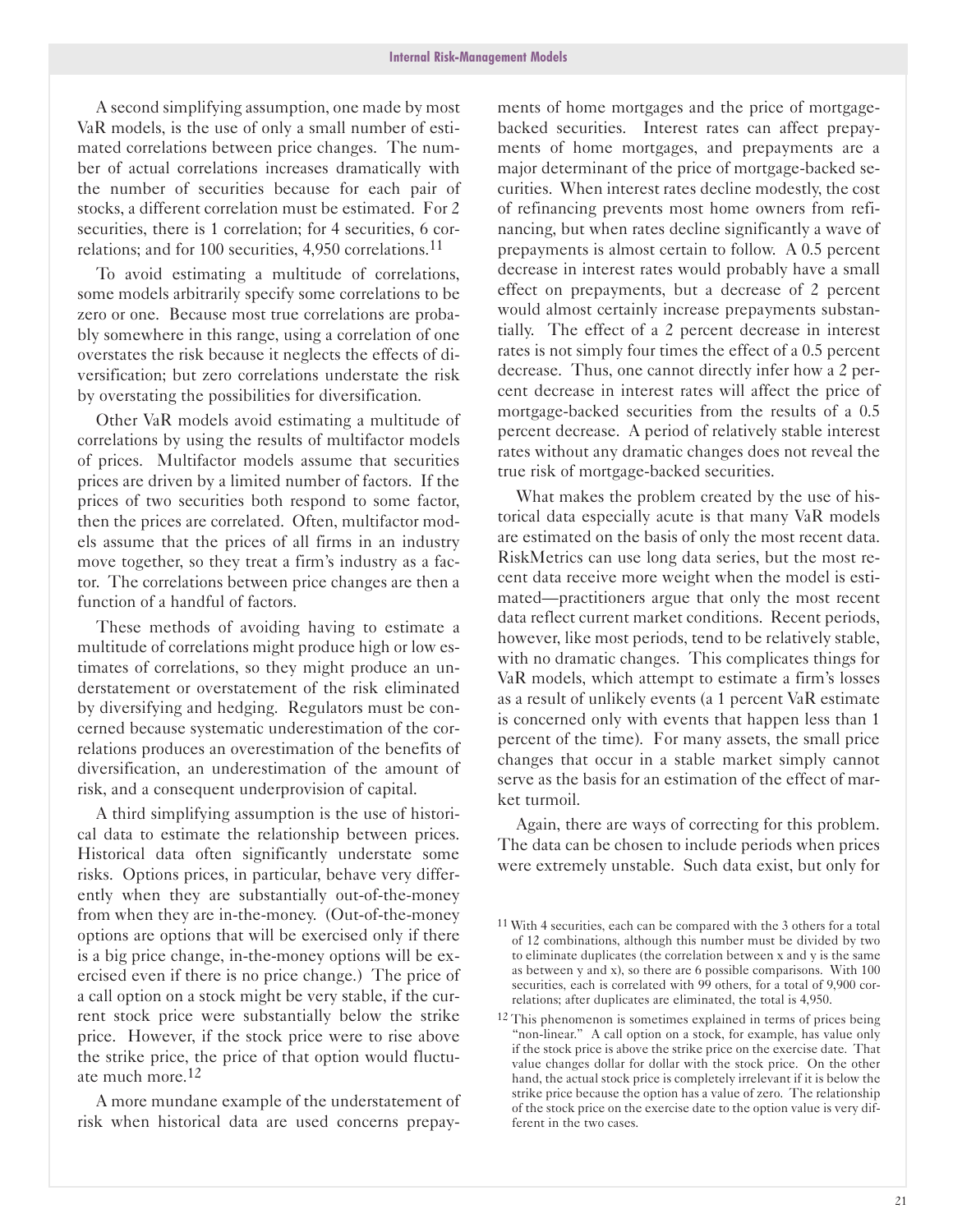A second simplifying assumption, one made by most VaR models, is the use of only a small number of estimated correlations between price changes. The number of actual correlations increases dramatically with the number of securities because for each pair of stocks, a different correlation must be estimated. For 2 securities, there is 1 correlation; for 4 securities, 6 correlations; and for 100 securities, 4,950 correlations.11

To avoid estimating a multitude of correlations, some models arbitrarily specify some correlations to be zero or one. Because most true correlations are probably somewhere in this range, using a correlation of one overstates the risk because it neglects the effects of diversification; but zero correlations understate the risk by overstating the possibilities for diversification.

Other VaR models avoid estimating a multitude of correlations by using the results of multifactor models of prices. Multifactor models assume that securities prices are driven by a limited number of factors. If the prices of two securities both respond to some factor, then the prices are correlated. Often, multifactor models assume that the prices of all firms in an industry move together, so they treat a firm's industry as a factor. The correlations between price changes are then a function of a handful of factors.

These methods of avoiding having to estimate a multitude of correlations might produce high or low estimates of correlations, so they might produce an understatement or overstatement of the risk eliminated by diversifying and hedging. Regulators must be concerned because systematic underestimation of the correlations produces an overestimation of the benefits of diversification, an underestimation of the amount of risk, and a consequent underprovision of capital.

A third simplifying assumption is the use of historical data to estimate the relationship between prices. Historical data often significantly understate some risks. Options prices, in particular, behave very differently when they are substantially out-of-the-money from when they are in-the-money. (Out-of-the-money options are options that will be exercised only if there is a big price change, in-the-money options will be exercised even if there is no price change.) The price of a call option on a stock might be very stable, if the current stock price were substantially below the strike price. However, if the stock price were to rise above the strike price, the price of that option would fluctuate much more.12

A more mundane example of the understatement of risk when historical data are used concerns prepayments of home mortgages and the price of mortgagebacked securities. Interest rates can affect prepayments of home mortgages, and prepayments are a major determinant of the price of mortgage-backed securities. When interest rates decline modestly, the cost of refinancing prevents most home owners from refinancing, but when rates decline significantly a wave of prepayments is almost certain to follow. A 0.5 percent decrease in interest rates would probably have a small effect on prepayments, but a decrease of 2 percent would almost certainly increase prepayments substantially. The effect of a 2 percent decrease in interest rates is not simply four times the effect of a 0.5 percent decrease. Thus, one cannot directly infer how a 2 percent decrease in interest rates will affect the price of mortgage-backed securities from the results of a 0.5 percent decrease. A period of relatively stable interest rates without any dramatic changes does not reveal the true risk of mortgage-backed securities.

What makes the problem created by the use of historical data especially acute is that many VaR models are estimated on the basis of only the most recent data. RiskMetrics can use long data series, but the most recent data receive more weight when the model is estimated-practitioners argue that only the most recent data reflect current market conditions. Recent periods, however, like most periods, tend to be relatively stable, with no dramatic changes. This complicates things for VaR models, which attempt to estimate a firm's losses as a result of unlikely events (a 1 percent VaR estimate is concerned only with events that happen less than 1 percent of the time). For many assets, the small price changes that occur in a stable market simply cannot serve as the basis for an estimation of the effect of market turmoil.

Again, there are ways of correcting for this problem. The data can be chosen to include periods when prices were extremely unstable. Such data exist, but only for

<sup>11</sup> With 4 securities, each can be compared with the 3 others for a total of 12 combinations, although this number must be divided by two to eliminate duplicates (the correlation between x and y is the same as between y and x), so there are 6 possible comparisons. With 100 securities, each is correlated with 99 others, for a total of 9,900 correlations; after duplicates are eliminated, the total is 4,950.

<sup>12</sup> This phenomenon is sometimes explained in terms of prices being "non-linear." A call option on a stock, for example, has value only if the stock price is above the strike price on the exercise date. That value changes dollar for dollar with the stock price. On the other hand, the actual stock price is completely irrelevant if it is below the strike price because the option has a value of zero. The relationship of the stock price on the exercise date to the option value is very different in the two cases.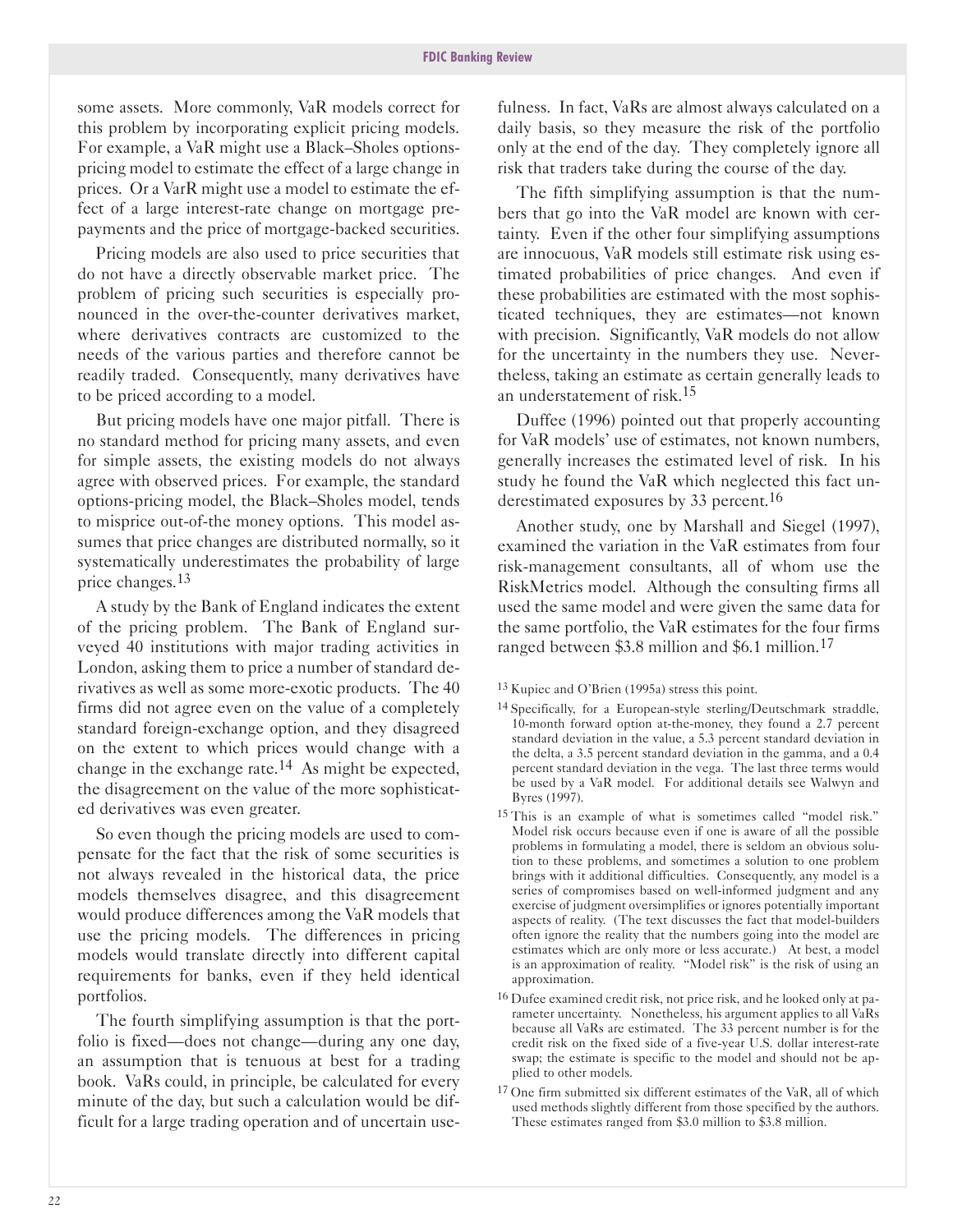some assets. More commonly, VaR models correct for this problem by incorporating explicit pricing models. For example, a VaR might use a Black-Sholes optionspricing model to estimate the effect of a large change in prices. Or a VarR might use a model to estimate the effect of a large interest-rate change on mortgage prepayments and the price of mortgage-backed securities.

Pricing models are also used to price securities that do not have a directly observable market price. The problem of pricing such securities is especially pronounced in the over-the-counter derivatives market, where derivatives contracts are customized to the needs of the various parties and therefore cannot be readily traded. Consequently, many derivatives have to be priced according to a model.

But pricing models have one major pitfall. There is no standard method for pricing many assets, and even for simple assets, the existing models do not always agree with observed prices. For example, the standard options-pricing model, the Black-Sholes model, tends to misprice out-of-the money options. This model assumes that price changes are distributed normally, so it systematically underestimates the probability of large price changes.13

A study by the Bank of England indicates the extent of the pricing problem. The Bank of England surveyed 40 institutions with major trading activities in London, asking them to price a number of standard derivatives as well as some more-exotic products. The 40 firms did not agree even on the value of a completely standard foreign-exchange option, and they disagreed on the extent to which prices would change with a change in the exchange rate.14 As might be expected, the disagreement on the value of the more sophisticated derivatives was even greater.

So even though the pricing models are used to compensate for the fact that the risk of some securities is not always revealed in the historical data, the price models themselves disagree, and this disagreement would produce differences among the VaR models that use the pricing models. The differences in pricing models would translate directly into different capital requirements for banks, even if they held identical portfolios.

The fourth simplifying assumption is that the portfolio is fixed—does not change—during any one day, an assumption that is tenuous at best for a trading book. VaRs could, in principle, be calculated for every minute of the day, but such a calculation would be difficult for a large trading operation and of uncertain use-

fulness. In fact, VaRs are almost always calculated on a daily basis, so they measure the risk of the portfolio only at the end of the day. They completely ignore all risk that traders take during the course of the day.

The fifth simplifying assumption is that the numbers that go into the VaR model are known with certainty. Even if the other four simplifying assumptions are innocuous, VaR models still estimate risk using estimated probabilities of price changes. And even if these probabilities are estimated with the most sophisticated techniques, they are estimates—not known with precision. Significantly, VaR models do not allow for the uncertainty in the numbers they use. Nevertheless, taking an estimate as certain generally leads to an understatement of risk.15

Duffee (1996) pointed out that properly accounting for VaR models' use of estimates, not known numbers, generally increases the estimated level of risk. In his study he found the VaR which neglected this fact underestimated exposures by 33 percent.<sup>16</sup>

Another study, one by Marshall and Siegel (1997), examined the variation in the VaR estimates from four risk-management consultants, all of whom use the RiskMetrics model. Although the consulting firms all used the same model and were given the same data for the same portfolio, the VaR estimates for the four firms ranged between \$3.8 million and \$6.1 million.<sup>17</sup>

13 Kupiec and O'Brien (1995a) stress this point.

- <sup>14</sup> Specifically, for a European-style sterling/Deutschmark straddle, 10-month forward option at-the-money, they found a 2.7 percent standard deviation in the value, a 5.3 percent standard deviation in the delta, a 3.5 percent standard deviation in the gamma, and a 0.4 percent standard deviation in the vega. The last three terms would be used by a VaR model. For additional details see Walwyn and Byres (1997).
- 15 This is an example of what is sometimes called "model risk." Model risk occurs because even if one is aware of all the possible problems in formulating a model, there is seldom an obvious solution to these problems, and sometimes a solution to one problem brings with it additional difficulties. Consequently, any model is a series of compromises based on well-informed judgment and any exercise of judgment oversimplifies or ignores potentially important aspects of reality. (The text discusses the fact that model-builders often ignore the reality that the numbers going into the model are estimates which are only more or less accurate.) At best, a model is an approximation of reality. "Model risk" is the risk of using an approximation.
- 16 Dufee examined credit risk, not price risk, and he looked only at parameter uncertainty. Nonetheless, his argument applies to all VaRs because all VaRs are estimated. The 33 percent number is for the credit risk on the fixed side of a five-year U.S. dollar interest-rate swap; the estimate is specific to the model and should not be applied to other models.
- 17 One firm submitted six different estimates of the VaR, all of which used methods slightly different from those specified by the authors. These estimates ranged from \$3.0 million to \$3.8 million.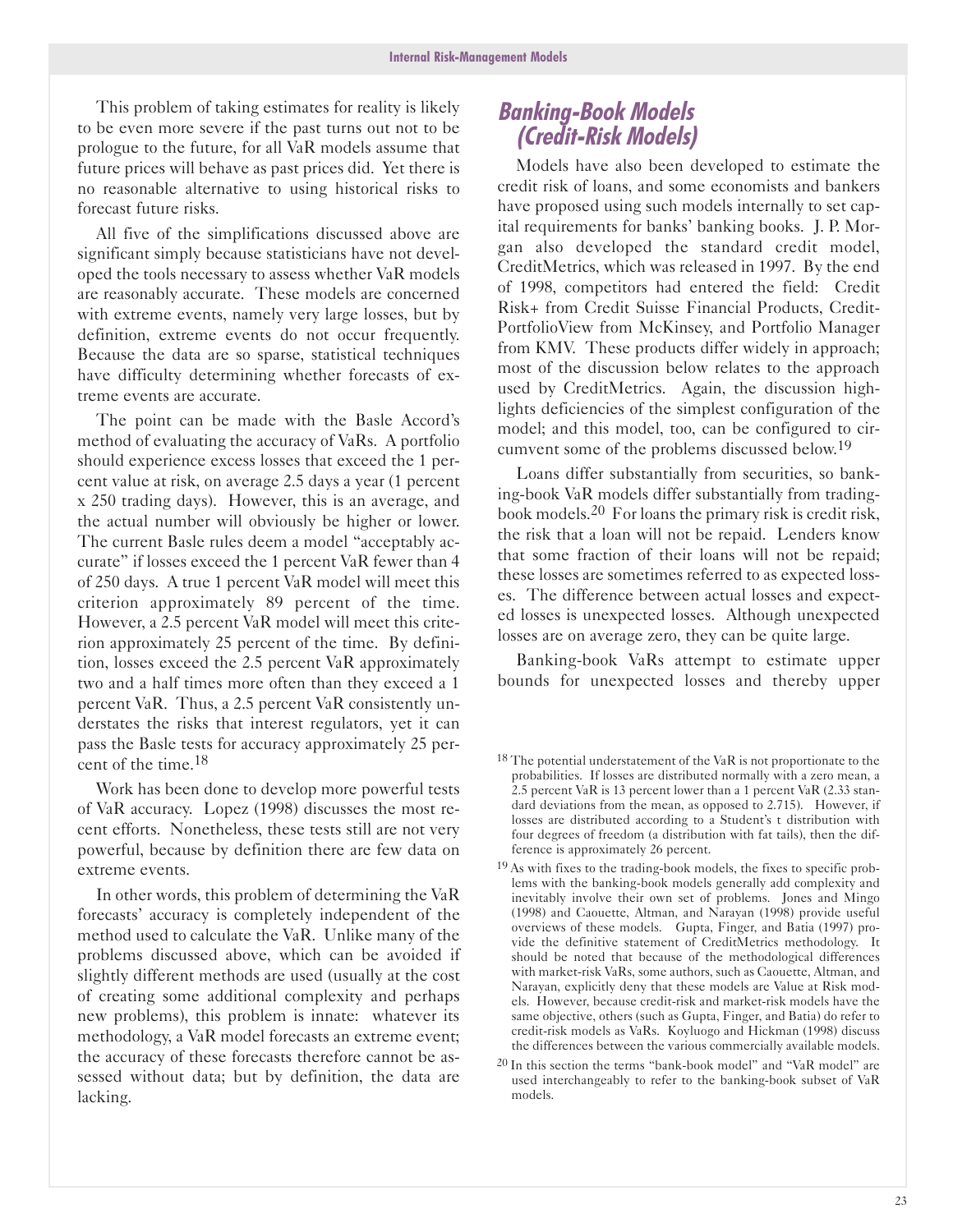This problem of taking estimates for reality is likely to be even more severe if the past turns out not to be prologue to the future, for all VaR models assume that future prices will behave as past prices did. Yet there is no reasonable alternative to using historical risks to forecast future risks.

All five of the simplifications discussed above are significant simply because statisticians have not developed the tools necessary to assess whether VaR models are reasonably accurate. These models are concerned with extreme events, namely very large losses, but by definition, extreme events do not occur frequently. Because the data are so sparse, statistical techniques have difficulty determining whether forecasts of extreme events are accurate.

The point can be made with the Basle Accord's method of evaluating the accuracy of VaRs. A portfolio should experience excess losses that exceed the 1 percent value at risk, on average 2.5 days a year (1 percent x 250 trading days). However, this is an average, and the actual number will obviously be higher or lower. The current Basle rules deem a model "acceptably accurate" if losses exceed the 1 percent VaR fewer than 4 of 250 days. A true 1 percent VaR model will meet this criterion approximately 89 percent of the time. However, a 2.5 percent VaR model will meet this criterion approximately 25 percent of the time. By definition, losses exceed the 2.5 percent VaR approximately two and a half times more often than they exceed a 1 percent VaR. Thus, a 2.5 percent VaR consistently understates the risks that interest regulators, yet it can pass the Basle tests for accuracy approximately 25 percent of the time.18

Work has been done to develop more powerful tests of VaR accuracy. Lopez (1998) discusses the most recent efforts. Nonetheless, these tests still are not very powerful, because by definition there are few data on extreme events.

In other words, this problem of determining the VaR forecasts' accuracy is completely independent of the method used to calculate the VaR. Unlike many of the problems discussed above, which can be avoided if slightly different methods are used (usually at the cost of creating some additional complexity and perhaps new problems), this problem is innate: whatever its methodology, a VaR model forecasts an extreme event; the accuracy of these forecasts therefore cannot be assessed without data; but by definition, the data are lacking.

## **Banking-Book Models (Credit-Risk Models)**

Models have also been developed to estimate the credit risk of loans, and some economists and bankers have proposed using such models internally to set capital requirements for banks' banking books. J. P. Morgan also developed the standard credit model, CreditMetrics, which was released in 1997. By the end of 1998, competitors had entered the field: Credit Risk+ from Credit Suisse Financial Products, Credit-PortfolioView from McKinsey, and Portfolio Manager from KMV. These products differ widely in approach; most of the discussion below relates to the approach used by CreditMetrics. Again, the discussion highlights deficiencies of the simplest configuration of the model; and this model, too, can be configured to circumvent some of the problems discussed below.19

Loans differ substantially from securities, so banking-book VaR models differ substantially from tradingbook models.20 For loans the primary risk is credit risk, the risk that a loan will not be repaid. Lenders know that some fraction of their loans will not be repaid; these losses are sometimes referred to as expected losses. The difference between actual losses and expected losses is unexpected losses. Although unexpected losses are on average zero, they can be quite large.

Banking-book VaRs attempt to estimate upper bounds for unexpected losses and thereby upper

- <sup>19</sup> As with fixes to the trading-book models, the fixes to specific problems with the banking-book models generally add complexity and inevitably involve their own set of problems. Jones and Mingo (1998) and Caouette, Altman, and Narayan (1998) provide useful overviews of these models. Gupta, Finger, and Batia (1997) provide the definitive statement of CreditMetrics methodology. It should be noted that because of the methodological differences with market-risk VaRs, some authors, such as Caouette, Altman, and Narayan, explicitly deny that these models are Value at Risk models. However, because credit-risk and market-risk models have the same objective, others (such as Gupta, Finger, and Batia) do refer to credit-risk models as VaRs. Koyluogo and Hickman (1998) discuss the differences between the various commercially available models.
- $20$  In this section the terms "bank-book model" and "VaR model" are used interchangeably to refer to the banking-book subset of VaR models.

<sup>18</sup> The potential understatement of the VaR is not proportionate to the probabilities. If losses are distributed normally with a zero mean, a 2.5 percent VaR is 13 percent lower than a 1 percent VaR (2.33 standard deviations from the mean, as opposed to 2.715). However, if losses are distributed according to a Student's t distribution with four degrees of freedom (a distribution with fat tails), then the difference is approximately 26 percent.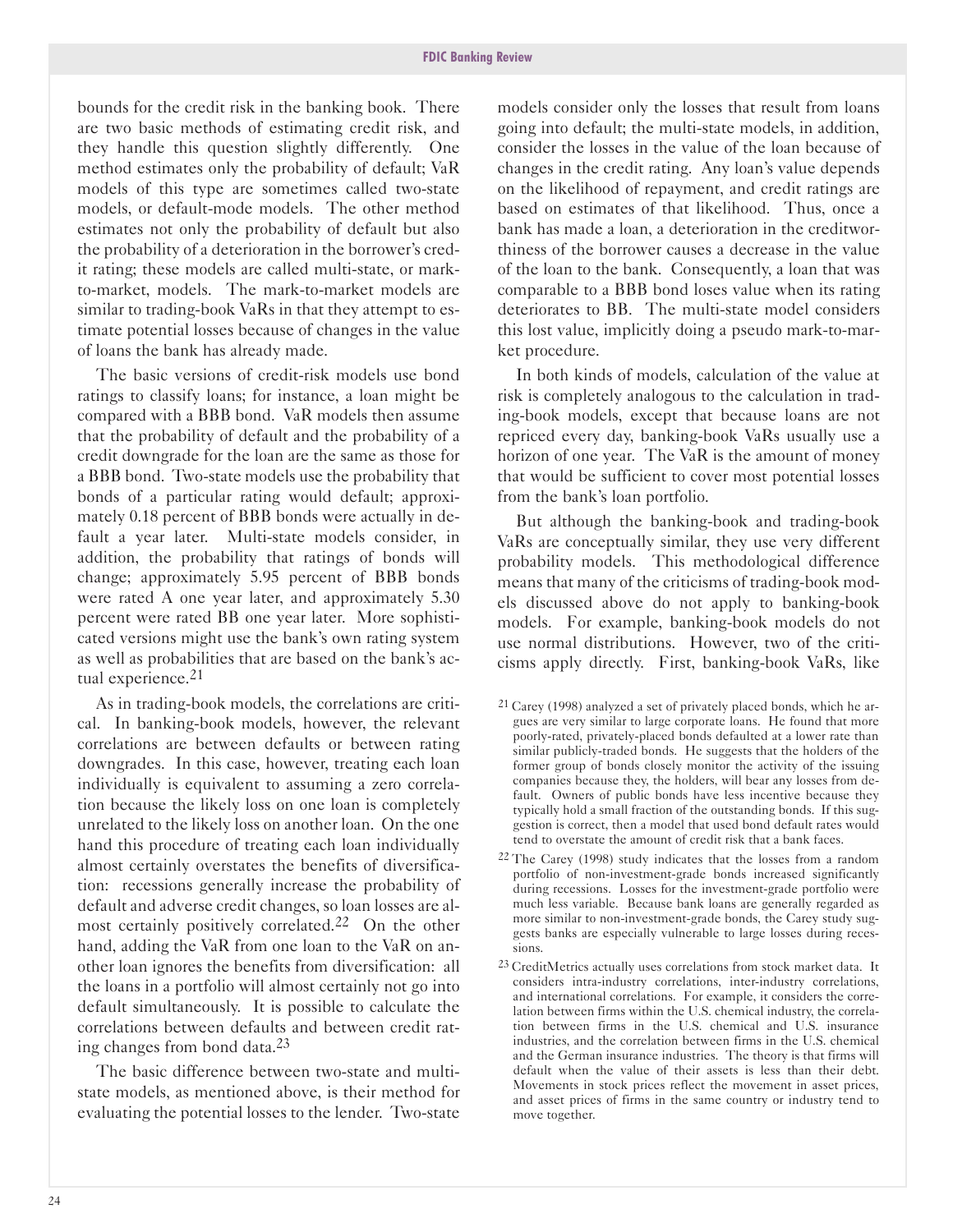bounds for the credit risk in the banking book. There are two basic methods of estimating credit risk, and they handle this question slightly differently. One method estimates only the probability of default; VaR models of this type are sometimes called two-state models, or default-mode models. The other method estimates not only the probability of default but also the probability of a deterioration in the borrower's credit rating; these models are called multi-state, or markto-market, models. The mark-to-market models are similar to trading-book VaRs in that they attempt to estimate potential losses because of changes in the value of loans the bank has already made.

The basic versions of credit-risk models use bond ratings to classify loans; for instance, a loan might be compared with a BBB bond. VaR models then assume that the probability of default and the probability of a credit downgrade for the loan are the same as those for a BBB bond. Two-state models use the probability that bonds of a particular rating would default; approximately 0.18 percent of BBB bonds were actually in default a year later. Multi-state models consider, in addition, the probability that ratings of bonds will change; approximately 5.95 percent of BBB bonds were rated A one year later, and approximately 5.30 percent were rated BB one year later. More sophisticated versions might use the bank's own rating system as well as probabilities that are based on the bank's actual experience.<sup>21</sup>

As in trading-book models, the correlations are critical. In banking-book models, however, the relevant correlations are between defaults or between rating downgrades. In this case, however, treating each loan individually is equivalent to assuming a zero correlation because the likely loss on one loan is completely unrelated to the likely loss on another loan. On the one hand this procedure of treating each loan individually almost certainly overstates the benefits of diversification: recessions generally increase the probability of default and adverse credit changes, so loan losses are almost certainly positively correlated.<sup>22</sup> On the other hand, adding the VaR from one loan to the VaR on another loan ignores the benefits from diversification: all the loans in a portfolio will almost certainly not go into default simultaneously. It is possible to calculate the correlations between defaults and between credit rating changes from bond data.<sup>23</sup>

The basic difference between two-state and multistate models, as mentioned above, is their method for evaluating the potential losses to the lender. Two-state

models consider only the losses that result from loans going into default; the multi-state models, in addition, consider the losses in the value of the loan because of changes in the credit rating. Any loan's value depends on the likelihood of repayment, and credit ratings are based on estimates of that likelihood. Thus, once a bank has made a loan, a deterioration in the creditworthiness of the borrower causes a decrease in the value of the loan to the bank. Consequently, a loan that was comparable to a BBB bond loses value when its rating deteriorates to BB. The multi-state model considers this lost value, implicitly doing a pseudo mark-to-market procedure.

In both kinds of models, calculation of the value at risk is completely analogous to the calculation in trading-book models, except that because loans are not repriced every day, banking-book VaRs usually use a horizon of one year. The VaR is the amount of money that would be sufficient to cover most potential losses from the bank's loan portfolio.

But although the banking-book and trading-book VaRs are conceptually similar, they use very different probability models. This methodological difference means that many of the criticisms of trading-book models discussed above do not apply to banking-book models. For example, banking-book models do not use normal distributions. However, two of the criticisms apply directly. First, banking-book VaRs, like

- $21$  Carey (1998) analyzed a set of privately placed bonds, which he argues are very similar to large corporate loans. He found that more poorly-rated, privately-placed bonds defaulted at a lower rate than similar publicly-traded bonds. He suggests that the holders of the former group of bonds closely monitor the activity of the issuing companies because they, the holders, will bear any losses from default. Owners of public bonds have less incentive because they typically hold a small fraction of the outstanding bonds. If this suggestion is correct, then a model that used bond default rates would tend to overstate the amount of credit risk that a bank faces.
- $22$  The Carey (1998) study indicates that the losses from a random portfolio of non-investment-grade bonds increased significantly during recessions. Losses for the investment-grade portfolio were much less variable. Because bank loans are generally regarded as more similar to non-investment-grade bonds, the Carey study suggests banks are especially vulnerable to large losses during recessions.
- 23 CreditMetrics actually uses correlations from stock market data. It considers intra-industry correlations, inter-industry correlations, and international correlations. For example, it considers the correlation between firms within the U.S. chemical industry, the correlation between firms in the U.S. chemical and U.S. insurance industries, and the correlation between firms in the U.S. chemical and the German insurance industries. The theory is that firms will default when the value of their assets is less than their debt. Movements in stock prices reflect the movement in asset prices, and asset prices of firms in the same country or industry tend to move together.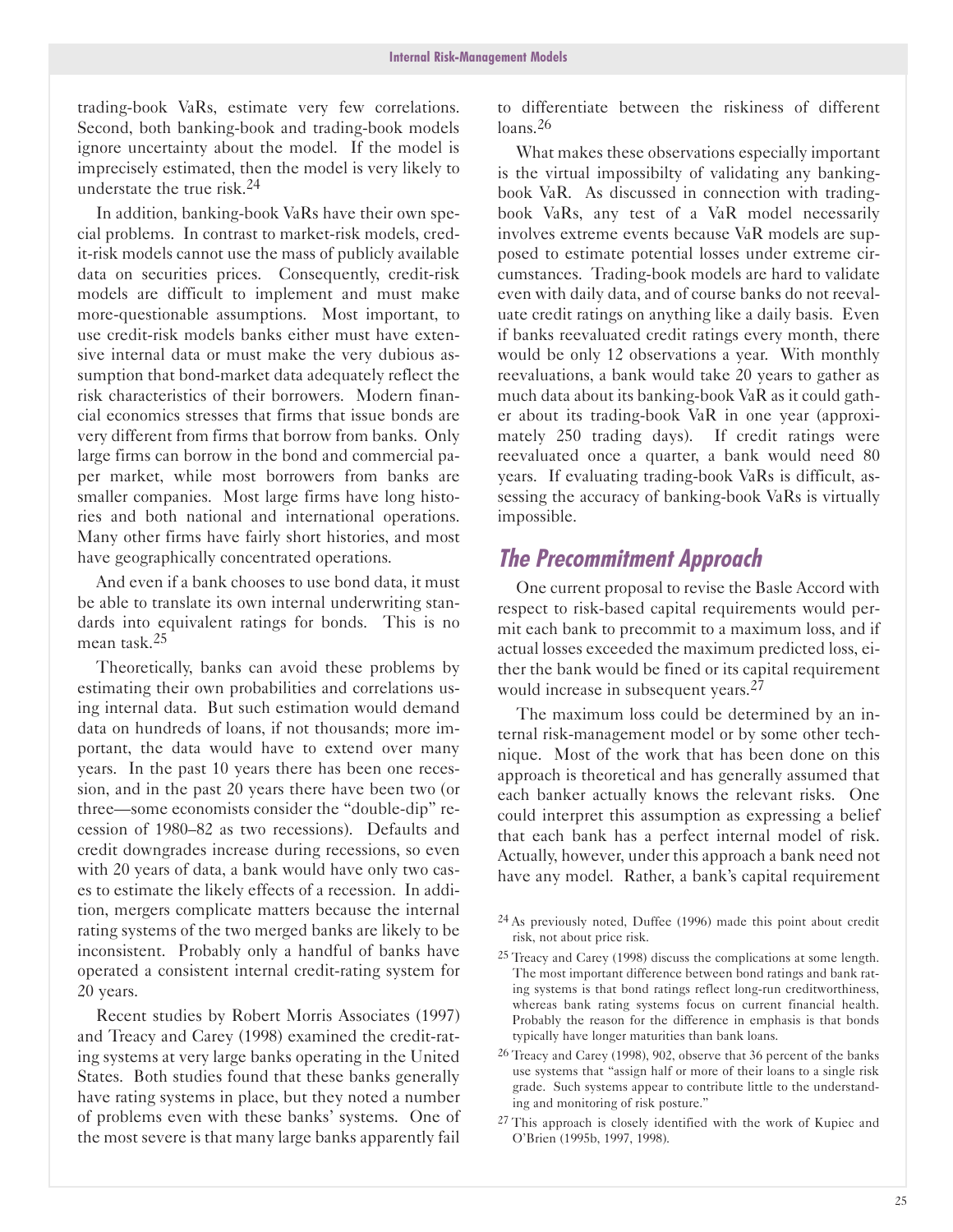trading-book VaRs, estimate very few correlations. Second, both banking-book and trading-book models ignore uncertainty about the model. If the model is imprecisely estimated, then the model is very likely to understate the true risk.24

In addition, banking-book VaRs have their own special problems. In contrast to market-risk models, credit-risk models cannot use the mass of publicly available data on securities prices. Consequently, credit-risk models are difficult to implement and must make more-questionable assumptions. Most important, to use credit-risk models banks either must have extensive internal data or must make the very dubious assumption that bond-market data adequately reflect the risk characteristics of their borrowers. Modern financial economics stresses that firms that issue bonds are very different from firms that borrow from banks. Only large firms can borrow in the bond and commercial paper market, while most borrowers from banks are smaller companies. Most large firms have long histories and both national and international operations. Many other firms have fairly short histories, and most have geographically concentrated operations.

And even if a bank chooses to use bond data, it must be able to translate its own internal underwriting standards into equivalent ratings for bonds. This is no mean task.25

Theoretically, banks can avoid these problems by estimating their own probabilities and correlations using internal data. But such estimation would demand data on hundreds of loans, if not thousands; more important, the data would have to extend over many years. In the past 10 years there has been one recession, and in the past 20 years there have been two (or three—some economists consider the "double-dip" recession of 1980-82 as two recessions). Defaults and credit downgrades increase during recessions, so even with 20 years of data, a bank would have only two cases to estimate the likely effects of a recession. In addition, mergers complicate matters because the internal rating systems of the two merged banks are likely to be inconsistent. Probably only a handful of banks have operated a consistent internal credit-rating system for 20 years.

Recent studies by Robert Morris Associates (1997) and Treacy and Carey (1998) examined the credit-rating systems at very large banks operating in the United States. Both studies found that these banks generally have rating systems in place, but they noted a number of problems even with these banks' systems. One of the most severe is that many large banks apparently fail

to differentiate between the riskiness of different  $long$  26

What makes these observations especially important is the virtual impossibilty of validating any bankingbook VaR. As discussed in connection with tradingbook VaRs, any test of a VaR model necessarily involves extreme events because VaR models are supposed to estimate potential losses under extreme circumstances. Trading-book models are hard to validate even with daily data, and of course banks do not reevaluate credit ratings on anything like a daily basis. Even if banks reevaluated credit ratings every month, there would be only 12 observations a year. With monthly reevaluations, a bank would take 20 years to gather as much data about its banking-book VaR as it could gather about its trading-book VaR in one year (approximately 250 trading days). If credit ratings were reevaluated once a quarter, a bank would need 80 years. If evaluating trading-book VaRs is difficult, assessing the accuracy of banking-book VaRs is virtually impossible.

## **The Precommitment Approach**

One current proposal to revise the Basle Accord with respect to risk-based capital requirements would permit each bank to precommit to a maximum loss, and if actual losses exceeded the maximum predicted loss, either the bank would be fined or its capital requirement would increase in subsequent years.<sup>27</sup>

The maximum loss could be determined by an internal risk-management model or by some other technique. Most of the work that has been done on this approach is theoretical and has generally assumed that each banker actually knows the relevant risks. One could interpret this assumption as expressing a belief that each bank has a perfect internal model of risk. Actually, however, under this approach a bank need not have any model. Rather, a bank's capital requirement

- 24 As previously noted, Duffee (1996) made this point about credit risk, not about price risk.
- 25 Treacy and Carey (1998) discuss the complications at some length. The most important difference between bond ratings and bank rating systems is that bond ratings reflect long-run creditworthiness, whereas bank rating systems focus on current financial health. Probably the reason for the difference in emphasis is that bonds typically have longer maturities than bank loans.
- $26$  Treacy and Carey (1998), 902, observe that 36 percent of the banks use systems that "assign half or more of their loans to a single risk grade. Such systems appear to contribute little to the understanding and monitoring of risk posture."
- <sup>27</sup> This approach is closely identified with the work of Kupiec and O'Brien (1995b, 1997, 1998).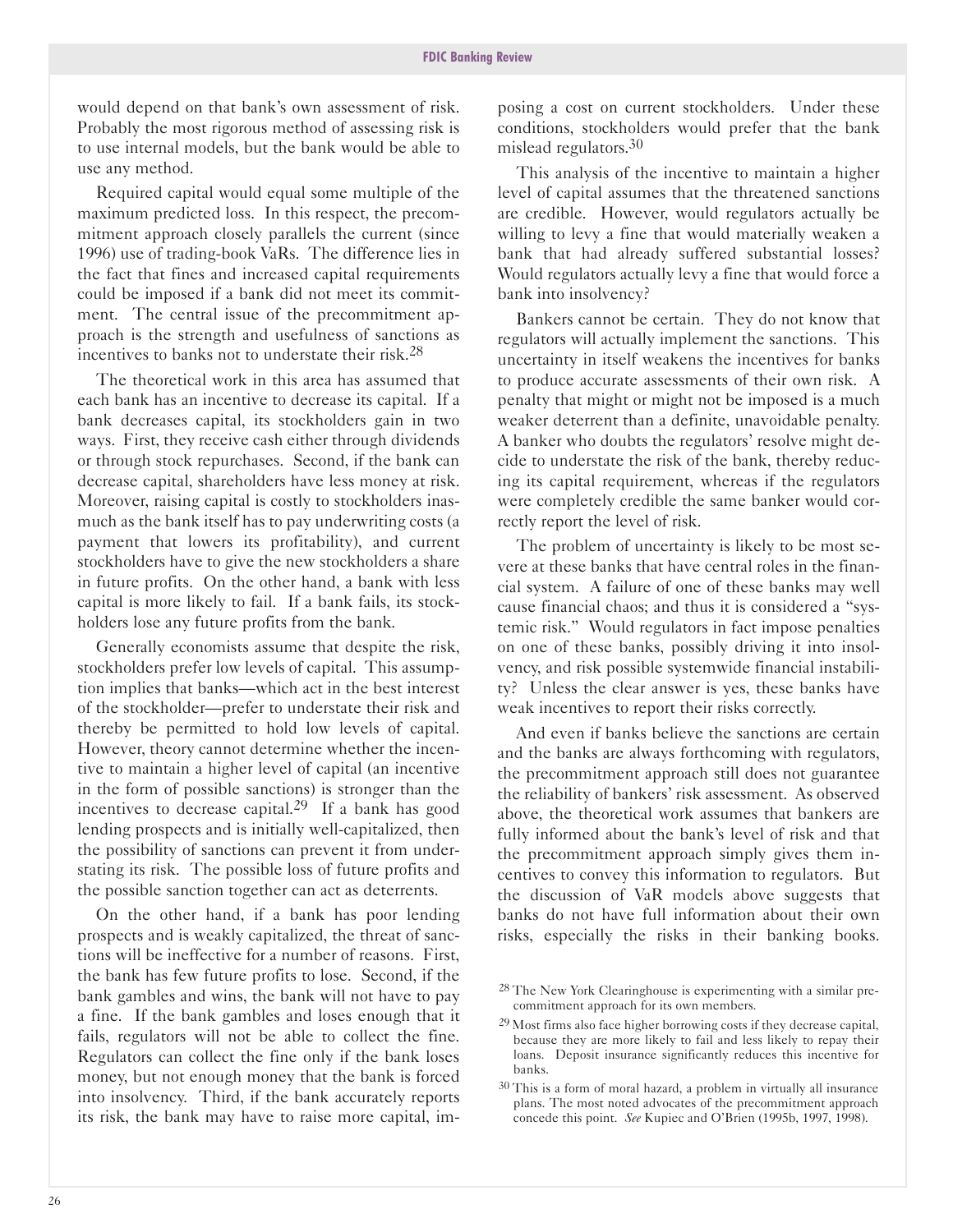would depend on that bank's own assessment of risk. Probably the most rigorous method of assessing risk is to use internal models, but the bank would be able to use any method.

Required capital would equal some multiple of the maximum predicted loss. In this respect, the precommitment approach closely parallels the current (since 1996) use of trading-book VaRs. The difference lies in the fact that fines and increased capital requirements could be imposed if a bank did not meet its commitment. The central issue of the precommitment approach is the strength and usefulness of sanctions as incentives to banks not to understate their risk.28

The theoretical work in this area has assumed that each bank has an incentive to decrease its capital. If a bank decreases capital, its stockholders gain in two ways. First, they receive cash either through dividends or through stock repurchases. Second, if the bank can decrease capital, shareholders have less money at risk. Moreover, raising capital is costly to stockholders inasmuch as the bank itself has to pay underwriting costs (a payment that lowers its profitability), and current stockholders have to give the new stockholders a share in future profits. On the other hand, a bank with less capital is more likely to fail. If a bank fails, its stockholders lose any future profits from the bank.

Generally economists assume that despite the risk, stockholders prefer low levels of capital. This assumption implies that banks-which act in the best interest of the stockholder-prefer to understate their risk and thereby be permitted to hold low levels of capital. However, theory cannot determine whether the incentive to maintain a higher level of capital (an incentive in the form of possible sanctions) is stronger than the incentives to decrease capital.<sup>29</sup> If a bank has good lending prospects and is initially well-capitalized, then the possibility of sanctions can prevent it from understating its risk. The possible loss of future profits and the possible sanction together can act as deterrents.

On the other hand, if a bank has poor lending prospects and is weakly capitalized, the threat of sanctions will be ineffective for a number of reasons. First, the bank has few future profits to lose. Second, if the bank gambles and wins, the bank will not have to pay a fine. If the bank gambles and loses enough that it fails, regulators will not be able to collect the fine. Regulators can collect the fine only if the bank loses money, but not enough money that the bank is forced into insolvency. Third, if the bank accurately reports its risk, the bank may have to raise more capital, im-

posing a cost on current stockholders. Under these conditions, stockholders would prefer that the bank mislead regulators.30

This analysis of the incentive to maintain a higher level of capital assumes that the threatened sanctions are credible. However, would regulators actually be willing to levy a fine that would materially weaken a bank that had already suffered substantial losses? Would regulators actually levy a fine that would force a bank into insolvency?

Bankers cannot be certain. They do not know that regulators will actually implement the sanctions. This uncertainty in itself weakens the incentives for banks to produce accurate assessments of their own risk. A penalty that might or might not be imposed is a much weaker deterrent than a definite, unavoidable penalty. A banker who doubts the regulators' resolve might decide to understate the risk of the bank, thereby reducing its capital requirement, whereas if the regulators were completely credible the same banker would correctly report the level of risk.

The problem of uncertainty is likely to be most severe at these banks that have central roles in the financial system. A failure of one of these banks may well cause financial chaos; and thus it is considered a "systemic risk." Would regulators in fact impose penalties on one of these banks, possibly driving it into insolvency, and risk possible systemwide financial instability? Unless the clear answer is yes, these banks have weak incentives to report their risks correctly.

And even if banks believe the sanctions are certain and the banks are always forthcoming with regulators, the precommitment approach still does not guarantee the reliability of bankers' risk assessment. As observed above, the theoretical work assumes that bankers are fully informed about the bank's level of risk and that the precommitment approach simply gives them incentives to convey this information to regulators. But the discussion of VaR models above suggests that banks do not have full information about their own risks, especially the risks in their banking books.

<sup>&</sup>lt;sup>28</sup> The New York Clearinghouse is experimenting with a similar precommitment approach for its own members.

<sup>29</sup> Most firms also face higher borrowing costs if they decrease capital, because they are more likely to fail and less likely to repay their loans. Deposit insurance significantly reduces this incentive for banks.

<sup>30</sup> This is a form of moral hazard, a problem in virtually all insurance plans. The most noted advocates of the precommitment approach concede this point. *See* Kupiec and O'Brien (1995b, 1997, 1998).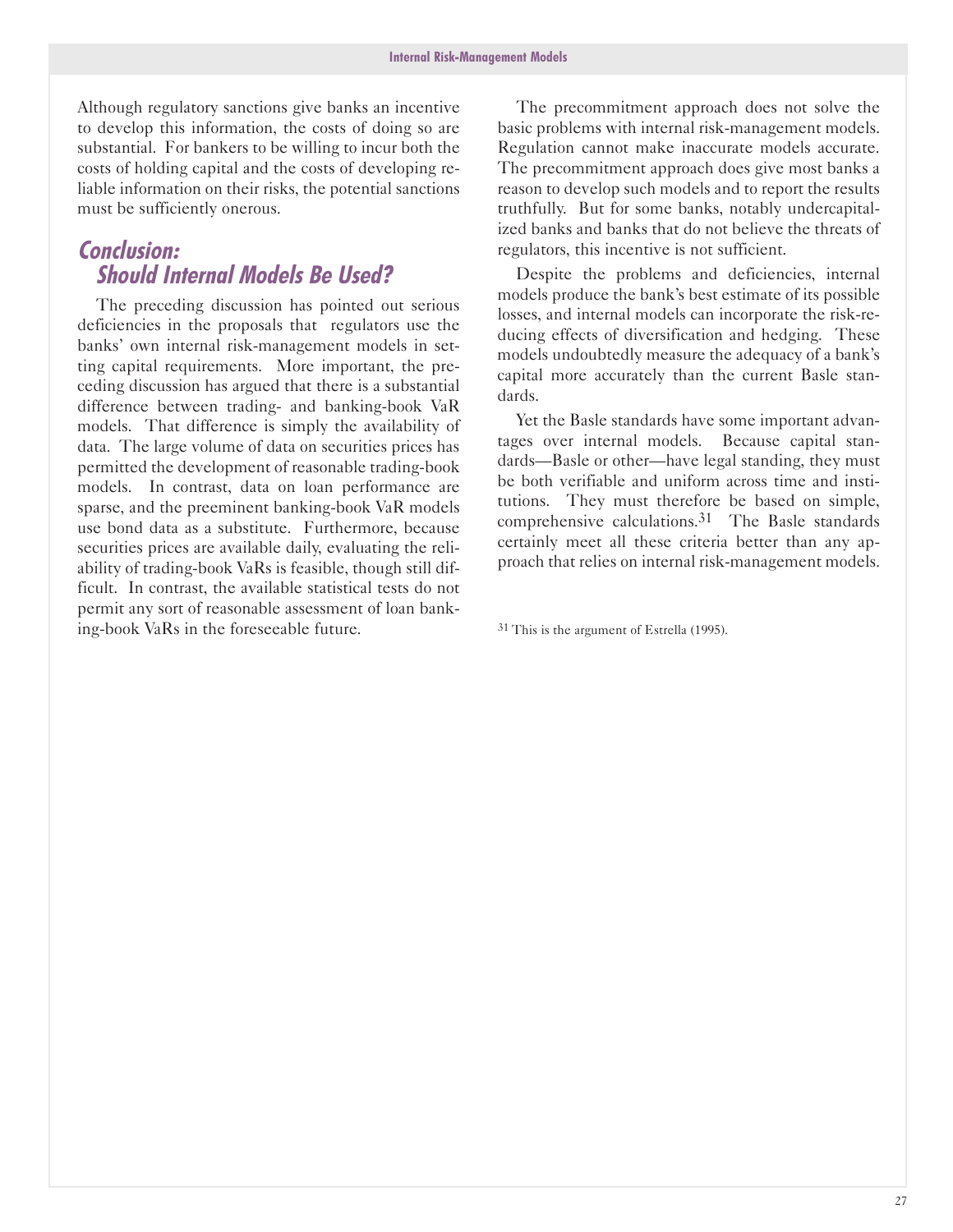Although regulatory sanctions give banks an incentive to develop this information, the costs of doing so are substantial. For bankers to be willing to incur both the costs of holding capital and the costs of developing reliable information on their risks, the potential sanctions must be sufficiently onerous.

## Conclusion: **Should Internal Models Be Used?**

The preceding discussion has pointed out serious deficiencies in the proposals that regulators use the banks' own internal risk-management models in setting capital requirements. More important, the preceding discussion has argued that there is a substantial difference between trading- and banking-book VaR models. That difference is simply the availability of data. The large volume of data on securities prices has permitted the development of reasonable trading-book models. In contrast, data on loan performance are sparse, and the preeminent banking-book VaR models use bond data as a substitute. Furthermore, because securities prices are available daily, evaluating the reliability of trading-book VaRs is feasible, though still difficult. In contrast, the available statistical tests do not permit any sort of reasonable assessment of loan banking-book VaRs in the foreseeable future.

The precommitment approach does not solve the basic problems with internal risk-management models. Regulation cannot make inaccurate models accurate. The precommitment approach does give most banks a reason to develop such models and to report the results truthfully. But for some banks, notably undercapitalized banks and banks that do not believe the threats of regulators, this incentive is not sufficient.

Despite the problems and deficiencies, internal models produce the bank's best estimate of its possible losses, and internal models can incorporate the risk-reducing effects of diversification and hedging. These models undoubtedly measure the adequacy of a bank's capital more accurately than the current Basle standards.

Yet the Basle standards have some important advantages over internal models. Because capital standards-Basle or other-have legal standing, they must be both verifiable and uniform across time and institutions. They must therefore be based on simple, comprehensive calculations.31 The Basle standards certainly meet all these criteria better than any approach that relies on internal risk-management models.

31 This is the argument of Estrella (1995).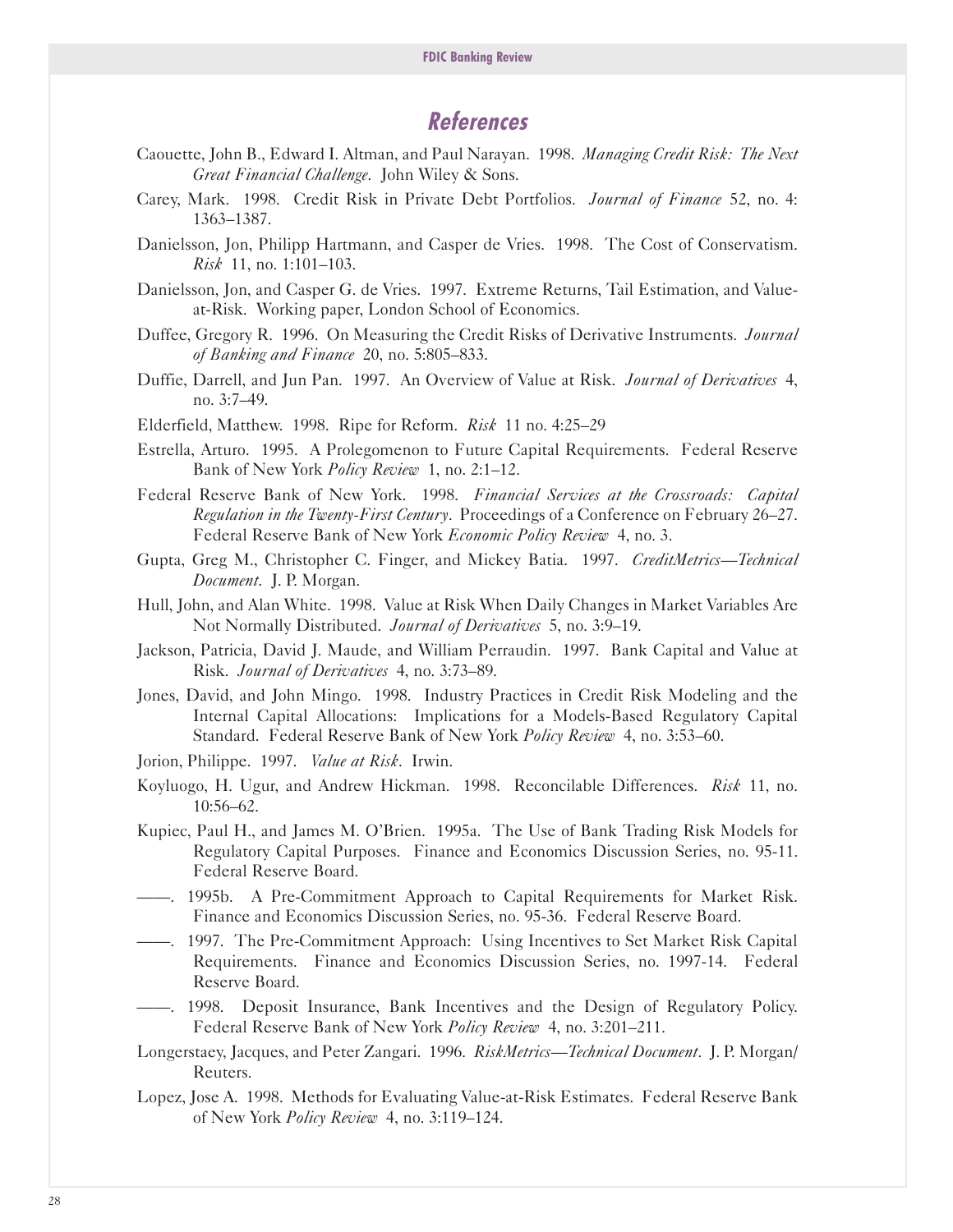## **References**

- Caouette, John B., Edward I. Altman, and Paul Narayan. 1998. *Managing Credit Risk: The Next Great Financial Challenge*. John Wiley & Sons.
- Carey, Mark. 1998. Credit Risk in Private Debt Portfolios. *Journal of Finance* 52, no. 4: 1363-1387.
- Danielsson, Jon, Philipp Hartmann, and Casper de Vries. 1998. The Cost of Conservatism. *Risk* 11, no. 1:101-103.
- Danielsson, Jon, and Casper G. de Vries. 1997. Extreme Returns, Tail Estimation, and Valueat-Risk. Working paper, London School of Economics.
- Duffee, Gregory R. 1996. On Measuring the Credit Risks of Derivative Instruments. *Journal of Banking and Finance* 20, no. 5:805-833.
- Duffie, Darrell, and Jun Pan. 1997. An Overview of Value at Risk. *Journal of Derivatives* 4, no. 3:7-49.
- Elderfield, Matthew. 1998. Ripe for Reform. *Risk* 11 no. 4:25-29
- Estrella, Arturo. 1995. A Prolegomenon to Future Capital Requirements. Federal Reserve Bank of New York *Policy Review* 1, no. 2:1-12.
- Federal Reserve Bank of New York. 1998. *Financial Services at the Crossroads: Capital Regulation in the Twenty-First Century*. Proceedings of a Conference on February 26-27. Federal Reserve Bank of New York *Economic Policy Review* 4, no. 3.
- Gupta, Greg M., Christopher C. Finger, and Mickey Batia. 1997. *CreditMetrics-Technical Document*. J. P. Morgan.
- Hull, John, and Alan White. 1998. Value at Risk When Daily Changes in Market Variables Are Not Normally Distributed. *Journal of Derivatives* 5, no. 3:9-19.
- Jackson, Patricia, David J. Maude, and William Perraudin. 1997. Bank Capital and Value at Risk. *Journal of Derivatives* 4, no. 3:73-89.
- Jones, David, and John Mingo. 1998. Industry Practices in Credit Risk Modeling and the Internal Capital Allocations: Implications for a Models-Based Regulatory Capital Standard. Federal Reserve Bank of New York *Policy Review* 4, no. 3:53-60.
- Jorion, Philippe. 1997. *Value at Risk*. Irwin.
- Koyluogo, H. Ugur, and Andrew Hickman. 1998. Reconcilable Differences. *Risk* 11, no. 10:56-62.
- Kupiec, Paul H., and James M. O'Brien. 1995a. The Use of Bank Trading Risk Models for Regulatory Capital Purposes. Finance and Economics Discussion Series, no. 9511. Federal Reserve Board.
- --. 1995b. A PreCommitment Approach to Capital Requirements for Market Risk. Finance and Economics Discussion Series, no. 9536. Federal Reserve Board.
- ----. 1997. The Pre-Commitment Approach: Using Incentives to Set Market Risk Capital Requirements. Finance and Economics Discussion Series, no. 1997-14. Federal Reserve Board.
- --. 1998. Deposit Insurance, Bank Incentives and the Design of Regulatory Policy. Federal Reserve Bank of New York *Policy Review* 4, no. 3:201-211.
- Longerstaey, Jacques, and Peter Zangari. 1996. *RiskMetrics-Technical Document*. J. P. Morgan/ Reuters.
- Lopez, Jose A. 1998. Methods for Evaluating Value-at-Risk Estimates. Federal Reserve Bank of New York *Policy Review* 4, no. 3:119-124.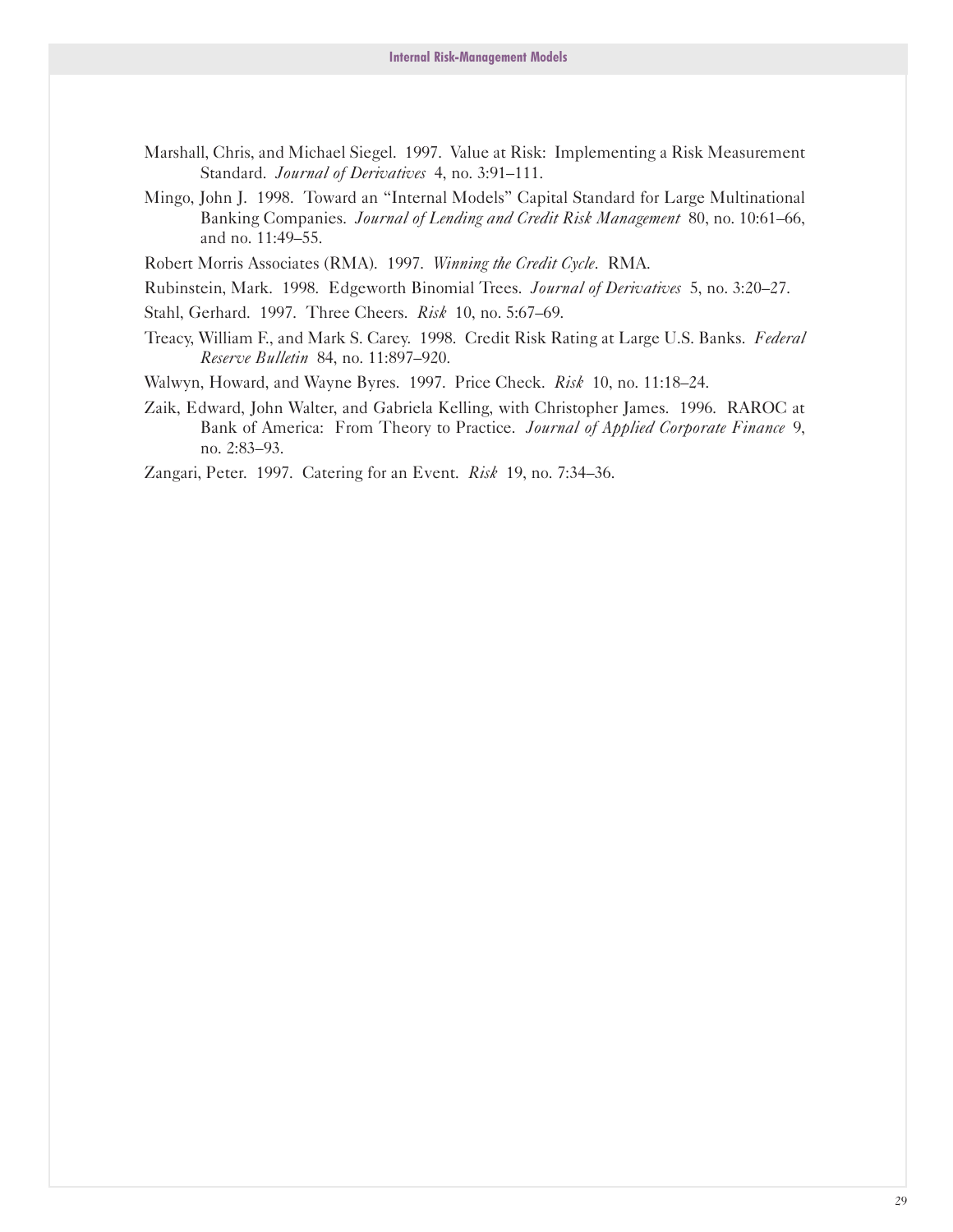- Marshall, Chris, and Michael Siegel. 1997. Value at Risk: Implementing a Risk Measurement Standard. *Journal of Derivatives* 4, no. 3:91-111.
- Mingo, John J. 1998. Toward an "Internal Models" Capital Standard for Large Multinational Banking Companies. *Journal of Lending and Credit Risk Management* 80, no. 10:61-66, and no. 11:49-55.
- Robert Morris Associates (RMA). 1997. *Winning the Credit Cycle*. RMA.
- Rubinstein, Mark. 1998. Edgeworth Binomial Trees. *Journal of Derivatives* 5, no. 3:20-27.
- Stahl, Gerhard. 1997. Three Cheers. *Risk* 10, no. 5:67-69.
- Treacy, William F., and Mark S. Carey. 1998. Credit Risk Rating at Large U.S. Banks. *Federal Reserve Bulletin* 84, no. 11:897-920.
- Walwyn, Howard, and Wayne Byres. 1997. Price Check. *Risk* 10, no. 11:18-24.
- Zaik, Edward, John Walter, and Gabriela Kelling, with Christopher James. 1996. RAROC at Bank of America: From Theory to Practice. *Journal of Applied Corporate Finance* 9, no. 2:83-93.
- Zangari, Peter. 1997. Catering for an Event. *Risk* 19, no. 7:34-36.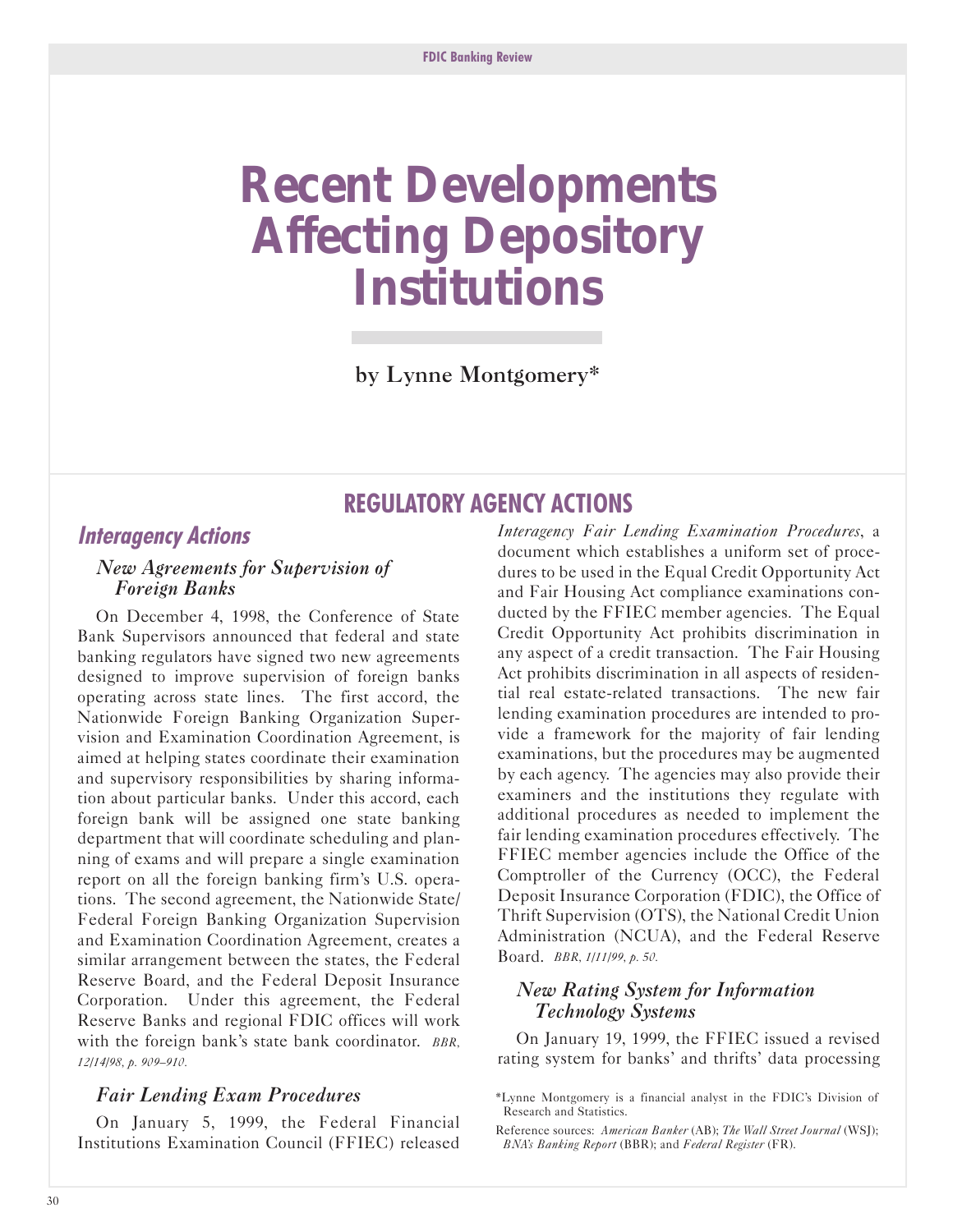## <span id="page-31-0"></span>**Recent Developments Affecting Depository Institutions**

by Lynne Montgomery\*

## **REGULATORY AGENCY ACTlONS**

## **lnteragency Actions**

#### *New Agreements for Supervision of* **Foreign Banks**

On December 4, 1998, the Conference of State Bank Supervisors announced that federal and state banking regulators have signed two new agreements designed to improve supervision of foreign banks operating across state lines. The first accord, the Nationwide Foreign Banking Organization Supervision and Examination Coordination Agreement, is aimed at helping states coordinate their examination and supervisory responsibilities by sharing information about particular banks. Under this accord, each foreign bank will be assigned one state banking department that will coordinate scheduling and planning of exams and will prepare a single examination report on all the foreign banking firm's U.S. operations. The second agreement, the Nationwide State/ Federal Foreign Banking Organization Supervision and Examination Coordination Agreement, creates a similar arrangement between the states, the Federal Reserve Board, and the Federal Deposit Insurance Corporation. Under this agreement, the Federal Reserve Banks and regional FDIC offices will work with the foreign bank's state bank coordinator. *BBR, 12/14/98, p. 909-910.*

#### *Fair Lending Exam Procedures*

On January 5, 1999, the Federal Financial Institutions Examination Council (FFIEC) released *Interagency Fair Lending Examination Procedures*, a document which establishes a uniform set of procedures to be used in the Equal Credit Opportunity Act and Fair Housing Act compliance examinations conducted by the FFIEC member agencies. The Equal Credit Opportunity Act prohibits discrimination in any aspect of a credit transaction. The Fair Housing Act prohibits discrimination in all aspects of residential real estate-related transactions. The new fair lending examination procedures are intended to provide a framework for the majority of fair lending examinations, but the procedures may be augmented by each agency. The agencies may also provide their examiners and the institutions they regulate with additional procedures as needed to implement the fair lending examination procedures effectively. The FFIEC member agencies include the Office of the Comptroller of the Currency (OCC), the Federal Deposit Insurance Corporation (FDIC), the Office of Thrift Supervision (OTS), the National Credit Union Administration (NCUA), and the Federal Reserve Board. *BBR, 1/11/99, p. s0.*

#### *New Rating System for Information TechnologyfSystems*

On January 19, 1999, the FFIEC issued a revised rating system for banks' and thrifts' data processing

<sup>\*</sup>Lynne Montgomery is a financial analyst in the FDIC's Division of Research and Statistics.

Reference sources: *American Banker* (AB); *The Wall Street Journal* (WSJ); *BNA's Banking Report* (BBR); and *Federal Register* (FR).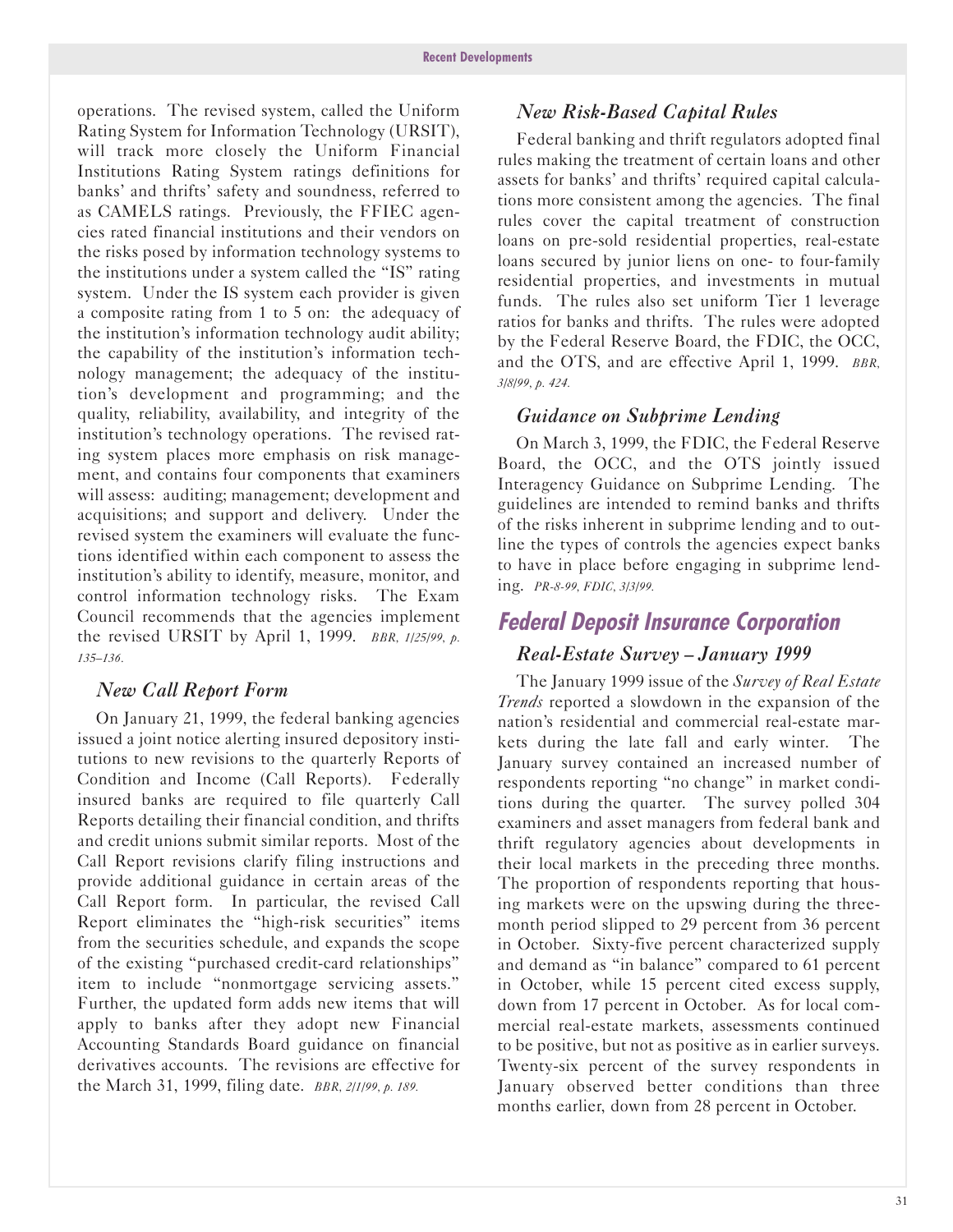operations. The revised system, called the Uniform Rating System for Information Technology (URSIT), will track more closely the Uniform Financial Institutions Rating System ratings definitions for banks' and thrifts' safety and soundness, referred to as CAMELS ratings. Previously, the FFIEC agencies rated financial institutions and their vendors on the risks posed by information technology systems to the institutions under a system called the "IS" rating system. Under the IS system each provider is given a composite rating from 1 to 5 on: the adequacy of the institution's information technology audit ability; the capability of the institution's information technology management; the adequacy of the institution's development and programming; and the quality, reliability, availability, and integrity of the institution's technology operations. The revised rating system places more emphasis on risk management, and contains four components that examiners will assess: auditing; management; development and acquisitions; and support and delivery. Under the revised system the examiners will evaluate the functions identified within each component to assess the institution's ability to identify, measure, monitor, and control information technology risks. The Exam Council recommends that the agencies implement the revised URSIT by April 1, 1999. *BBR, 1/2s/99, p. 13s-136.*

#### *New Call Report Form*

On January 21, 1999, the federal banking agencies issued a joint notice alerting insured depository institutions to new revisions to the quarterly Reports of Condition and Income (Call Reports). Federally insured banks are required to file quarterly Call Reports detailing their financial condition, and thrifts and credit unions submit similar reports. Most of the Call Report revisions clarify filing instructions and provide additional guidance in certain areas of the Call Report form. In particular, the revised Call Report eliminates the "high-risk securities" items from the securities schedule, and expands the scope of the existing "purchased credit-card relationships" item to include "nonmortgage servicing assets." Further, the updated form adds new items that will apply to banks after they adopt new Financial Accounting Standards Board guidance on financial derivatives accounts. The revisions are effective for the March 31, 1999, filing date. *BBR, 2/1/99, p. 189.*

#### *New Risk-Based Capital Rules*

Federal banking and thrift regulators adopted final rules making the treatment of certain loans and other assets for banks' and thrifts' required capital calculations more consistent among the agencies. The final rules cover the capital treatment of construction loans on pre-sold residential properties, real-estate loans secured by junior liens on one- to four-family residential properties, and investments in mutual funds. The rules also set uniform Tier 1 leverage ratios for banks and thrifts. The rules were adopted by the Federal Reserve Board, the FDIC, the OCC, and the OTS, and are effective April 1, 1999. *BBR, 3/8/99, p. 424.*

#### *Guidance on Subprime Lending*

On March 3, 1999, the FDIC, the Federal Reserve Board, the OCC, and the OTS jointly issued Interagency Guidance on Subprime Lending. The guidelines are intended to remind banks and thrifts of the risks inherent in subprime lending and to outline the types of controls the agencies expect banks to have in place before engaging in subprime lending. *PR-8-99, FDIC, 3/3/99.*

## **Federal Deposit lnsurance Corporation**

#### *Real-Estate Survey – January 1999*

The January 1999 issue of the *Survey of Real Estate Trends* reported a slowdown in the expansion of the nation's residential and commercial real-estate markets during the late fall and early winter. The January survey contained an increased number of respondents reporting "no change" in market conditions during the quarter. The survey polled 304 examiners and asset managers from federal bank and thrift regulatory agencies about developments in their local markets in the preceding three months. The proportion of respondents reporting that housing markets were on the upswing during the threemonth period slipped to 29 percent from 36 percent in October. Sixty-five percent characterized supply and demand as "in balance" compared to 61 percent in October, while 15 percent cited excess supply, down from 17 percent in October. As for local commercial real-estate markets, assessments continued to be positive, but not as positive as in earlier surveys. Twenty-six percent of the survey respondents in January observed better conditions than three months earlier, down from 28 percent in October.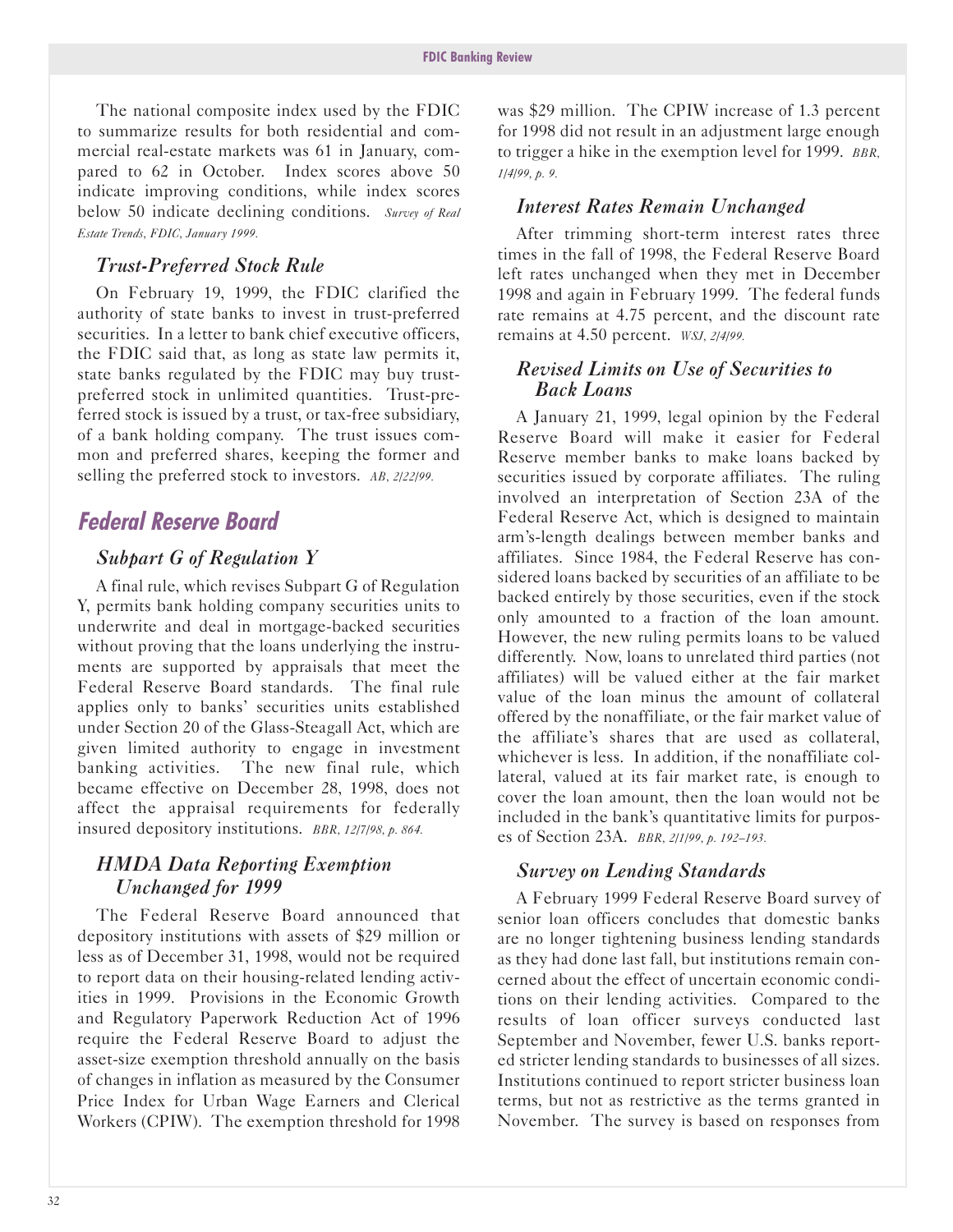The national composite index used by the FDIC to summarize results for both residential and commercial real-estate markets was 61 in January, compared to 62 in October. Index scores above 50 indicate improving conditions, while index scores below 50 indicate declining conditions. *Survey of Real Estate Trends, FDIC, January 1999.*

#### *Trust-Preferred Stock Rule*

On February 19, 1999, the FDIC clarified the authority of state banks to invest in trust-preferred securities. In a letter to bank chief executive officers, the FDIC said that, as long as state law permits it, state banks regulated by the FDIC may buy trustpreferred stock in unlimited quantities. Trust-preferred stock is issued by a trust, or tax-free subsidiary, of a bank holding company. The trust issues common and preferred shares, keeping the former and selling the preferred stock to investors. *AB, 2/22/99.*

## **Federal Reserve Board**

#### *Subpart G of Regulation Y*

A final rule, which revises Subpart G of Regulation Y, permits bank holding company securities units to underwrite and deal in mortgage-backed securities without proving that the loans underlying the instruments are supported by appraisals that meet the Federal Reserve Board standards. The final rule applies only to banks' securities units established under Section 20 of the Glass-Steagall Act, which are given limited authority to engage in investment banking activities. The new final rule, which became effective on December 28, 1998, does not affect the appraisal requirements for federally insured depository institutions. *BBR, 12/7/98, p. 864.*

#### *HMDA Data Reporting Exemption Unchanged for 1999*

The Federal Reserve Board announced that depository institutions with assets of \$29 million or less as of December 31, 1998, would not be required to report data on their housing-related lending activities in 1999. Provisions in the Economic Growth and Regulatory Paperwork Reduction Act of 1996 require the Federal Reserve Board to adjust the asset-size exemption threshold annually on the basis of changes in inflation as measured by the Consumer Price Index for Urban Wage Earners and Clerical Workers (CPIW). The exemption threshold for 1998

was \$29 million. The CPIW increase of 1.3 percent for 1998 did not result in an adjustment large enough to trigger a hike in the exemption level for 1999. *BBR, 1/4/99, p. 9.*

#### *Interest Rates Remain Unchanged*

After trimming short-term interest rates three times in the fall of 1998, the Federal Reserve Board left rates unchanged when they met in December 1998 and again in February 1999. The federal funds rate remains at 4.75 percent, and the discount rate remains at 4.50 percent. *WSJ, 2/4/99.*

#### *Revised Limits on Use of Securities to* **Back Loans**

A January 21, 1999, legal opinion by the Federal Reserve Board will make it easier for Federal Reserve member banks to make loans backed by securities issued by corporate affiliates. The ruling involved an interpretation of Section 23A of the Federal Reserve Act, which is designed to maintain arm's-length dealings between member banks and affiliates. Since 1984, the Federal Reserve has considered loans backed by securities of an affiliate to be backed entirely by those securities, even if the stock only amounted to a fraction of the loan amount. However, the new ruling permits loans to be valued differently. Now, loans to unrelated third parties (not affiliates) will be valued either at the fair market value of the loan minus the amount of collateral offered by the nonaffiliate, or the fair market value of the affiliate's shares that are used as collateral, whichever is less. In addition, if the nonaffiliate collateral, valued at its fair market rate, is enough to cover the loan amount, then the loan would not be included in the bank's quantitative limits for purposes of Section 23A. *BBR, 2/1/99, p. 192-193.*

#### *Survey on Lending Standards*

A February 1999 Federal Reserve Board survey of senior loan officers concludes that domestic banks are no longer tightening business lending standards as they had done last fall, but institutions remain concerned about the effect of uncertain economic conditions on their lending activities. Compared to the results of loan officer surveys conducted last September and November, fewer U.S. banks reported stricter lending standards to businesses of all sizes. Institutions continued to report stricter business loan terms, but not as restrictive as the terms granted in November. The survey is based on responses from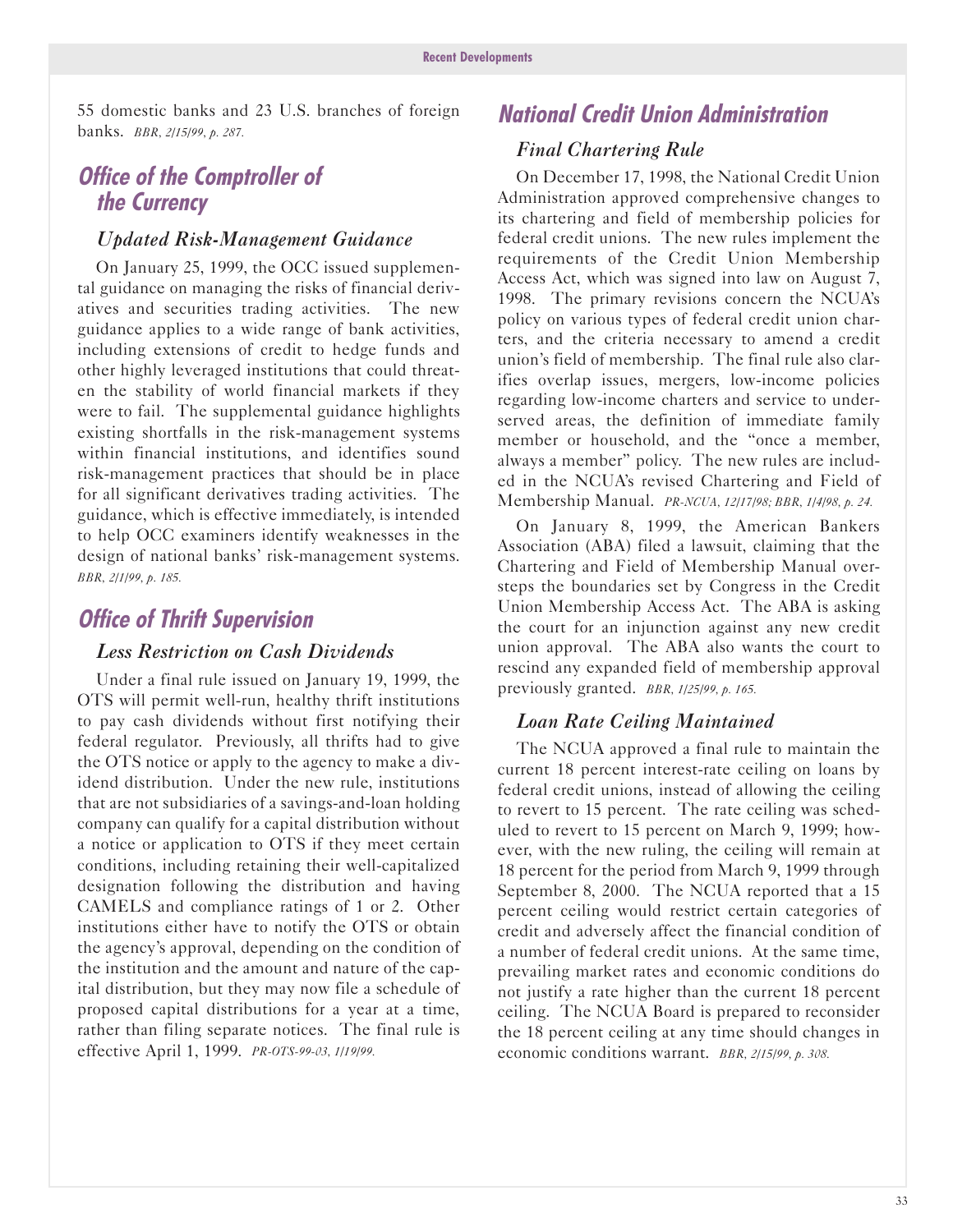55 domestic banks and 23 U.S. branches of foreign banks. *BBR, 2/1s/99, p. 287.*

## **Office of the Comptroller of the Currency**

#### *<i>Updated Risk-Management Guidance*

On January 25, 1999, the OCC issued supplemental guidance on managing the risks of financial derivatives and securities trading activities. The new guidance applies to a wide range of bank activities, including extensions of credit to hedge funds and other highly leveraged institutions that could threaten the stability of world financial markets if they were to fail. The supplemental guidance highlights existing shortfalls in the risk-management systems within financial institutions, and identifies sound risk-management practices that should be in place for all significant derivatives trading activities. The guidance, which is effective immediately, is intended to help OCC examiners identify weaknesses in the design of national banks' risk-management systems. *BBR, 2/1/99, p. 18s.*

### **Office of Thrift Supervision**

#### *Less Restriction on Cash Dividends*

Under a final rule issued on January 19, 1999, the OTS will permit well-run, healthy thrift institutions to pay cash dividends without first notifying their federal regulator. Previously, all thrifts had to give the OTS notice or apply to the agency to make a dividend distribution. Under the new rule, institutions that are not subsidiaries of a savings-and-loan holding company can qualify for a capital distribution without a notice or application to OTS if they meet certain conditions, including retaining their well-capitalized designation following the distribution and having CAMELS and compliance ratings of 1 or 2. Other institutions either have to notify the OTS or obtain the agency's approval, depending on the condition of the institution and the amount and nature of the capital distribution, but they may now file a schedule of proposed capital distributions for a year at a time, rather than filing separate notices. The final rule is effective April 1, 1999. *PR-OTS-99-03, 1/19/99.*

## **National Credit Union Administration**

#### *Final Chartering Rule*

On December 17, 1998, the National Credit Union Administration approved comprehensive changes to its chartering and field of membership policies for federal credit unions. The new rules implement the requirements of the Credit Union Membership Access Act, which was signed into law on August 7, 1998. The primary revisions concern the NCUA's policy on various types of federal credit union charters, and the criteria necessary to amend a credit union's field of membership. The final rule also clarifies overlap issues, mergers, low-income policies regarding low-income charters and service to underserved areas, the definition of immediate family member or household, and the "once a member, always a member" policy. The new rules are included in the NCUA's revised Chartering and Field of Membership Manual. *PR-NCUA, 12/17/98; BBR, 1/4/98, p. 24.*

On January 8, 1999, the American Bankers Association (ABA) filed a lawsuit, claiming that the Chartering and Field of Membership Manual oversteps the boundaries set by Congress in the Credit Union Membership Access Act. The ABA is asking the court for an injunction against any new credit union approval. The ABA also wants the court to rescind any expanded field of membership approval previously granted. *BBR, 1/2s/99, p. 16s.*

#### Loan Rate Ceiling Maintained

The NCUA approved a final rule to maintain the current 18 percent interest-rate ceiling on loans by federal credit unions, instead of allowing the ceiling to revert to 15 percent. The rate ceiling was scheduled to revert to 15 percent on March 9, 1999; however, with the new ruling, the ceiling will remain at 18 percent for the period from March 9, 1999 through September 8, 2000. The NCUA reported that a 15 percent ceiling would restrict certain categories of credit and adversely affect the financial condition of a number of federal credit unions. At the same time, prevailing market rates and economic conditions do not justify a rate higher than the current 18 percent ceiling. The NCUA Board is prepared to reconsider the 18 percent ceiling at any time should changes in economic conditions warrant. *BBR, 2/1s/99, p. 308.*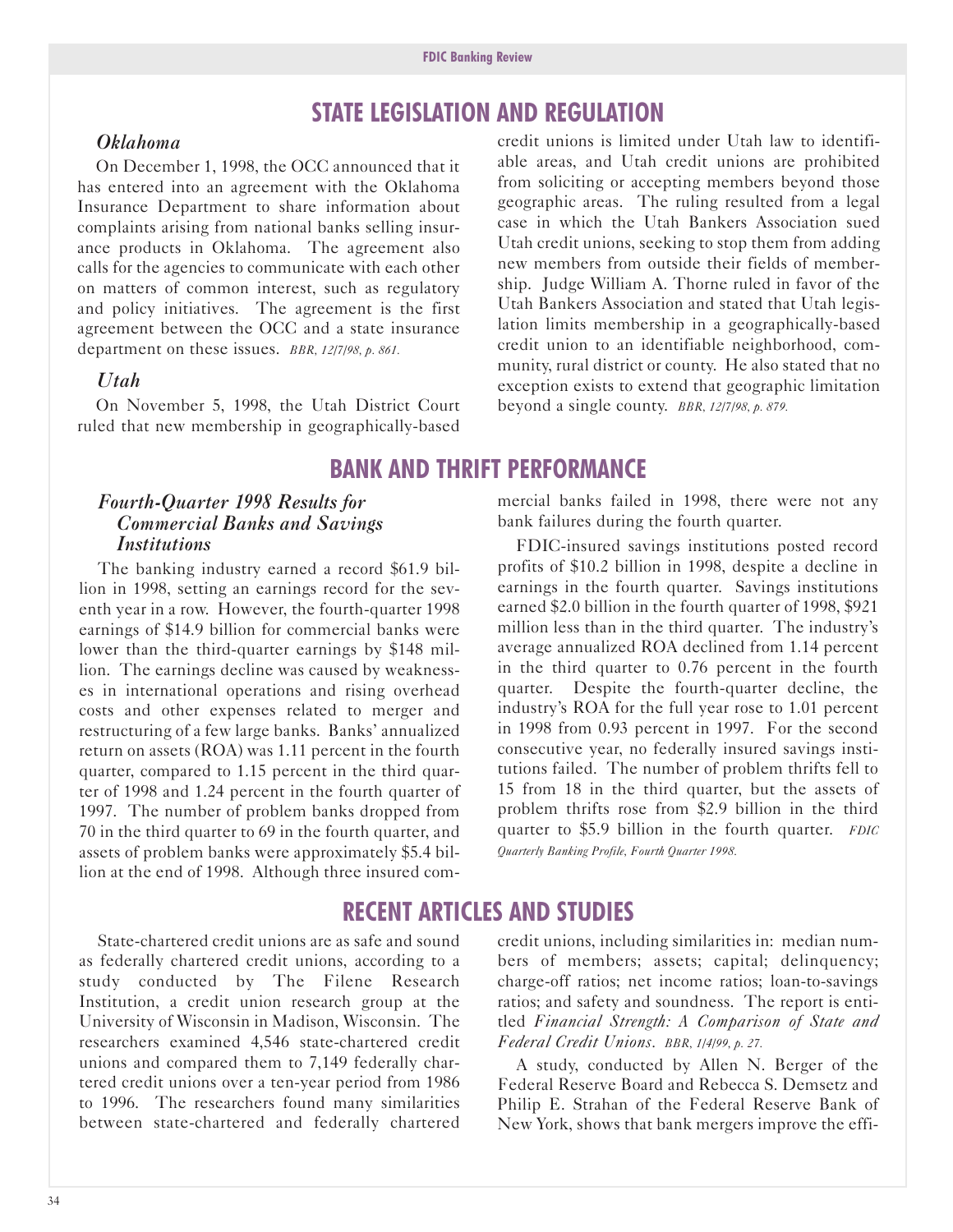## **STATE LEGlSLATlON AND REGULATlON**

#### *Oklahoma*

On December 1, 1998, the OCC announced that it has entered into an agreement with the Oklahoma Insurance Department to share information about complaints arising from national banks selling insurance products in Oklahoma. The agreement also calls for the agencies to communicate with each other on matters of common interest, such as regulatory and policy initiatives. The agreement is the first agreement between the OCC and a state insurance department on these issues. *BBR, 12/7/98, p. 861.* 

#### *Utah*

On November 5, 1998, the Utah District Court ruled that new membership in geographically-based

credit unions is limited under Utah law to identifiable areas, and Utah credit unions are prohibited from soliciting or accepting members beyond those geographic areas. The ruling resulted from a legal case in which the Utah Bankers Association sued Utah credit unions, seeking to stop them from adding new members from outside their fields of membership. Judge William A. Thorne ruled in favor of the Utah Bankers Association and stated that Utah legislation limits membership in a geographically-based credit union to an identifiable neighborhood, community, rural district or county. He also stated that no exception exists to extend that geographic limitation beyond a single county. *BBR, 12/7/98, p. 879.*

### **BANK AND THRlFT PERFORMANCE**

#### *Fourth-Quarter 1998 Results for Commercial Banks and Savings Institutions*

The banking industry earned a record \$61.9 billion in 1998, setting an earnings record for the seventh year in a row. However, the fourth-quarter 1998 earnings of \$14.9 billion for commercial banks were lower than the third-quarter earnings by \$148 million. The earnings decline was caused by weaknesses in international operations and rising overhead costs and other expenses related to merger and restructuring of a few large banks. Banks' annualized return on assets (ROA) was 1.11 percent in the fourth quarter, compared to 1.15 percent in the third quarter of 1998 and 1.24 percent in the fourth quarter of 1997. The number of problem banks dropped from 70 in the third quarter to 69 in the fourth quarter, and assets of problem banks were approximately \$5.4 billion at the end of 1998. Although three insured com-

State-chartered credit unions are as safe and sound as federally chartered credit unions, according to a study conducted by The Filene Research Institution, a credit union research group at the

University of Wisconsin in Madison, Wisconsin. The researchers examined 4,546 state-chartered credit unions and compared them to 7,149 federally chartered credit unions over a ten-year period from 1986 to 1996. The researchers found many similarities between state-chartered and federally chartered mercial banks failed in 1998, there were not any bank failures during the fourth quarter.

FDIC-insured savings institutions posted record profits of \$10.2 billion in 1998, despite a decline in earnings in the fourth quarter. Savings institutions earned \$2.0 billion in the fourth quarter of 1998, \$921 million less than in the third quarter. The industry's average annualized ROA declined from 1.14 percent in the third quarter to 0.76 percent in the fourth quarter. Despite the fourth-quarter decline, the industry's ROA for the full year rose to 1.01 percent in 1998 from 0.93 percent in 1997. For the second consecutive year, no federally insured savings institutions failed. The number of problem thrifts fell to 15 from 18 in the third quarter, but the assets of problem thrifts rose from \$2.9 billion in the third quarter to \$5.9 billion in the fourth quarter. *FDIC Quarterly Banking Profile, Fourth Quarter 1998.*

## **RECENT ARTlCLES AND STUDlES**

credit unions, including similarities in: median numbers of members; assets; capital; delinquency; charge-off ratios; net income ratios; loan-to-savings ratios; and safety and soundness. The report is entitled *Financial Strength: A Comparison of State and Federal Credit Unions. BBR, 1/4/99, p. 27.*

A study, conducted by Allen N. Berger of the Federal Reserve Board and Rebecca S. Demsetz and Philip E. Strahan of the Federal Reserve Bank of New York, shows that bank mergers improve the effi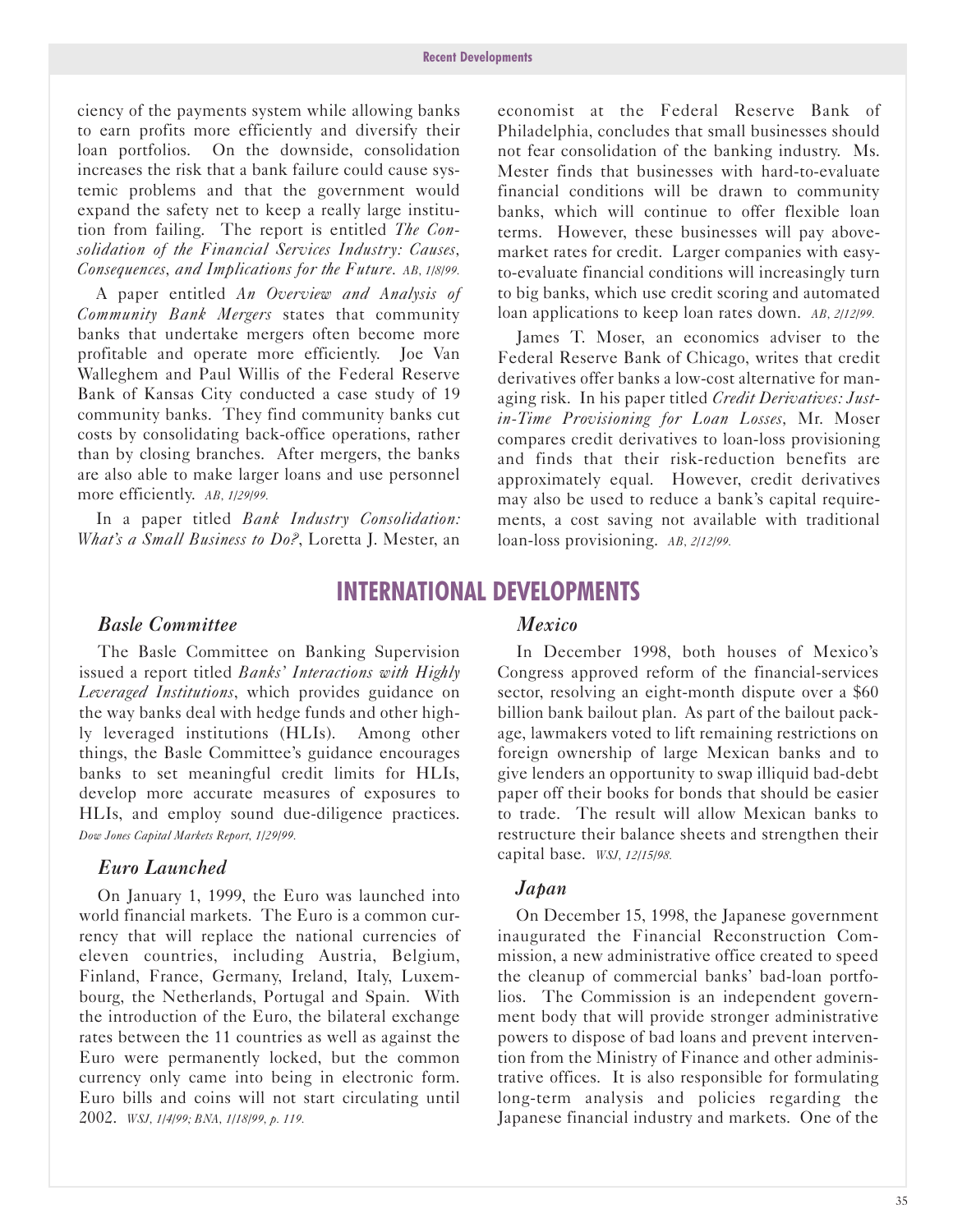ciency of the payments system while allowing banks to earn profits more efficiently and diversify their loan portfolios. On the downside, consolidation increases the risk that a bank failure could cause systemic problems and that the government would expand the safety net to keep a really large institution from failing. The report is entitled *The Consolidation of the Financial Services Industry: Causes, Consequences, and Implications for the Future. AB, 1/8/99.*

A paper entitled *An Overview and Analysis of Community Bank Mergers* states that community banks that undertake mergers often become more profitable and operate more efficiently. Joe Van Walleghem and Paul Willis of the Federal Reserve Bank of Kansas City conducted a case study of 19 community banks. They find community banks cut costs by consolidating back-office operations, rather than by closing branches. After mergers, the banks are also able to make larger loans and use personnel more efficiently. *AB, 1/29/99.*

In a paper titled *Bank Industry Consolidation: What's a Small Business to Do?*, Loretta J. Mester, an

economist at the Federal Reserve Bank of Philadelphia, concludes that small businesses should not fear consolidation of the banking industry. Ms. Mester finds that businesses with hard-to-evaluate financial conditions will be drawn to community banks, which will continue to offer flexible loan terms. However, these businesses will pay abovemarket rates for credit. Larger companies with easyto-evaluate financial conditions will increasingly turn to big banks, which use credit scoring and automated loan applications to keep loan rates down. *AB, 2/12/99.*

James T. Moser, an economics adviser to the Federal Reserve Bank of Chicago, writes that credit derivatives offer banks a low-cost alternative for managing risk. In his paper titled *Credit Derivatives: Justin-Time Provisioning for Loan Losses,* Mr. Moser compares credit derivatives to loan-loss provisioning and finds that their risk-reduction benefits are approximately equal. However, credit derivatives may also be used to reduce a bank's capital requirements, a cost saving not available with traditional loan-loss provisioning. *AB, 2/12/99*.

### **lNTERNATlONAL DEVELOPMENTS**

#### *Basle Committee*

The Basle Committee on Banking Supervision issued a report titled *Banks' Interactions with Highly Leveraged Institutions*, which provides guidance on the way banks deal with hedge funds and other highly leveraged institutions (HLIs). Among other things, the Basle Committee's guidance encourages banks to set meaningful credit limits for HLIs, develop more accurate measures of exposures to HLIs, and employ sound due-diligence practices. *Dow Jones Capital Markets Report, 1/29/99.*

#### *Euro Launched*

On January 1, 1999, the Euro was launched into world financial markets. The Euro is a common currency that will replace the national currencies of eleven countries, including Austria, Belgium, Finland, France, Germany, Ireland, Italy, Luxembourg, the Netherlands, Portugal and Spain. With the introduction of the Euro, the bilateral exchange rates between the 11 countries as well as against the Euro were permanently locked, but the common currency only came into being in electronic form. Euro bills and coins will not start circulating until 2002. *WSJ, 1/4/99; BNA, 1/18/99, p. 119.* 

#### *Mexico*

In December 1998, both houses of Mexico's Congress approved reform of the financial-services sector, resolving an eight-month dispute over a \$60 billion bank bailout plan. As part of the bailout package, lawmakers voted to lift remaining restrictions on foreign ownership of large Mexican banks and to give lenders an opportunity to swap illiquid bad-debt paper off their books for bonds that should be easier to trade. The result will allow Mexican banks to restructure their balance sheets and strengthen their capital base. *WSJ, 12/1s/98.*

#### *Japan*

On December 15, 1998, the Japanese government inaugurated the Financial Reconstruction Commission, a new administrative office created to speed the cleanup of commercial banks' bad-loan portfolios. The Commission is an independent government body that will provide stronger administrative powers to dispose of bad loans and prevent intervention from the Ministry of Finance and other administrative offices. It is also responsible for formulating long-term analysis and policies regarding the Japanese financial industry and markets. One of the